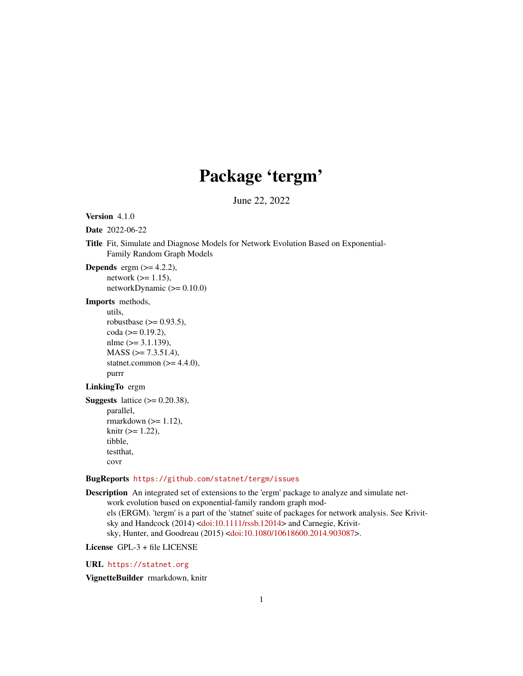# Package 'tergm'

June 22, 2022

<span id="page-0-0"></span>Version 4.1.0

Date 2022-06-22

Title Fit, Simulate and Diagnose Models for Network Evolution Based on Exponential-Family Random Graph Models

**Depends** ergm  $(>= 4.2.2)$ , network  $(>= 1.15)$ , networkDynamic  $(>= 0.10.0)$ 

Imports methods,

utils,

robustbase  $(>= 0.93.5)$ ,  $\coda (= 0.19.2),$ nlme  $(>= 3.1.139)$ ,  $MASS$  ( $>= 7.3.51.4$ ), statnet.common  $(>= 4.4.0)$ , purrr

#### LinkingTo ergm

```
Suggests lattice (>= 0.20.38),
      parallel,
      rmarkdown (>= 1.12),
      knitr (>= 1.22),
      tibble,
      testthat,
      covr
```
### BugReports <https://github.com/statnet/tergm/issues>

```
Description An integrated set of extensions to the 'ergm' package to analyze and simulate net-
      work evolution based on exponential-family random graph mod-
      els (ERGM). 'tergm' is a part of the 'statnet' suite of packages for network analysis. See Krivit-
      sky and Handcock (2014) <doi:10.1111/rssb.12014> and Carnegie, Krivit-
      sky, Hunter, and Goodreau (2015) <doi:10.1080/10618600.2014.903087>.
```
License GPL-3 + file LICENSE

URL <https://statnet.org>

VignetteBuilder rmarkdown, knitr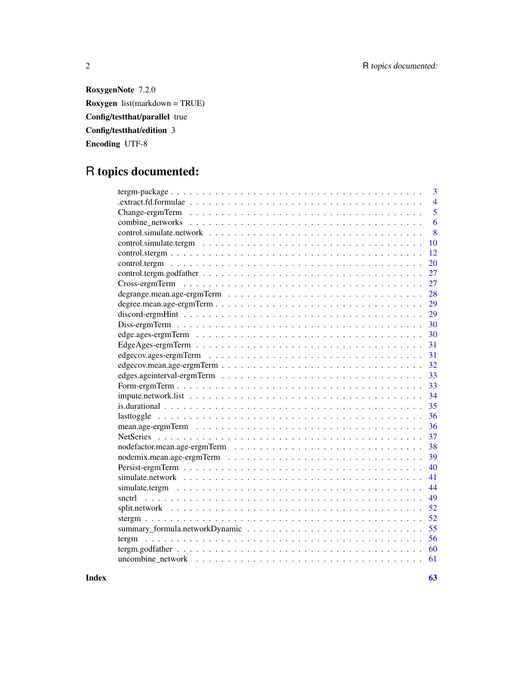2 R topics documented:

RoxygenNote 7.2.0 Roxygen list(markdown = TRUE) Config/testthat/parallel true Config/testthat/edition 3 Encoding UTF-8

# R topics documented:

| 3                    |
|----------------------|
| $\overline{4}$       |
| 5<br>Change-ergmTerm |
| 6                    |
| 8                    |
| 10                   |
| 12                   |
| 20                   |
| 27                   |
| 27<br>Cross-ergmTerm |
| 28                   |
| 29                   |
| 29                   |
| 30                   |
| 30                   |
| 31                   |
| 31                   |
| 32                   |
| 33                   |
| 33                   |
| 34                   |
| 35                   |
| 36<br>lasttoggle     |
| 36                   |
| 37                   |
| 38                   |
| 39                   |
| 40                   |
| 41                   |
| 44                   |
| 49<br>snctrl         |
| 52                   |
| 52                   |
| 55                   |
| 56<br>tergm          |
| 60                   |
| 61                   |
|                      |

 $\blacksquare$  Index  $\blacksquare$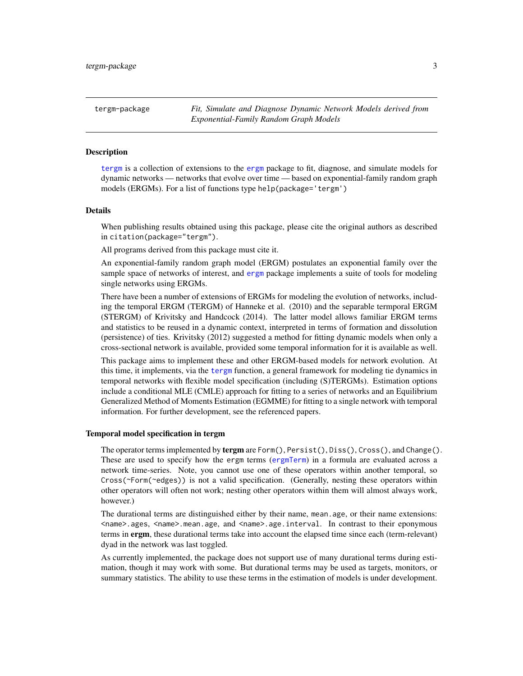<span id="page-2-1"></span><span id="page-2-0"></span>tergm-package *Fit, Simulate and Diagnose Dynamic Network Models derived from Exponential-Family Random Graph Models*

#### Description

[tergm](#page-2-1) is a collection of extensions to the [ergm](#page-0-0) package to fit, diagnose, and simulate models for dynamic networks — networks that evolve over time — based on exponential-family random graph models (ERGMs). For a list of functions type help(package='tergm')

#### Details

When publishing results obtained using this package, please cite the original authors as described in citation(package="tergm").

All programs derived from this package must cite it.

An exponential-family random graph model (ERGM) postulates an exponential family over the sample space of networks of interest, and [ergm](#page-0-0) package implements a suite of tools for modeling single networks using ERGMs.

There have been a number of extensions of ERGMs for modeling the evolution of networks, including the temporal ERGM (TERGM) of Hanneke et al. (2010) and the separable termporal ERGM (STERGM) of Krivitsky and Handcock (2014). The latter model allows familiar ERGM terms and statistics to be reused in a dynamic context, interpreted in terms of formation and dissolution (persistence) of ties. Krivitsky (2012) suggested a method for fitting dynamic models when only a cross-sectional network is available, provided some temporal information for it is available as well.

This package aims to implement these and other ERGM-based models for network evolution. At this time, it implements, via the [tergm](#page-55-1) function, a general framework for modeling tie dynamics in temporal networks with flexible model specification (including (S)TERGMs). Estimation options include a conditional MLE (CMLE) approach for fitting to a series of networks and an Equilibrium Generalized Method of Moments Estimation (EGMME) for fitting to a single network with temporal information. For further development, see the referenced papers.

#### Temporal model specification in tergm

The operator terms implemented by tergm are  $Form(),$  Persist(), Diss(), Cross(), and Change(). These are used to specify how the ergm terms ([ergmTerm](#page-0-0)) in a formula are evaluated across a network time-series. Note, you cannot use one of these operators within another temporal, so Cross(~Form(~edges)) is not a valid specification. (Generally, nesting these operators within other operators will often not work; nesting other operators within them will almost always work, however.)

The durational terms are distinguished either by their name, mean.age, or their name extensions: <name>.ages, <name>.mean.age, and <name>.age.interval. In contrast to their eponymous terms in ergm, these durational terms take into account the elapsed time since each (term-relevant) dyad in the network was last toggled.

As currently implemented, the package does not support use of many durational terms during estimation, though it may work with some. But durational terms may be used as targets, monitors, or summary statistics. The ability to use these terms in the estimation of models is under development.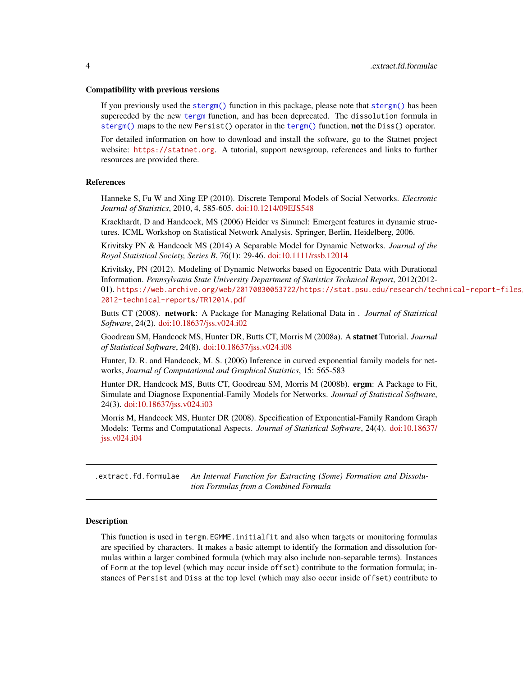#### <span id="page-3-0"></span>Compatibility with previous versions

If you previously used the [stergm\(\)](#page-51-1) function in this package, please note that [stergm\(\)](#page-51-1) has been superceded by the new [tergm](#page-55-1) function, and has been deprecated. The dissolution formula in [stergm\(\)](#page-51-1) maps to the new Persist() operator in the [tergm\(\)](#page-55-1) function, not the Diss() operator.

For detailed information on how to download and install the software, go to the Statnet project website: <https://statnet.org>. A tutorial, support newsgroup, references and links to further resources are provided there.

#### References

Hanneke S, Fu W and Xing EP (2010). Discrete Temporal Models of Social Networks. *Electronic Journal of Statistics*, 2010, 4, 585-605. [doi:10.1214/09EJS548](https://doi.org/10.1214/09-EJS548)

Krackhardt, D and Handcock, MS (2006) Heider vs Simmel: Emergent features in dynamic structures. ICML Workshop on Statistical Network Analysis. Springer, Berlin, Heidelberg, 2006.

Krivitsky PN & Handcock MS (2014) A Separable Model for Dynamic Networks. *Journal of the Royal Statistical Society, Series B*, 76(1): 29-46. [doi:10.1111/rssb.12014](https://doi.org/10.1111/rssb.12014)

Krivitsky, PN (2012). Modeling of Dynamic Networks based on Egocentric Data with Durational Information. *Pennsylvania State University Department of Statistics Technical Report*, 2012(2012- 01). [https://web.archive.org/web/20170830053722/https://stat.psu.edu/research/tec](https://web.archive.org/web/20170830053722/https://stat.psu.edu/research/technical-report-files/2012-technical-reports/TR1201A.pdf)hnical-report-files/ [2012-technical-reports/TR1201A.pdf](https://web.archive.org/web/20170830053722/https://stat.psu.edu/research/technical-report-files/2012-technical-reports/TR1201A.pdf)

Butts CT (2008). network: A Package for Managing Relational Data in . *Journal of Statistical Software*, 24(2). [doi:10.18637/jss.v024.i02](https://doi.org/10.18637/jss.v024.i02)

Goodreau SM, Handcock MS, Hunter DR, Butts CT, Morris M (2008a). A statnet Tutorial. *Journal of Statistical Software*, 24(8). [doi:10.18637/jss.v024.i08](https://doi.org/10.18637/jss.v024.i08)

Hunter, D. R. and Handcock, M. S. (2006) Inference in curved exponential family models for networks, *Journal of Computational and Graphical Statistics*, 15: 565-583

Hunter DR, Handcock MS, Butts CT, Goodreau SM, Morris M (2008b). ergm: A Package to Fit, Simulate and Diagnose Exponential-Family Models for Networks. *Journal of Statistical Software*, 24(3). [doi:10.18637/jss.v024.i03](https://doi.org/10.18637/jss.v024.i03)

Morris M, Handcock MS, Hunter DR (2008). Specification of Exponential-Family Random Graph Models: Terms and Computational Aspects. *Journal of Statistical Software*, 24(4). [doi:10.18637/](https://doi.org/10.18637/jss.v024.i04) [jss.v024.i04](https://doi.org/10.18637/jss.v024.i04)

<span id="page-3-1"></span>.extract.fd.formulae *An Internal Function for Extracting (Some) Formation and Dissolution Formulas from a Combined Formula*

#### **Description**

This function is used in tergm.EGMME.initialfit and also when targets or monitoring formulas are specified by characters. It makes a basic attempt to identify the formation and dissolution formulas within a larger combined formula (which may also include non-separable terms). Instances of Form at the top level (which may occur inside offset) contribute to the formation formula; instances of Persist and Diss at the top level (which may also occur inside offset) contribute to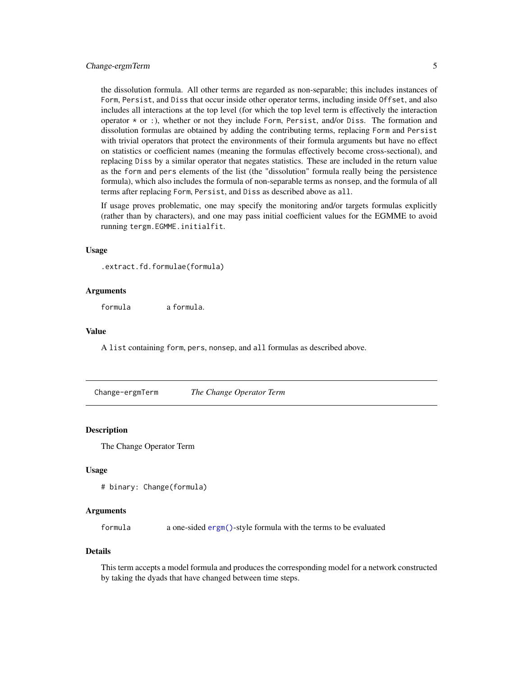### <span id="page-4-0"></span>Change-ergmTerm 5

the dissolution formula. All other terms are regarded as non-separable; this includes instances of Form, Persist, and Diss that occur inside other operator terms, including inside Offset, and also includes all interactions at the top level (for which the top level term is effectively the interaction operator  $*$  or :), whether or not they include Form, Persist, and/or Diss. The formation and dissolution formulas are obtained by adding the contributing terms, replacing Form and Persist with trivial operators that protect the environments of their formula arguments but have no effect on statistics or coefficient names (meaning the formulas effectively become cross-sectional), and replacing Diss by a similar operator that negates statistics. These are included in the return value as the form and pers elements of the list (the "dissolution" formula really being the persistence formula), which also includes the formula of non-separable terms as nonsep, and the formula of all terms after replacing Form, Persist, and Diss as described above as all.

If usage proves problematic, one may specify the monitoring and/or targets formulas explicitly (rather than by characters), and one may pass initial coefficient values for the EGMME to avoid running tergm.EGMME.initialfit.

### Usage

.extract.fd.formulae(formula)

#### Arguments

formula a formula.

#### Value

A list containing form, pers, nonsep, and all formulas as described above.

Change-ergmTerm *The Change Operator Term*

#### **Description**

The Change Operator Term

### Usage

```
# binary: Change(formula)
```
### Arguments

formula a one-sided [ergm\(\)](#page-0-0)-style formula with the terms to be evaluated

### Details

This term accepts a model formula and produces the corresponding model for a network constructed by taking the dyads that have changed between time steps.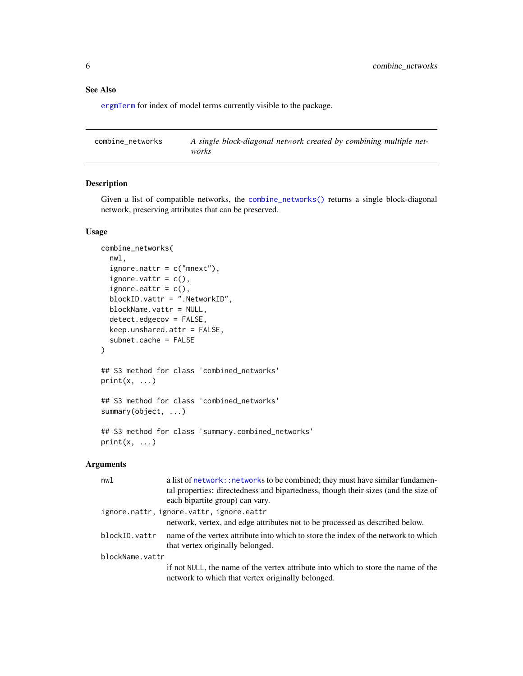### <span id="page-5-0"></span>See Also

[ergmTerm](#page-0-0) for index of model terms currently visible to the package.

<span id="page-5-1"></span>

| combine networks | A single block-diagonal network created by combining multiple net- |
|------------------|--------------------------------------------------------------------|
|                  | works                                                              |

### Description

Given a list of compatible networks, the [combine\\_networks\(\)](#page-5-1) returns a single block-diagonal network, preserving attributes that can be preserved.

#### Usage

```
combine_networks(
  nwl,
  ignore.nattr = c("mnext"),ignore.vattr = c(),
  ignore.eattr = c(),
 blockID.vattr = ".NetworkID",
 blockName.vattr = NULL,
  detect.edgecov = FALSE,
  keep.unshared.attr = FALSE,
  subnet.cache = FALSE
)
## S3 method for class 'combined_networks'
print(x, \ldots)## S3 method for class 'combined_networks'
summary(object, ...)
## S3 method for class 'summary.combined_networks'
print(x, \ldots)
```
### Arguments

| nwl             | a list of network: : networks to be combined; they must have similar fundamen-<br>tal properties: directedness and bipartedness, though their sizes (and the size of<br>each bipartite group) can vary. |
|-----------------|---------------------------------------------------------------------------------------------------------------------------------------------------------------------------------------------------------|
|                 | ignore.nattr, ignore.vattr, ignore.eattr                                                                                                                                                                |
|                 | network, vertex, and edge attributes not to be processed as described below.                                                                                                                            |
| blockID.vattr   | name of the vertex attribute into which to store the index of the network to which<br>that vertex originally belonged.                                                                                  |
| blockName.vattr |                                                                                                                                                                                                         |
|                 | if not NULL, the name of the vertex attribute into which to store the name of the<br>network to which that vertex originally belonged.                                                                  |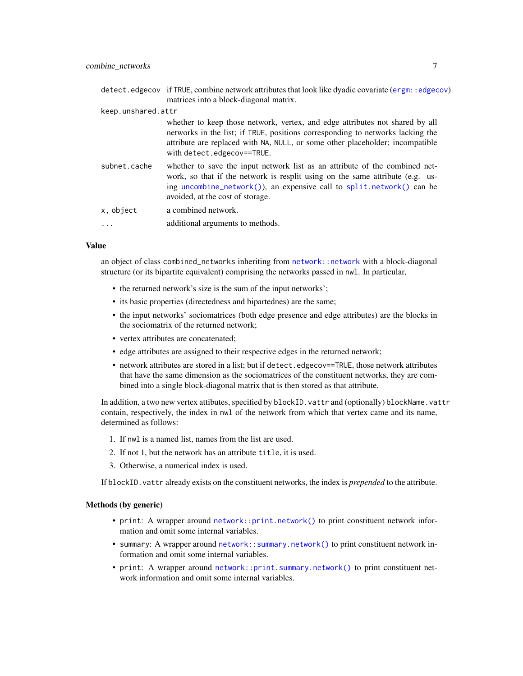<span id="page-6-0"></span>

|                    | detect.edgecov if TRUE, combine network attributes that look like dyadic covariate (ergm: : edgecov)<br>matrices into a block-diagonal matrix.                                                                                                                                |
|--------------------|-------------------------------------------------------------------------------------------------------------------------------------------------------------------------------------------------------------------------------------------------------------------------------|
| keep.unshared.attr |                                                                                                                                                                                                                                                                               |
|                    | whether to keep those network, vertex, and edge attributes not shared by all<br>networks in the list; if TRUE, positions corresponding to networks lacking the<br>attribute are replaced with NA, NULL, or some other placeholder; incompatible<br>with detect.edgecov==TRUE. |
| subnet.cache       | whether to save the input network list as an attribute of the combined net-<br>work, so that if the network is resplit using on the same attribute (e.g. us-<br>ing uncombine_network()), an expensive call to split.network() can be<br>avoided, at the cost of storage.     |
| x, object          | a combined network.                                                                                                                                                                                                                                                           |
| $\cdots$           | additional arguments to methods.                                                                                                                                                                                                                                              |

#### Value

an object of class combined\_networks inheriting from [network::network](#page-0-0) with a block-diagonal structure (or its bipartite equivalent) comprising the networks passed in nwl. In particular,

- the returned network's size is the sum of the input networks';
- its basic properties (directedness and bipartednes) are the same;
- the input networks' sociomatrices (both edge presence and edge attributes) are the blocks in the sociomatrix of the returned network;
- vertex attributes are concatenated;
- edge attributes are assigned to their respective edges in the returned network;
- network attributes are stored in a list; but if detect.edgecov==TRUE, those network attributes that have the same dimension as the sociomatrices of the constituent networks, they are combined into a single block-diagonal matrix that is then stored as that attribute.

In addition, a two new vertex attibutes, specified by blockID. vattr and (optionally) blockName. vattr contain, respectively, the index in nwl of the network from which that vertex came and its name, determined as follows:

- 1. If nwl is a named list, names from the list are used.
- 2. If not 1, but the network has an attribute title, it is used.
- 3. Otherwise, a numerical index is used.

If blockID. vattr already exists on the constituent networks, the index is *prepended* to the attribute.

#### Methods (by generic)

- print: A wrapper around [network::print.network\(\)](#page-0-0) to print constituent network information and omit some internal variables.
- summary: A wrapper around [network::summary.network\(\)](#page-0-0) to print constituent network information and omit some internal variables.
- print: A wrapper around [network::print.summary.network\(\)](#page-0-0) to print constituent network information and omit some internal variables.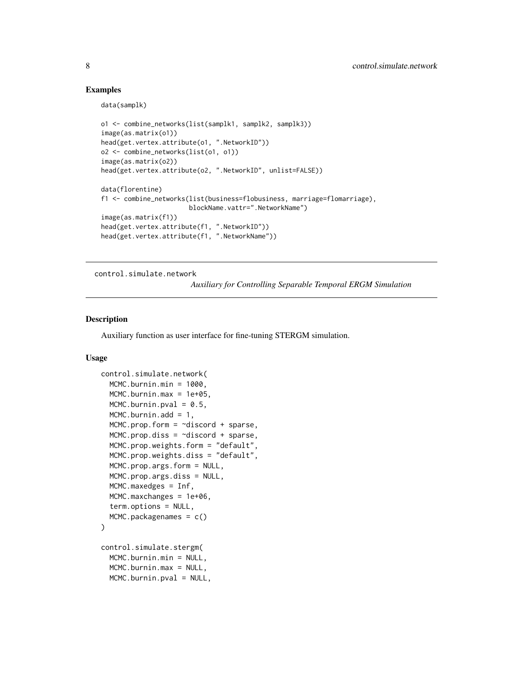### <span id="page-7-0"></span>Examples

data(samplk)

```
o1 <- combine_networks(list(samplk1, samplk2, samplk3))
image(as.matrix(o1))
head(get.vertex.attribute(o1, ".NetworkID"))
o2 <- combine_networks(list(o1, o1))
image(as.matrix(o2))
head(get.vertex.attribute(o2, ".NetworkID", unlist=FALSE))
data(florentine)
f1 <- combine_networks(list(business=flobusiness, marriage=flomarriage),
                       blockName.vattr=".NetworkName")
image(as.matrix(f1))
head(get.vertex.attribute(f1, ".NetworkID"))
head(get.vertex.attribute(f1, ".NetworkName"))
```
<span id="page-7-2"></span>control.simulate.network

*Auxiliary for Controlling Separable Temporal ERGM Simulation*

#### <span id="page-7-1"></span>Description

Auxiliary function as user interface for fine-tuning STERGM simulation.

### Usage

```
control.simulate.network(
  MCMC.burnin.min = 1000,
  MCMC.burnin.max = 1e+05,
  MCMC.burnin.pval = 0.5,
  MCMC.burnin.add = 1,
  MCMC.prop.form = \simdiscord + sparse,
  MCMC.prop.diss = ~discord + sparse,
  MCMC.prop.weights.form = "default",
  MCMC.prop.weights.diss = "default",
  MCMC.prop.args.form = NULL,
  MCMC.prop.args.diss = NULL,
  MCMC.maxedges = Inf,
  MCMC.maxchanges = 1e+06,
  term.options = NULL,
  MCMC.packagenames = c()
)
control.simulate.stergm(
  MCMC.burnin.min = NULL,
  MCMC.burnin.max = NULL,
  MCMC.burnin.pval = NULL,
```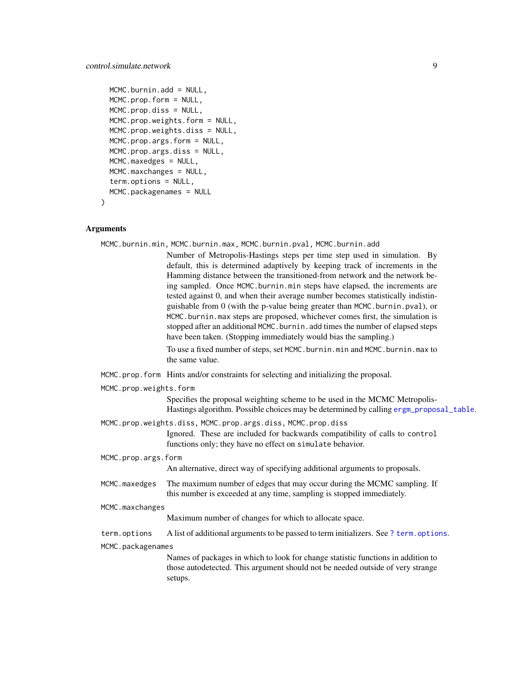```
MCMC.burnin.add = NULL,
MCMC.prop.form = NULL,
MCMC.prop.diss = NULL,
MCMC.prop.weights.form = NULL,
MCMC.prop.weights.diss = NULL,
MCMC.prop.args.form = NULL,
MCMC.prop.args.diss = NULL,
MCMC.maxedges = NULL,
MCMC.maxchanges = NULL,
term.options = NULL,
MCMC.packagenames = NULL
```
### Arguments

 $\mathcal{L}$ 

|                 |                        | MCMC.burnin.min, MCMC.burnin.max, MCMC.burnin.pval, MCMC.burnin.add                                                                                                                                                                                                                                                                                                                                                                                                                                                                                                                                                                                                                                                         |
|-----------------|------------------------|-----------------------------------------------------------------------------------------------------------------------------------------------------------------------------------------------------------------------------------------------------------------------------------------------------------------------------------------------------------------------------------------------------------------------------------------------------------------------------------------------------------------------------------------------------------------------------------------------------------------------------------------------------------------------------------------------------------------------------|
|                 |                        | Number of Metropolis-Hastings steps per time step used in simulation. By<br>default, this is determined adaptively by keeping track of increments in the<br>Hamming distance between the transitioned-from network and the network be-<br>ing sampled. Once MCMC.burnin.min steps have elapsed, the increments are<br>tested against 0, and when their average number becomes statistically indistin-<br>guishable from 0 (with the p-value being greater than MCMC.burnin.pval), or<br>MCMC.burnin.max steps are proposed, whichever comes first, the simulation is<br>stopped after an additional MCMC. burnin. add times the number of elapsed steps<br>have been taken. (Stopping immediately would bias the sampling.) |
|                 |                        | To use a fixed number of steps, set MCMC.burnin.min and MCMC.burnin.max to<br>the same value.                                                                                                                                                                                                                                                                                                                                                                                                                                                                                                                                                                                                                               |
|                 |                        | MCMC.prop.form Hints and/or constraints for selecting and initializing the proposal.                                                                                                                                                                                                                                                                                                                                                                                                                                                                                                                                                                                                                                        |
|                 | MCMC.prop.weights.form |                                                                                                                                                                                                                                                                                                                                                                                                                                                                                                                                                                                                                                                                                                                             |
|                 |                        | Specifies the proposal weighting scheme to be used in the MCMC Metropolis-<br>Hastings algorithm. Possible choices may be determined by calling ergm_proposal_table.                                                                                                                                                                                                                                                                                                                                                                                                                                                                                                                                                        |
|                 |                        | MCMC.prop.weights.diss, MCMC.prop.args.diss, MCMC.prop.diss<br>Ignored. These are included for backwards compatibility of calls to control<br>functions only; they have no effect on simulate behavior.                                                                                                                                                                                                                                                                                                                                                                                                                                                                                                                     |
|                 | MCMC.prop.args.form    |                                                                                                                                                                                                                                                                                                                                                                                                                                                                                                                                                                                                                                                                                                                             |
|                 |                        | An alternative, direct way of specifying additional arguments to proposals.                                                                                                                                                                                                                                                                                                                                                                                                                                                                                                                                                                                                                                                 |
|                 | MCMC.maxedges          | The maximum number of edges that may occur during the MCMC sampling. If<br>this number is exceeded at any time, sampling is stopped immediately.                                                                                                                                                                                                                                                                                                                                                                                                                                                                                                                                                                            |
| MCMC.maxchanges |                        |                                                                                                                                                                                                                                                                                                                                                                                                                                                                                                                                                                                                                                                                                                                             |
|                 |                        | Maximum number of changes for which to allocate space.                                                                                                                                                                                                                                                                                                                                                                                                                                                                                                                                                                                                                                                                      |
|                 | term.options           | A list of additional arguments to be passed to term initializers. See ? term. options.                                                                                                                                                                                                                                                                                                                                                                                                                                                                                                                                                                                                                                      |
|                 | MCMC.packagenames      |                                                                                                                                                                                                                                                                                                                                                                                                                                                                                                                                                                                                                                                                                                                             |
|                 |                        | Names of packages in which to look for change statistic functions in addition to<br>those autodetected. This argument should not be needed outside of very strange<br>setups.                                                                                                                                                                                                                                                                                                                                                                                                                                                                                                                                               |
|                 |                        |                                                                                                                                                                                                                                                                                                                                                                                                                                                                                                                                                                                                                                                                                                                             |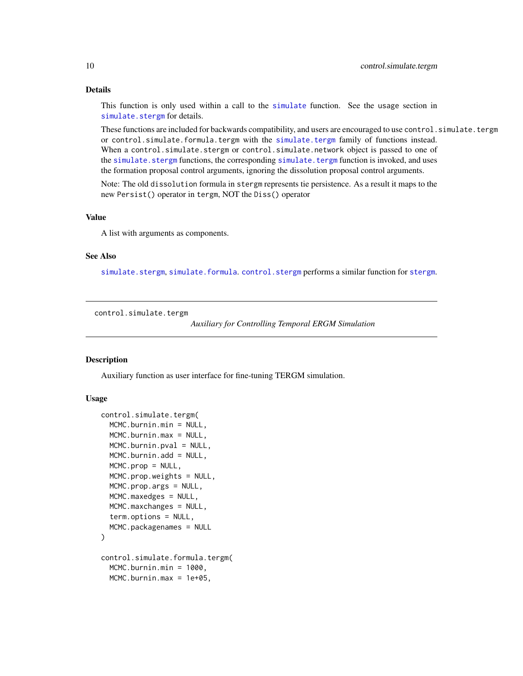### Details

This function is only used within a call to the [simulate](#page-0-0) function. See the usage section in [simulate.stergm](#page-40-1) for details.

These functions are included for backwards compatibility, and users are encouraged to use control. simulate.tergm or control.simulate.formula.tergm with the [simulate.tergm](#page-43-1) family of functions instead. When a control.simulate.stergm or control.simulate.network object is passed to one of the [simulate.stergm](#page-40-1) functions, the corresponding [simulate.tergm](#page-43-1) function is invoked, and uses the formation proposal control arguments, ignoring the dissolution proposal control arguments.

Note: The old dissolution formula in stergm represents tie persistence. As a result it maps to the new Persist() operator in tergm, NOT the Diss() operator

### Value

A list with arguments as components.

#### See Also

[simulate.stergm](#page-40-1), [simulate.formula](#page-0-0). [control.stergm](#page-11-1) performs a similar function for [stergm](#page-51-1).

<span id="page-9-1"></span>control.simulate.tergm

*Auxiliary for Controlling Temporal ERGM Simulation*

#### <span id="page-9-2"></span>Description

Auxiliary function as user interface for fine-tuning TERGM simulation.

### Usage

```
control.simulate.tergm(
  MCMC.burnin.min = NULL,
  MCMC.burnin.max = NULL,
  MCMC.burnin.pval = NULL,
  MCMC.burnin.add = NULL,
  MCMC.prop = NULL,MCMC.prop.weights = NULL,
  MCMC.prop.args = NULL,
  MCMC.maxedges = NULL,
  MCMC.maxchanges = NULL,
  term.options = NULL,
  MCMC.packagenames = NULL
)
control.simulate.formula.tergm(
  MCMC.burnin.min = 1000,
  MCMC.burnin.max = 1e+05,
```
<span id="page-9-0"></span>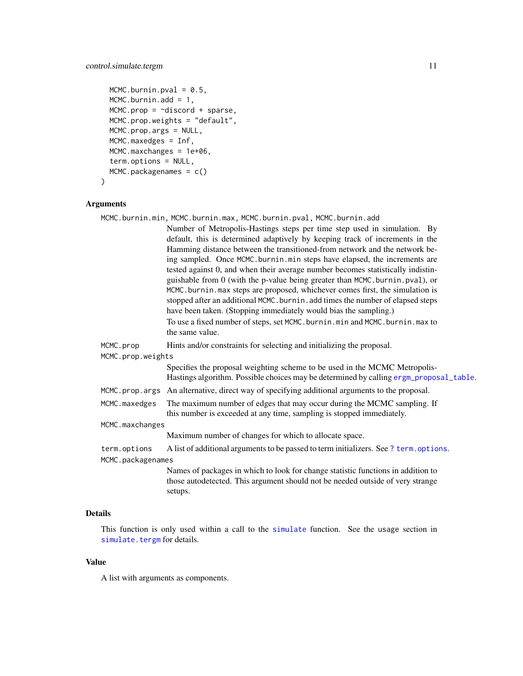```
MCMC.burnin.pval = 0.5,
MCMC.burnin.add = 1,
MCMC.prop = \sim\text{discord} + \text{sparse},MCMC.prop.weights = "default",
MCMC.prop.args = NULL,
MCMC.maxedges = Inf,
MCMC.maxchanges = 1e+06,
term.options = NULL,
MCMC.packagenames = c()
```
### Arguments

 $\mathcal{L}$ 

|                   | MCMC.burnin.min, MCMC.burnin.max, MCMC.burnin.pval, MCMC.burnin.add                                                                                                  |
|-------------------|----------------------------------------------------------------------------------------------------------------------------------------------------------------------|
|                   | Number of Metropolis-Hastings steps per time step used in simulation. By                                                                                             |
|                   | default, this is determined adaptively by keeping track of increments in the                                                                                         |
|                   | Hamming distance between the transitioned-from network and the network be-                                                                                           |
|                   | ing sampled. Once MCMC burnin min steps have elapsed, the increments are                                                                                             |
|                   | tested against 0, and when their average number becomes statistically indistin-                                                                                      |
|                   | guishable from 0 (with the p-value being greater than MCMC.burnin.pval), or                                                                                          |
|                   | MCMC.burnin.max steps are proposed, whichever comes first, the simulation is                                                                                         |
|                   | stopped after an additional MCMC. burnin. add times the number of elapsed steps                                                                                      |
|                   | have been taken. (Stopping immediately would bias the sampling.)                                                                                                     |
|                   | To use a fixed number of steps, set MCMC.burnin.min and MCMC.burnin.max to                                                                                           |
|                   | the same value.                                                                                                                                                      |
| MCMC.prop         | Hints and/or constraints for selecting and initializing the proposal.                                                                                                |
| MCMC.prop.weights |                                                                                                                                                                      |
|                   | Specifies the proposal weighting scheme to be used in the MCMC Metropolis-<br>Hastings algorithm. Possible choices may be determined by calling ergm_proposal_table. |
|                   |                                                                                                                                                                      |
|                   | MCMC.prop.args An alternative, direct way of specifying additional arguments to the proposal.                                                                        |
| MCMC.maxedges     | The maximum number of edges that may occur during the MCMC sampling. If<br>this number is exceeded at any time, sampling is stopped immediately.                     |
| MCMC.maxchanges   |                                                                                                                                                                      |
|                   | Maximum number of changes for which to allocate space.                                                                                                               |
| term.options      | A list of additional arguments to be passed to term initializers. See ? term. options.                                                                               |
| MCMC.packagenames |                                                                                                                                                                      |
|                   | Names of packages in which to look for change statistic functions in addition to<br>those autodetected. This argument should not be needed outside of very strange   |
|                   | setups.                                                                                                                                                              |

### Details

This function is only used within a call to the [simulate](#page-0-0) function. See the usage section in [simulate.tergm](#page-43-1) for details.

### Value

A list with arguments as components.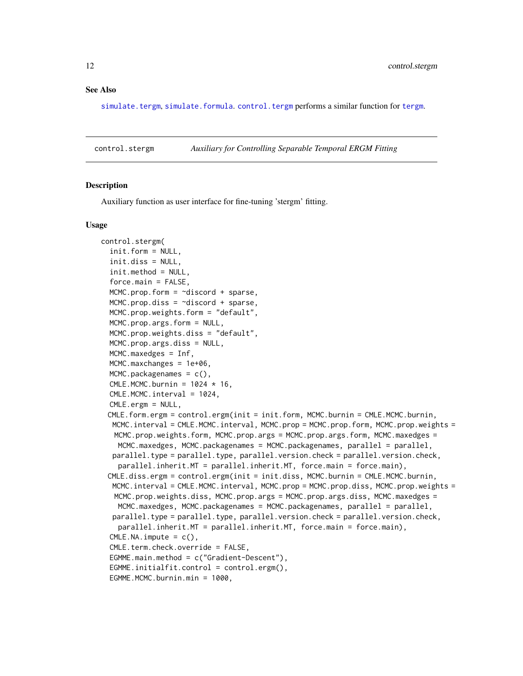#### <span id="page-11-0"></span>See Also

[simulate.tergm](#page-43-1), [simulate.formula](#page-0-0). [control.tergm](#page-19-1) performs a similar function for [tergm](#page-55-1).

<span id="page-11-1"></span>control.stergm *Auxiliary for Controlling Separable Temporal ERGM Fitting*

#### **Description**

Auxiliary function as user interface for fine-tuning 'stergm' fitting.

#### Usage

```
control.stergm(
  init.form = NULL,
  init.diss = NULL,
  init.method = NULL,
  force.main = FALSE,
  MCMC.prop.form = \simdiscord + sparse,
 MCMC.prop.diss = ~discord + sparse,
 MCMC.prop.weights.form = "default",
 MCMC.prop.args.form = NULL,
  MCMC.prop.weights.diss = "default",
 MCMC.prop.args.diss = NULL,
 MCMC.maxedges = Inf,
  MCMC.maxchanges = 1e+06,
  MCMC.packagenames = c().
  CMLE.MCMC.burnin = 1024 * 16,
  CMLE.MCMC.interval = 1024,
  CMLE.ergm = NULL,
 CMLE.form.ergm = control.ergm(init = init.form, MCMC.burnin = CMLE.MCMC.burnin,
  MCMC.interval = CMLE.MCMC.interval, MCMC.prop = MCMC.prop.form, MCMC.prop.weights =
   MCMC.prop.weights.form, MCMC.prop.args = MCMC.prop.args.form, MCMC.maxedges =
   MCMC.maxedges, MCMC.packagenames = MCMC.packagenames, parallel = parallel,
  parallel.type = parallel.type, parallel.version.check = parallel.version.check,
    parallel.inherit.MT = parallel.inherit.MT, force.main = force.main),
 CMLE.diss.ergm = control.ergm(init = init.diss, MCMC.burnin = CMLE.MCMC.burnin,
  MCMC.interval = CMLE.MCMC.interval, MCMC.prop = MCMC.prop.diss, MCMC.prop.weights =
   MCMC.prop.weights.diss, MCMC.prop.args = MCMC.prop.args.diss, MCMC.maxedges =
   MCMC.maxedges, MCMC.packagenames = MCMC.packagenames, parallel = parallel,
  parallel.type = parallel.type, parallel.version.check = parallel.version.check,
    parallel.inherit.MT = parallel.inherit.MT, force.main = force.main),
  CMLE.NA. impute = c(),
  CMLE.term.check.override = FALSE,
  EGMME.main.method = c("Gradient-Descent"),
  EGMME.initialfit.control = control.ergm(),
  EGMME.MCMC.burnin.min = 1000,
```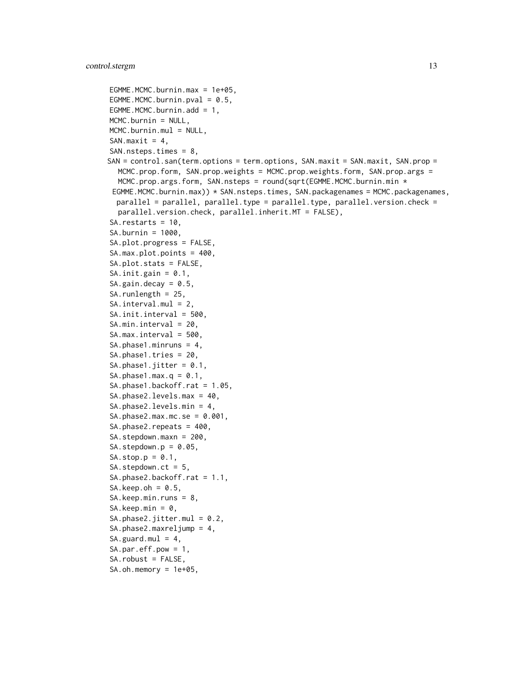```
EGMME.MCMC.burnin.max = 1e+05,
EGMME.MCMC.burnin.pval = 0.5,
EGMME.MCMC.burnin.add = 1,
MCMC.burnin = NULL,
MCMC.burnin.mul = NULL,
SAN.maxit = 4,
SAN.nsteps.times = 8,
SAN = control.san(term.options = term.options, SAN.maxit = SAN.maxit, SAN.prop =
  MCMC.prop.form, SAN.prop.weights = MCMC.prop.weights.form, SAN.prop.args =
  MCMC.prop.args.form, SAN.nsteps = round(sqrt(EGMME.MCMC.burnin.min *EGMME.MCMC.burnin.max)) * SAN.nsteps.times, SAN.packagenames = MCMC.packagenames,
  parallel = parallel, parallel.type = parallel.type, parallel.version.check =
  parallel.version.check, parallel.inherit.MT = FALSE),
SA.restarts = 10,
SA.burnin = 1000,
SA.plot.progress = FALSE,
SA.max.plot.points = 400,
SA.plot.stats = FALSE,
SA.init.gain = 0.1,
SA.gain.decay = 0.5,
SA.runlength = 25,
SA.interval.mul = 2,
SA.init.interval = 500,
SA.min.interval = 20,
SA.max.interval = 500,
SA.phase1.minruns = 4,
SA.phase1.tries = 20,
SA.phase1.jitter = 0.1,
SA.phase1.max.q = 0.1,
SA.phase1.backoff.rat = 1.05,
SA.phase2.levels.max = 40,
SA.phase2.levels.min = 4,
SA.phase2.max.mc.se = 0.001,
SA.phase2.repeats = 400,
SA.stepdown.maxn = 200,
SA. stepdown.p = 0.05,
SA.stop.p = 0.1,
SA.stepdown.ct = 5,
SA.phase2.backoff.rat = 1.1,
SA.keep.oh = 0.5,
SA.keep.min.runs = 8,
SA.keep.min = 0,
SA.phase2.jitter.mul = 0.2,
SA.phase2.maxreljump = 4,
SA.guard.mul = 4,SA.par.eff.pow = 1,
SA.robust = FALSE,
SA.oh.memory = 1e+05,
```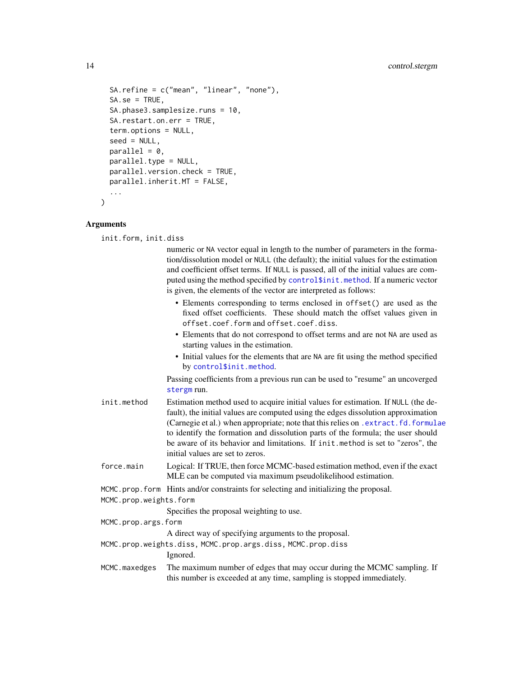```
SA.refine = c("mean", "linear", "none"),
  SA.se = TRUE,
  SA.phase3.samplesize.runs = 10,
  SA.restart.on.err = TRUE,
  term.options = NULL,
  seed = NULL,parallel = 0,
 parallel.type = NULL,
  parallel.version.check = TRUE,
 parallel.inherit.MT = FALSE,
  ...
)
```
#### Arguments

init.form, init.diss

numeric or NA vector equal in length to the number of parameters in the formation/dissolution model or NULL (the default); the initial values for the estimation and coefficient offset terms. If NULL is passed, all of the initial values are computed using the method specified by [control\\$init.method](#page-0-0). If a numeric vector is given, the elements of the vector are interpreted as follows:

- Elements corresponding to terms enclosed in offset() are used as the fixed offset coefficients. These should match the offset values given in offset.coef.form and offset.coef.diss.
- Elements that do not correspond to offset terms and are not NA are used as starting values in the estimation.
- Initial values for the elements that are NA are fit using the method specified by [control\\$init.method](#page-0-0).

Passing coefficients from a previous run can be used to "resume" an uncoverged [stergm](#page-51-1) run.

- init.method Estimation method used to acquire initial values for estimation. If NULL (the default), the initial values are computed using the edges dissolution approximation (Carnegie et al.) when appropriate; note that this relies on [.extract.fd.formulae](#page-3-1) to identify the formation and dissolution parts of the formula; the user should be aware of its behavior and limitations. If init.method is set to "zeros", the initial values are set to zeros.
- force.main Logical: If TRUE, then force MCMC-based estimation method, even if the exact MLE can be computed via maximum pseudolikelihood estimation.

```
MCMC.prop.form Hints and/or constraints for selecting and initializing the proposal.
```

```
MCMC.prop.weights.form
```
Specifies the proposal weighting to use.

MCMC.prop.args.form

A direct way of specifying arguments to the proposal.

- MCMC.prop.weights.diss, MCMC.prop.args.diss, MCMC.prop.diss
	- Ignored.
- MCMC.maxedges The maximum number of edges that may occur during the MCMC sampling. If this number is exceeded at any time, sampling is stopped immediately.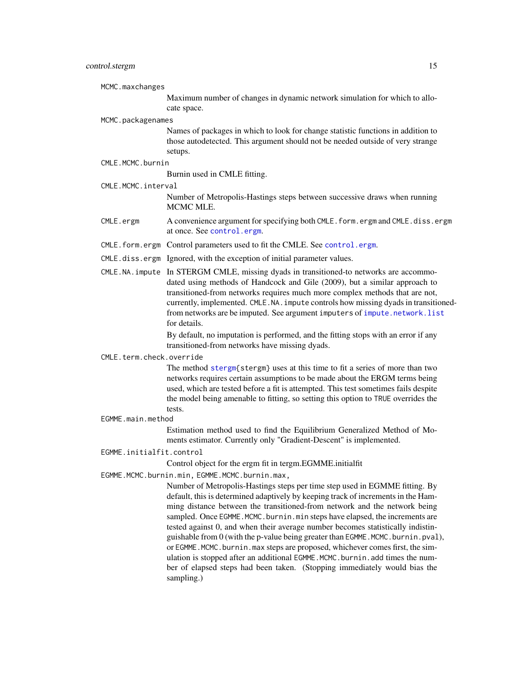<span id="page-14-0"></span>MCMC.maxchanges

Maximum number of changes in dynamic network simulation for which to allocate space.

#### MCMC.packagenames

Names of packages in which to look for change statistic functions in addition to those autodetected. This argument should not be needed outside of very strange setups.

### CMLE.MCMC.burnin

Burnin used in CMLE fitting.

CMLE.MCMC.interval

Number of Metropolis-Hastings steps between successive draws when running MCMC MLE.

- CMLE.ergm A convenience argument for specifying both CMLE.form.ergm and CMLE.diss.ergm at once. See [control.ergm](#page-0-0).
- CMLE.form.ergm Control parameters used to fit the CMLE. See [control.ergm](#page-0-0).
- CMLE.diss.ergm Ignored, with the exception of initial parameter values.
- CMLE.NA.impute In STERGM CMLE, missing dyads in transitioned-to networks are accommodated using methods of Handcock and Gile (2009), but a similar approach to transitioned-from networks requires much more complex methods that are not, currently, implemented. CMLE.NA.impute controls how missing dyads in transitionedfrom networks are be imputed. See argument imputers of [impute.network.list](#page-33-1) for details.

By default, no imputation is performed, and the fitting stops with an error if any transitioned-from networks have missing dyads.

#### CMLE.term.check.override

The method [stergm{](#page-51-1)stergm} uses at this time to fit a series of more than two networks requires certain assumptions to be made about the ERGM terms being used, which are tested before a fit is attempted. This test sometimes fails despite the model being amenable to fitting, so setting this option to TRUE overrides the tests.

#### EGMME.main.method

Estimation method used to find the Equilibrium Generalized Method of Moments estimator. Currently only "Gradient-Descent" is implemented.

EGMME.initialfit.control

Control object for the ergm fit in tergm.EGMME.initialfit

EGMME.MCMC.burnin.min, EGMME.MCMC.burnin.max,

Number of Metropolis-Hastings steps per time step used in EGMME fitting. By default, this is determined adaptively by keeping track of increments in the Hamming distance between the transitioned-from network and the network being sampled. Once EGMME. MCMC. burnin.min steps have elapsed, the increments are tested against 0, and when their average number becomes statistically indistinguishable from 0 (with the p-value being greater than EGMME.MCMC.burnin.pval), or EGMME.MCMC.burnin.max steps are proposed, whichever comes first, the simulation is stopped after an additional EGMME.MCMC.burnin.add times the number of elapsed steps had been taken. (Stopping immediately would bias the sampling.)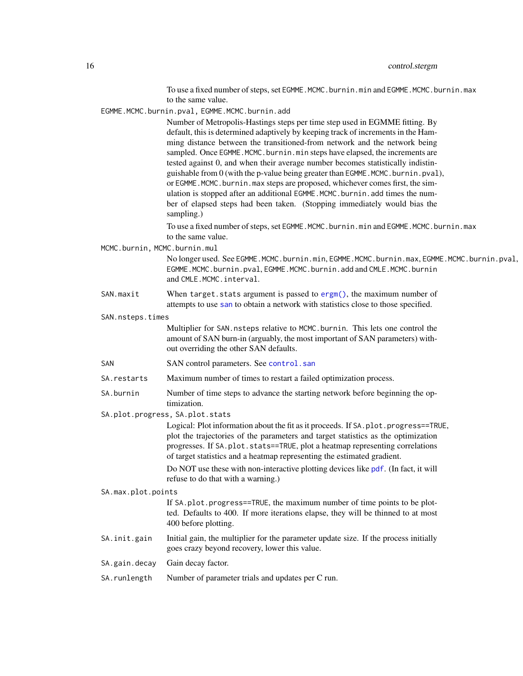To use a fixed number of steps, set EGMME.MCMC.burnin.min and EGMME.MCMC.burnin.max to the same value.

<span id="page-15-0"></span>EGMME.MCMC.burnin.pval, EGMME.MCMC.burnin.add

Number of Metropolis-Hastings steps per time step used in EGMME fitting. By default, this is determined adaptively by keeping track of increments in the Hamming distance between the transitioned-from network and the network being sampled. Once EGMME. MCMC. burnin.min steps have elapsed, the increments are tested against 0, and when their average number becomes statistically indistinguishable from 0 (with the p-value being greater than EGMME.MCMC.burnin.pval), or EGMME. MCMC. burnin.max steps are proposed, whichever comes first, the simulation is stopped after an additional EGMME.MCMC.burnin.add times the number of elapsed steps had been taken. (Stopping immediately would bias the sampling.)

To use a fixed number of steps, set EGMME.MCMC.burnin.min and EGMME.MCMC.burnin.max to the same value.

MCMC.burnin, MCMC.burnin.mul

No longer used. See EGMME.MCMC.burnin.min, EGMME.MCMC.burnin.max, EGMME.MCMC.burnin.pval, EGMME.MCMC.burnin.pval, EGMME.MCMC.burnin.add and CMLE.MCMC.burnin and CMLE.MCMC.interval.

SAN.maxit When target.stats argument is passed to [ergm\(\)](#page-0-0), the maximum number of attempts to use [san](#page-0-0) to obtain a network with statistics close to those specified.

SAN.nsteps.times

Multiplier for SAN.nsteps relative to MCMC.burnin. This lets one control the amount of SAN burn-in (arguably, the most important of SAN parameters) without overriding the other SAN defaults.

- SAN SAN control parameters. See [control.san](#page-0-0)
- SA.restarts Maximum number of times to restart a failed optimization process.
- SA.burnin Number of time steps to advance the starting network before beginning the optimization.
- SA.plot.progress, SA.plot.stats

Logical: Plot information about the fit as it proceeds. If SA.plot.progress==TRUE, plot the trajectories of the parameters and target statistics as the optimization progresses. If SA.plot.stats==TRUE, plot a heatmap representing correlations of target statistics and a heatmap representing the estimated gradient.

Do NOT use these with non-interactive plotting devices like [pdf](#page-0-0). (In fact, it will refuse to do that with a warning.)

SA.max.plot.points

If SA.plot.progress==TRUE, the maximum number of time points to be plotted. Defaults to 400. If more iterations elapse, they will be thinned to at most 400 before plotting.

- SA. init.gain Initial gain, the multiplier for the parameter update size. If the process initially goes crazy beyond recovery, lower this value.
- SA.gain.decay Gain decay factor.
- SA.runlength Number of parameter trials and updates per C run.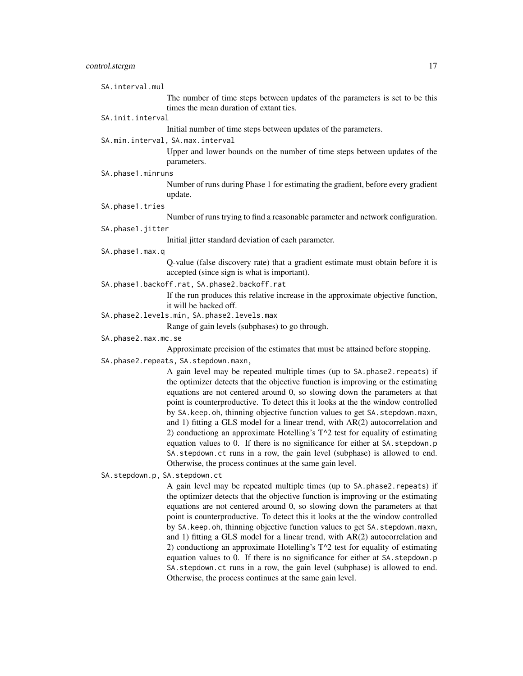| SA.interval.mul               |                                                                                                                                                                                                                                                                                                                                                                                                                                                                                                                                                                                                                                                                                                                                                                                                                   |
|-------------------------------|-------------------------------------------------------------------------------------------------------------------------------------------------------------------------------------------------------------------------------------------------------------------------------------------------------------------------------------------------------------------------------------------------------------------------------------------------------------------------------------------------------------------------------------------------------------------------------------------------------------------------------------------------------------------------------------------------------------------------------------------------------------------------------------------------------------------|
|                               | The number of time steps between updates of the parameters is set to be this<br>times the mean duration of extant ties.                                                                                                                                                                                                                                                                                                                                                                                                                                                                                                                                                                                                                                                                                           |
| SA.init.interval              |                                                                                                                                                                                                                                                                                                                                                                                                                                                                                                                                                                                                                                                                                                                                                                                                                   |
|                               | Initial number of time steps between updates of the parameters.                                                                                                                                                                                                                                                                                                                                                                                                                                                                                                                                                                                                                                                                                                                                                   |
|                               | SA.min.interval, SA.max.interval                                                                                                                                                                                                                                                                                                                                                                                                                                                                                                                                                                                                                                                                                                                                                                                  |
|                               | Upper and lower bounds on the number of time steps between updates of the<br>parameters.                                                                                                                                                                                                                                                                                                                                                                                                                                                                                                                                                                                                                                                                                                                          |
| SA.phase1.minruns             |                                                                                                                                                                                                                                                                                                                                                                                                                                                                                                                                                                                                                                                                                                                                                                                                                   |
|                               | Number of runs during Phase 1 for estimating the gradient, before every gradient<br>update.                                                                                                                                                                                                                                                                                                                                                                                                                                                                                                                                                                                                                                                                                                                       |
| SA.phase1.tries               |                                                                                                                                                                                                                                                                                                                                                                                                                                                                                                                                                                                                                                                                                                                                                                                                                   |
|                               | Number of runs trying to find a reasonable parameter and network configuration.                                                                                                                                                                                                                                                                                                                                                                                                                                                                                                                                                                                                                                                                                                                                   |
| SA.phase1.jitter              |                                                                                                                                                                                                                                                                                                                                                                                                                                                                                                                                                                                                                                                                                                                                                                                                                   |
|                               | Initial jitter standard deviation of each parameter.                                                                                                                                                                                                                                                                                                                                                                                                                                                                                                                                                                                                                                                                                                                                                              |
| SA.phase1.max.q               |                                                                                                                                                                                                                                                                                                                                                                                                                                                                                                                                                                                                                                                                                                                                                                                                                   |
|                               | Q-value (false discovery rate) that a gradient estimate must obtain before it is<br>accepted (since sign is what is important).                                                                                                                                                                                                                                                                                                                                                                                                                                                                                                                                                                                                                                                                                   |
|                               | SA.phase1.backoff.rat, SA.phase2.backoff.rat                                                                                                                                                                                                                                                                                                                                                                                                                                                                                                                                                                                                                                                                                                                                                                      |
|                               | If the run produces this relative increase in the approximate objective function,<br>it will be backed off.                                                                                                                                                                                                                                                                                                                                                                                                                                                                                                                                                                                                                                                                                                       |
|                               | SA.phase2.levels.min, SA.phase2.levels.max                                                                                                                                                                                                                                                                                                                                                                                                                                                                                                                                                                                                                                                                                                                                                                        |
|                               |                                                                                                                                                                                                                                                                                                                                                                                                                                                                                                                                                                                                                                                                                                                                                                                                                   |
|                               |                                                                                                                                                                                                                                                                                                                                                                                                                                                                                                                                                                                                                                                                                                                                                                                                                   |
|                               | Range of gain levels (subphases) to go through.                                                                                                                                                                                                                                                                                                                                                                                                                                                                                                                                                                                                                                                                                                                                                                   |
| SA.phase2.max.mc.se           |                                                                                                                                                                                                                                                                                                                                                                                                                                                                                                                                                                                                                                                                                                                                                                                                                   |
|                               | Approximate precision of the estimates that must be attained before stopping.                                                                                                                                                                                                                                                                                                                                                                                                                                                                                                                                                                                                                                                                                                                                     |
|                               | SA.phase2.repeats, SA.stepdown.maxn,                                                                                                                                                                                                                                                                                                                                                                                                                                                                                                                                                                                                                                                                                                                                                                              |
|                               | A gain level may be repeated multiple times (up to SA.phase2.repeats) if<br>the optimizer detects that the objective function is improving or the estimating<br>equations are not centered around 0, so slowing down the parameters at that<br>point is counterproductive. To detect this it looks at the the window controlled<br>by SA. keep. oh, thinning objective function values to get SA. stepdown. maxn,<br>and 1) fitting a GLS model for a linear trend, with AR(2) autocorrelation and<br>2) conductiong an approximate Hotelling's T^2 test for equality of estimating<br>equation values to 0. If there is no significance for either at SA. stepdown.p<br>SA. stepdown. ct runs in a row, the gain level (subphase) is allowed to end.<br>Otherwise, the process continues at the same gain level. |
| SA.stepdown.p, SA.stepdown.ct |                                                                                                                                                                                                                                                                                                                                                                                                                                                                                                                                                                                                                                                                                                                                                                                                                   |
|                               | A gain level may be repeated multiple times (up to SA. phase2. repeats) if<br>the optimizer detects that the objective function is improving or the estimating<br>equations are not centered around 0, so slowing down the parameters at that<br>point is counterproductive. To detect this it looks at the the window controlled<br>by SA. keep. oh, thinning objective function values to get SA. stepdown. maxn,<br>and 1) fitting a GLS model for a linear trend, with $AR(2)$ autocorrelation and<br>2) conductiong an approximate Hotelling's $T^2$ test for equality of estimating                                                                                                                                                                                                                         |

equation values to 0. If there is no significance for either at SA.stepdown.p SA.stepdown.ct runs in a row, the gain level (subphase) is allowed to end. Otherwise, the process continues at the same gain level.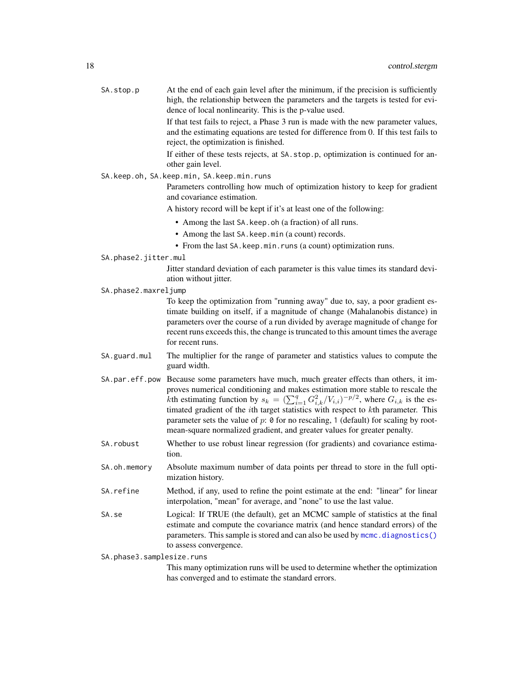<span id="page-17-0"></span>

| SA.stop.p            | At the end of each gain level after the minimum, if the precision is sufficiently<br>high, the relationship between the parameters and the targets is tested for evi-<br>dence of local nonlinearity. This is the p-value used.                                                                                                                                                                                                                                                    |
|----------------------|------------------------------------------------------------------------------------------------------------------------------------------------------------------------------------------------------------------------------------------------------------------------------------------------------------------------------------------------------------------------------------------------------------------------------------------------------------------------------------|
|                      | If that test fails to reject, a Phase 3 run is made with the new parameter values,<br>and the estimating equations are tested for difference from 0. If this test fails to<br>reject, the optimization is finished.                                                                                                                                                                                                                                                                |
|                      | If either of these tests rejects, at SA. stop.p, optimization is continued for an-<br>other gain level.                                                                                                                                                                                                                                                                                                                                                                            |
|                      | SA.keep.oh, SA.keep.min, SA.keep.min.runs                                                                                                                                                                                                                                                                                                                                                                                                                                          |
|                      | Parameters controlling how much of optimization history to keep for gradient<br>and covariance estimation.                                                                                                                                                                                                                                                                                                                                                                         |
|                      | A history record will be kept if it's at least one of the following:                                                                                                                                                                                                                                                                                                                                                                                                               |
|                      | • Among the last SA. keep. oh (a fraction) of all runs.                                                                                                                                                                                                                                                                                                                                                                                                                            |
|                      | • Among the last SA. keep. min (a count) records.                                                                                                                                                                                                                                                                                                                                                                                                                                  |
|                      | • From the last SA. keep. min. runs (a count) optimization runs.                                                                                                                                                                                                                                                                                                                                                                                                                   |
| SA.phase2.jitter.mul |                                                                                                                                                                                                                                                                                                                                                                                                                                                                                    |
|                      | Jitter standard deviation of each parameter is this value times its standard devi-<br>ation without jitter.                                                                                                                                                                                                                                                                                                                                                                        |
| SA.phase2.maxreljump |                                                                                                                                                                                                                                                                                                                                                                                                                                                                                    |
|                      | To keep the optimization from "running away" due to, say, a poor gradient es-<br>timate building on itself, if a magnitude of change (Mahalanobis distance) in<br>parameters over the course of a run divided by average magnitude of change for<br>recent runs exceeds this, the change is truncated to this amount times the average<br>for recent runs.                                                                                                                         |
| SA.guard.mul         | The multiplier for the range of parameter and statistics values to compute the<br>guard width.                                                                                                                                                                                                                                                                                                                                                                                     |
| SA.par.eff.pow       | Because some parameters have much, much greater effects than others, it im-<br>proves numerical conditioning and makes estimation more stable to rescale the<br>kth estimating function by $s_k = (\sum_{i=1}^q G_{i,k}^2 / V_{i,i})^{-p/2}$ , where $G_{i,k}$ is the es-<br>timated gradient of the <i>i</i> th target statistics with respect to <i>k</i> th parameter. This<br>parameter sets the value of $p: \mathfrak{G}$ for no rescaling, 1 (default) for scaling by root- |

SA.robust Whether to use robust linear regression (for gradients) and covariance estimation.

mean-square normalized gradient, and greater values for greater penalty.

- SA.oh.memory Absolute maximum number of data points per thread to store in the full optimization history.
- SA.refine Method, if any, used to refine the point estimate at the end: "linear" for linear interpolation, "mean" for average, and "none" to use the last value.
- SA.se Logical: If TRUE (the default), get an MCMC sample of statistics at the final estimate and compute the covariance matrix (and hence standard errors) of the parameters. This sample is stored and can also be used by [mcmc.diagnostics\(\)](#page-0-0) to assess convergence.

SA.phase3.samplesize.runs

This many optimization runs will be used to determine whether the optimization has converged and to estimate the standard errors.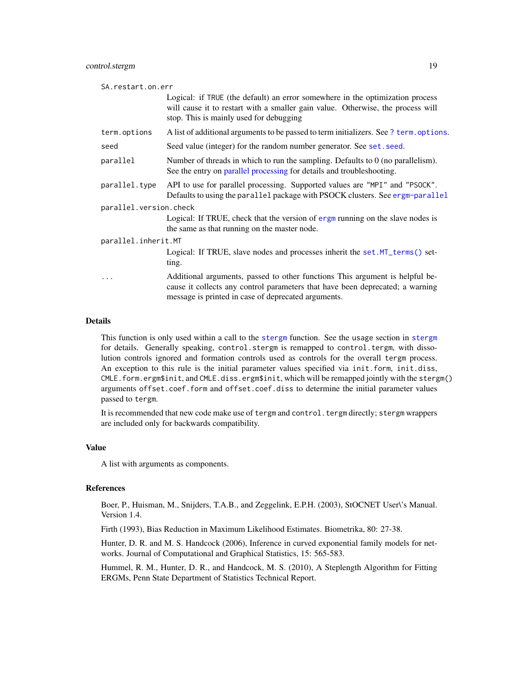<span id="page-18-0"></span>

| SA.restart.on.err                                                                                                                                                                                                    |  |  |
|----------------------------------------------------------------------------------------------------------------------------------------------------------------------------------------------------------------------|--|--|
| Logical: if TRUE (the default) an error somewhere in the optimization process<br>will cause it to restart with a smaller gain value. Otherwise, the process will<br>stop. This is mainly used for debugging          |  |  |
| A list of additional arguments to be passed to term initializers. See ? term. options.                                                                                                                               |  |  |
| Seed value (integer) for the random number generator. See set. seed.                                                                                                                                                 |  |  |
| Number of threads in which to run the sampling. Defaults to $0$ (no parallelism).<br>See the entry on parallel processing for details and troubleshooting.                                                           |  |  |
| API to use for parallel processing. Supported values are "MPI" and "PSOCK".<br>Defaults to using the parallel package with PSOCK clusters. See ergm-parallel                                                         |  |  |
| parallel.version.check                                                                                                                                                                                               |  |  |
| Logical: If TRUE, check that the version of ergm running on the slave nodes is<br>the same as that running on the master node.                                                                                       |  |  |
| parallel.inherit.MT                                                                                                                                                                                                  |  |  |
| Logical: If TRUE, slave nodes and processes inherit the set. MT_terms() set-<br>ting.                                                                                                                                |  |  |
| Additional arguments, passed to other functions This argument is helpful be-<br>cause it collects any control parameters that have been deprecated; a warning<br>message is printed in case of deprecated arguments. |  |  |
|                                                                                                                                                                                                                      |  |  |

### Details

This function is only used within a call to the [stergm](#page-51-1) function. See the usage section in [stergm](#page-51-1) for details. Generally speaking, control.stergm is remapped to control.tergm, with dissolution controls ignored and formation controls used as controls for the overall tergm process. An exception to this rule is the initial parameter values specified via init.form, init.diss, CMLE.form.ergm\$init, and CMLE.diss.ergm\$init, which will be remapped jointly with the stergm() arguments offset.coef.form and offset.coef.diss to determine the initial parameter values passed to tergm.

It is recommended that new code make use of tergm and control.tergm directly; stergm wrappers are included only for backwards compatibility.

### Value

A list with arguments as components.

#### References

Boer, P., Huisman, M., Snijders, T.A.B., and Zeggelink, E.P.H. (2003), StOCNET User\'s Manual. Version 1.4.

Firth (1993), Bias Reduction in Maximum Likelihood Estimates. Biometrika, 80: 27-38.

Hunter, D. R. and M. S. Handcock (2006), Inference in curved exponential family models for networks. Journal of Computational and Graphical Statistics, 15: 565-583.

Hummel, R. M., Hunter, D. R., and Handcock, M. S. (2010), A Steplength Algorithm for Fitting ERGMs, Penn State Department of Statistics Technical Report.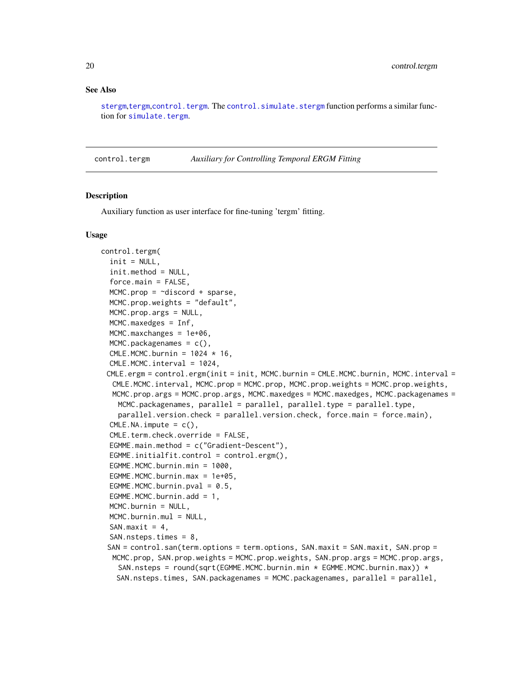#### <span id="page-19-0"></span>See Also

[stergm](#page-51-1),[tergm](#page-55-1),[control.tergm](#page-19-1). The [control.simulate.stergm](#page-7-1) function performs a similar function for [simulate.tergm](#page-43-1).

<span id="page-19-1"></span>control.tergm *Auxiliary for Controlling Temporal ERGM Fitting*

#### **Description**

Auxiliary function as user interface for fine-tuning 'tergm' fitting.

#### Usage

```
control.tergm(
  init = NULL,init.method = NULL,
  force.main = FALSE,
 MCMC.prop = \simdiscord + sparse,
 MCMC.prop.weights = "default",
 MCMC.prop.args = NULL,
 MCMC.maxedges = Inf,
 MCMC.maxchanges = 1e+06,
 MCMC.packagenames = c(),
  CMLE.MCMC.burnin = 1024 \times 16,
  CMLE.MCMC.interval = 1024,
 CMLE.ergm = control.ergm(init = init, MCMC.burnin = CMLE.MCMC.burnin, MCMC.interval =
  CMLE.MCMC.interval, MCMC.prop = MCMC.prop, MCMC.prop.weights = MCMC.prop.weights,
  MCMC.prop.args = MCMC.prop.args, MCMC.maxedges = MCMC.maxedges, MCMC.packagenames =
   MCMC.packagenames, parallel = parallel, parallel.type = parallel.type,
    parallel.version.check = parallel.version.check, force.main = force.main),
  CMLE.NA.impute = c(),
  CMLE.term.check.override = FALSE,
  EGMME.main.method = c("Gradient-Descent"),
  EGMME.initialfit.control = control.ergm(),
  EGMME.MCMC.burnin.min = 1000,
 EGMME.MCMC.burnin.max = 1e+05,
 EGMME.MCMC.burnin.pval = 0.5,
 EGMME.MCMC.burnin.add = 1,
 MCMC.burnin = NULL,
 MCMC.burnin.mul = NULL,
  SAN.maxit = 4,
  SAN.nsteps.times = 8,
 SAN = control.san(term.options = term.options, SAN.maxit = SAN.maxit, SAN.prop =
  MCMC.prop, SAN.prop.weights = MCMC.prop.weights, SAN.prop.args = MCMC.prop.args,
    SAN.nsteps = round(sqrt(EGMME.MCMC.burnin.min * EGMME.MCMC.burnin.max)) *SAN.nsteps.times, SAN.packagenames = MCMC.packagenames, parallel = parallel,
```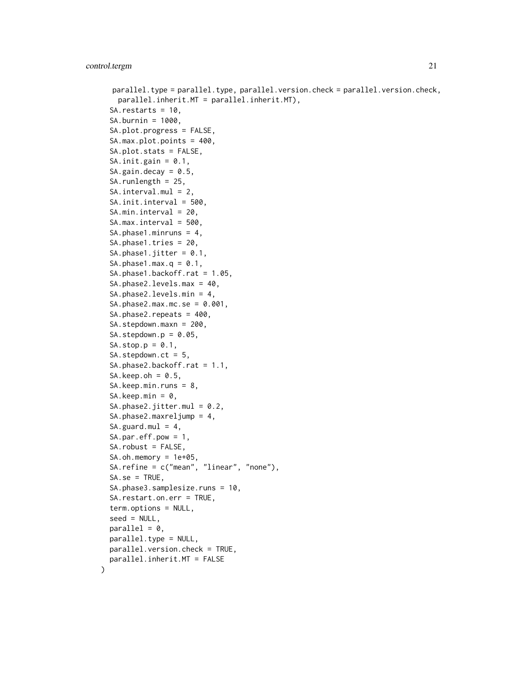```
parallel.type = parallel.type, parallel.version.check = parallel.version.check,
    parallel.inherit.MT = parallel.inherit.MT),
  SA.restarts = 10,
  SA.burnin = 1000,
  SA.plot.progress = FALSE,
  SA.max.plot.points = 400,
  SA.plot.stats = FALSE,
  SA.init.gain = 0.1,
  SA.gain.decay = 0.5,
  SA.runlength = 25,
  SA.interval.mul = 2,
  SA.init.interval = 500,
  SA.min.interval = 20,
  SA.max.interval = 500,
  SA.phase1.minruns = 4,
  SA.phase1.tries = 20,
  SA.phase1.jitter = 0.1,
  SA.phase1.max.q = 0.1,
  SA.phase1.backoff.rat = 1.05,
  SA.phase2.levels.max = 40,
  SA.phase2.levels.min = 4,
  SA.phase2.max.mc.se = 0.001,SA.phase2.repeats = 400,
  SA.stepdown.maxn = 200,
  SA. stepdown.p = 0.05,SA. stop.p = 0.1,SA.stepdown.ct = 5,
  SA.phase2.backoff.rat = 1.1,
  SA.keep.oh = 0.5,
  SA.keep.min.runs = 8,
  SA.keep.min = 0,
  SA.phase2.jitter.mul = 0.2,
  SA.phase2.maxreljump = 4,
  SA.guard.mul = 4,SA.par.eff.pow = 1,
  SA.robust = FALSE,
  SA.oh.memory = 1e+05,
  SA.refine = c("mean", "linear", "none"),
  SA.se = TRUE,
  SA.phase3.samplesize.runs = 10,
  SA.restart.on.err = TRUE,
  term.options = NULL,
  seed = NULL,
  parallel = 0,
 parallel.type = NULL,
 parallel.version.check = TRUE,
 parallel.inherit.MT = FALSE
)
```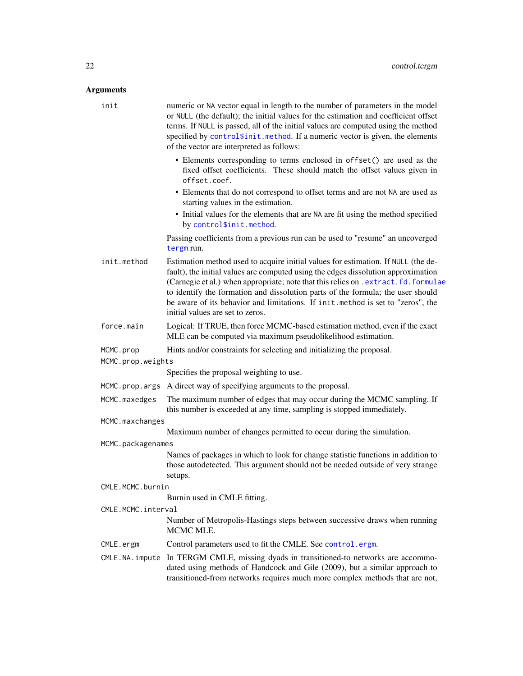### <span id="page-21-0"></span>Arguments

| Arguments          |                                                                                                                                                                                                                                                                                                                                                                                                                                                                        |
|--------------------|------------------------------------------------------------------------------------------------------------------------------------------------------------------------------------------------------------------------------------------------------------------------------------------------------------------------------------------------------------------------------------------------------------------------------------------------------------------------|
| init               | numeric or NA vector equal in length to the number of parameters in the model<br>or NULL (the default); the initial values for the estimation and coefficient offset<br>terms. If NULL is passed, all of the initial values are computed using the method<br>specified by control\$init.method. If a numeric vector is given, the elements<br>of the vector are interpreted as follows:                                                                                |
|                    | • Elements corresponding to terms enclosed in offset () are used as the<br>fixed offset coefficients. These should match the offset values given in<br>offset.coef.                                                                                                                                                                                                                                                                                                    |
|                    | • Elements that do not correspond to offset terms and are not NA are used as<br>starting values in the estimation.<br>• Initial values for the elements that are NA are fit using the method specified<br>by control\$init.method.                                                                                                                                                                                                                                     |
|                    | Passing coefficients from a previous run can be used to "resume" an uncoverged<br>tergm run.                                                                                                                                                                                                                                                                                                                                                                           |
| init.method        | Estimation method used to acquire initial values for estimation. If NULL (the de-<br>fault), the initial values are computed using the edges dissolution approximation<br>(Carnegie et al.) when appropriate; note that this relies on . extract.fd.formulae<br>to identify the formation and dissolution parts of the formula; the user should<br>be aware of its behavior and limitations. If init.method is set to "zeros", the<br>initial values are set to zeros. |
| force.main         | Logical: If TRUE, then force MCMC-based estimation method, even if the exact<br>MLE can be computed via maximum pseudolikelihood estimation.                                                                                                                                                                                                                                                                                                                           |
| MCMC.prop          | Hints and/or constraints for selecting and initializing the proposal.                                                                                                                                                                                                                                                                                                                                                                                                  |
| MCMC.prop.weights  |                                                                                                                                                                                                                                                                                                                                                                                                                                                                        |
|                    | Specifies the proposal weighting to use.                                                                                                                                                                                                                                                                                                                                                                                                                               |
| MCMC.prop.args     | A direct way of specifying arguments to the proposal.                                                                                                                                                                                                                                                                                                                                                                                                                  |
| MCMC.maxedges      | The maximum number of edges that may occur during the MCMC sampling. If<br>this number is exceeded at any time, sampling is stopped immediately.                                                                                                                                                                                                                                                                                                                       |
| MCMC.maxchanges    |                                                                                                                                                                                                                                                                                                                                                                                                                                                                        |
|                    | Maximum number of changes permitted to occur during the simulation.                                                                                                                                                                                                                                                                                                                                                                                                    |
| MCMC.packagenames  |                                                                                                                                                                                                                                                                                                                                                                                                                                                                        |
|                    | Names of packages in which to look for change statistic functions in addition to<br>those autodetected. This argument should not be needed outside of very strange<br>setups.                                                                                                                                                                                                                                                                                          |
| CMLE.MCMC.burnin   |                                                                                                                                                                                                                                                                                                                                                                                                                                                                        |
|                    | Burnin used in CMLE fitting.                                                                                                                                                                                                                                                                                                                                                                                                                                           |
| CMLE.MCMC.interval |                                                                                                                                                                                                                                                                                                                                                                                                                                                                        |
|                    | Number of Metropolis-Hastings steps between successive draws when running<br>MCMC MLE.                                                                                                                                                                                                                                                                                                                                                                                 |
| CMLE.ergm          | Control parameters used to fit the CMLE. See control.ergm.                                                                                                                                                                                                                                                                                                                                                                                                             |
|                    | CMLE.NA.impute In TERGM CMLE, missing dyads in transitioned-to networks are accommo-<br>dated using methods of Handcock and Gile (2009), but a similar approach to                                                                                                                                                                                                                                                                                                     |

transitioned-from networks requires much more complex methods that are not,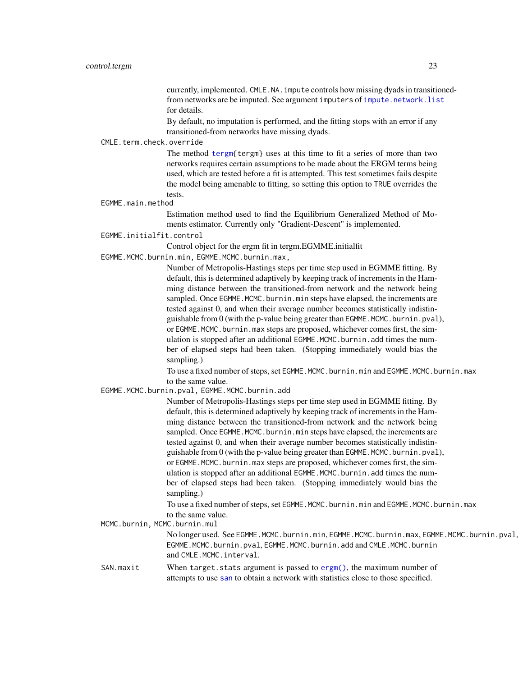currently, implemented. CMLE.NA.impute controls how missing dyads in transitionedfrom networks are be imputed. See argument imputers of [impute.network.list](#page-33-1) for details.

By default, no imputation is performed, and the fitting stops with an error if any transitioned-from networks have missing dyads.

#### <span id="page-22-0"></span>CMLE.term.check.override

The method [tergm{](#page-55-1)tergm} uses at this time to fit a series of more than two networks requires certain assumptions to be made about the ERGM terms being used, which are tested before a fit is attempted. This test sometimes fails despite the model being amenable to fitting, so setting this option to TRUE overrides the tests.

#### EGMME.main.method

Estimation method used to find the Equilibrium Generalized Method of Moments estimator. Currently only "Gradient-Descent" is implemented.

#### EGMME.initialfit.control

Control object for the ergm fit in tergm.EGMME.initialfit

EGMME.MCMC.burnin.min, EGMME.MCMC.burnin.max,

Number of Metropolis-Hastings steps per time step used in EGMME fitting. By default, this is determined adaptively by keeping track of increments in the Hamming distance between the transitioned-from network and the network being sampled. Once EGMME. MCMC. burnin.min steps have elapsed, the increments are tested against 0, and when their average number becomes statistically indistinguishable from 0 (with the p-value being greater than EGMME.MCMC.burnin.pval), or EGMME.MCMC.burnin.max steps are proposed, whichever comes first, the simulation is stopped after an additional EGMME.MCMC.burnin.add times the number of elapsed steps had been taken. (Stopping immediately would bias the sampling.)

To use a fixed number of steps, set EGMME.MCMC.burnin.min and EGMME.MCMC.burnin.max to the same value.

EGMME.MCMC.burnin.pval, EGMME.MCMC.burnin.add

Number of Metropolis-Hastings steps per time step used in EGMME fitting. By default, this is determined adaptively by keeping track of increments in the Hamming distance between the transitioned-from network and the network being sampled. Once EGMME.MCMC.burnin.min steps have elapsed, the increments are tested against 0, and when their average number becomes statistically indistinguishable from  $0$  (with the p-value being greater than EGMME.MCMC.burnin.pval), or EGMME. MCMC. burnin.max steps are proposed, whichever comes first, the simulation is stopped after an additional EGMME.MCMC.burnin.add times the number of elapsed steps had been taken. (Stopping immediately would bias the sampling.)

To use a fixed number of steps, set EGMME.MCMC.burnin.min and EGMME.MCMC.burnin.max to the same value.

MCMC.burnin, MCMC.burnin.mul

No longer used. See EGMME.MCMC.burnin.min, EGMME.MCMC.burnin.max, EGMME.MCMC.burnin.pval, EGMME.MCMC.burnin.pval, EGMME.MCMC.burnin.add and CMLE.MCMC.burnin and CMLE.MCMC.interval.

SAN.maxit When target.stats argument is passed to [ergm\(\)](#page-0-0), the maximum number of attempts to use [san](#page-0-0) to obtain a network with statistics close to those specified.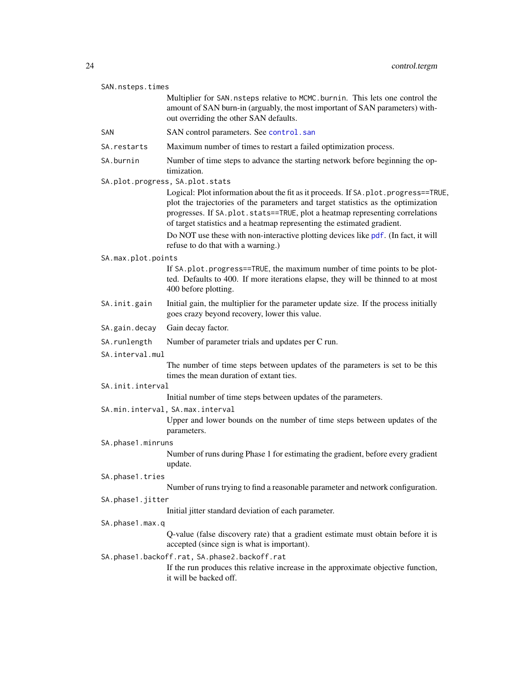<span id="page-23-0"></span>

| SAN.nsteps.times                                                |                                                                                                                                                                                                                                                                                                                                    |  |
|-----------------------------------------------------------------|------------------------------------------------------------------------------------------------------------------------------------------------------------------------------------------------------------------------------------------------------------------------------------------------------------------------------------|--|
|                                                                 | Multiplier for SAN. nsteps relative to MCMC. burnin. This lets one control the<br>amount of SAN burn-in (arguably, the most important of SAN parameters) with-<br>out overriding the other SAN defaults.                                                                                                                           |  |
| SAN                                                             | SAN control parameters. See control.san                                                                                                                                                                                                                                                                                            |  |
| SA.restarts                                                     | Maximum number of times to restart a failed optimization process.                                                                                                                                                                                                                                                                  |  |
| SA.burnin                                                       | Number of time steps to advance the starting network before beginning the op-<br>timization.                                                                                                                                                                                                                                       |  |
|                                                                 | SA.plot.progress, SA.plot.stats                                                                                                                                                                                                                                                                                                    |  |
|                                                                 | Logical: Plot information about the fit as it proceeds. If SA.plot.progress==TRUE,<br>plot the trajectories of the parameters and target statistics as the optimization<br>progresses. If SA.plot.stats==TRUE, plot a heatmap representing correlations<br>of target statistics and a heatmap representing the estimated gradient. |  |
|                                                                 | Do NOT use these with non-interactive plotting devices like pdf. (In fact, it will<br>refuse to do that with a warning.)                                                                                                                                                                                                           |  |
| SA.max.plot.points                                              |                                                                                                                                                                                                                                                                                                                                    |  |
|                                                                 | If SA. plot. progress==TRUE, the maximum number of time points to be plot-<br>ted. Defaults to 400. If more iterations elapse, they will be thinned to at most<br>400 before plotting.                                                                                                                                             |  |
| SA.init.gain                                                    | Initial gain, the multiplier for the parameter update size. If the process initially<br>goes crazy beyond recovery, lower this value.                                                                                                                                                                                              |  |
| SA.gain.decay                                                   | Gain decay factor.                                                                                                                                                                                                                                                                                                                 |  |
| SA.runlength                                                    | Number of parameter trials and updates per C run.                                                                                                                                                                                                                                                                                  |  |
| SA.interval.mul                                                 |                                                                                                                                                                                                                                                                                                                                    |  |
|                                                                 | The number of time steps between updates of the parameters is set to be this<br>times the mean duration of extant ties.                                                                                                                                                                                                            |  |
| SA.init.interval                                                |                                                                                                                                                                                                                                                                                                                                    |  |
| Initial number of time steps between updates of the parameters. |                                                                                                                                                                                                                                                                                                                                    |  |
|                                                                 | SA.min.interval, SA.max.interval<br>Upper and lower bounds on the number of time steps between updates of the<br>parameters.                                                                                                                                                                                                       |  |
| SA.phase1.minruns                                               |                                                                                                                                                                                                                                                                                                                                    |  |
|                                                                 | Number of runs during Phase 1 for estimating the gradient, before every gradient<br>update.                                                                                                                                                                                                                                        |  |
| SA.phase1.tries                                                 |                                                                                                                                                                                                                                                                                                                                    |  |
|                                                                 | Number of runs trying to find a reasonable parameter and network configuration.                                                                                                                                                                                                                                                    |  |
| SA.phase1.jitter                                                |                                                                                                                                                                                                                                                                                                                                    |  |
|                                                                 | Initial jitter standard deviation of each parameter.                                                                                                                                                                                                                                                                               |  |
| SA.phase1.max.q                                                 |                                                                                                                                                                                                                                                                                                                                    |  |
|                                                                 | Q-value (false discovery rate) that a gradient estimate must obtain before it is<br>accepted (since sign is what is important).                                                                                                                                                                                                    |  |
| SA.phase1.backoff.rat, SA.phase2.backoff.rat                    |                                                                                                                                                                                                                                                                                                                                    |  |
|                                                                 | If the run produces this relative increase in the approximate objective function,<br>it will be backed off.                                                                                                                                                                                                                        |  |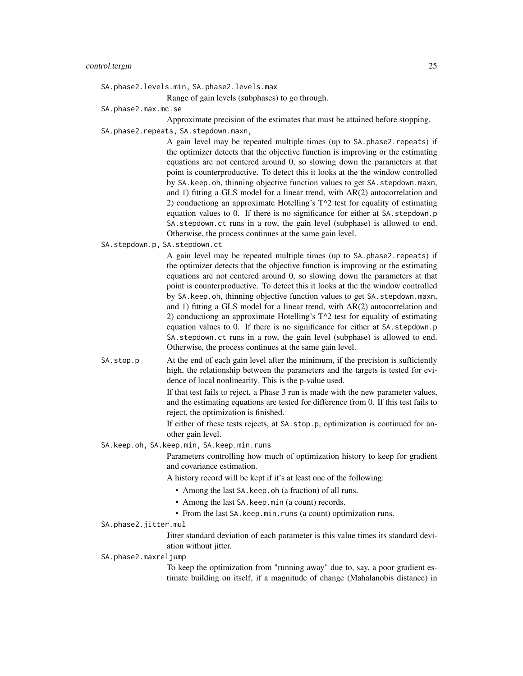SA.phase2.levels.min, SA.phase2.levels.max

Range of gain levels (subphases) to go through.

SA.phase2.max.mc.se

Approximate precision of the estimates that must be attained before stopping. SA.phase2.repeats, SA.stepdown.maxn,

> A gain level may be repeated multiple times (up to SA.phase2.repeats) if the optimizer detects that the objective function is improving or the estimating equations are not centered around 0, so slowing down the parameters at that point is counterproductive. To detect this it looks at the the window controlled by SA.keep.oh, thinning objective function values to get SA.stepdown.maxn, and 1) fitting a GLS model for a linear trend, with AR(2) autocorrelation and 2) conductiong an approximate Hotelling's T^2 test for equality of estimating equation values to 0. If there is no significance for either at SA.stepdown.p SA.stepdown.ct runs in a row, the gain level (subphase) is allowed to end. Otherwise, the process continues at the same gain level.

SA.stepdown.p, SA.stepdown.ct

A gain level may be repeated multiple times (up to SA.phase2.repeats) if the optimizer detects that the objective function is improving or the estimating equations are not centered around 0, so slowing down the parameters at that point is counterproductive. To detect this it looks at the the window controlled by SA.keep.oh, thinning objective function values to get SA.stepdown.maxn, and 1) fitting a GLS model for a linear trend, with AR(2) autocorrelation and 2) conductiong an approximate Hotelling's T^2 test for equality of estimating equation values to 0. If there is no significance for either at SA.stepdown.p SA.stepdown.ct runs in a row, the gain level (subphase) is allowed to end. Otherwise, the process continues at the same gain level.

SA.stop.p At the end of each gain level after the minimum, if the precision is sufficiently high, the relationship between the parameters and the targets is tested for evidence of local nonlinearity. This is the p-value used.

> If that test fails to reject, a Phase 3 run is made with the new parameter values, and the estimating equations are tested for difference from 0. If this test fails to reject, the optimization is finished.

> If either of these tests rejects, at SA.stop.p, optimization is continued for another gain level.

SA.keep.oh, SA.keep.min, SA.keep.min.runs

Parameters controlling how much of optimization history to keep for gradient and covariance estimation.

A history record will be kept if it's at least one of the following:

- Among the last SA.keep.oh (a fraction) of all runs.
- Among the last SA.keep.min (a count) records.
- From the last SA.keep.min.runs (a count) optimization runs.
- SA.phase2.jitter.mul

Jitter standard deviation of each parameter is this value times its standard deviation without jitter.

SA.phase2.maxreljump

To keep the optimization from "running away" due to, say, a poor gradient estimate building on itself, if a magnitude of change (Mahalanobis distance) in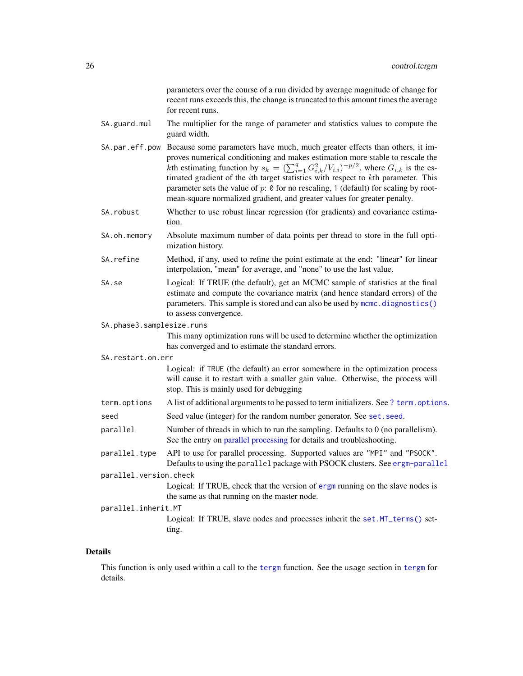parameters over the course of a run divided by average magnitude of change for recent runs exceeds this, the change is truncated to this amount times the average for recent runs.

- <span id="page-25-0"></span>SA.guard.mul The multiplier for the range of parameter and statistics values to compute the guard width.
- SA.par.eff.pow Because some parameters have much, much greater effects than others, it improves numerical conditioning and makes estimation more stable to rescale the kth estimating function by  $s_k = (\sum_{i=1}^q G_{i,k}^2/V_{i,i})^{-p/2}$ , where  $G_{i,k}$  is the estimated gradient of the ith target statistics with respect to kth parameter. This parameter sets the value of  $p$ :  $\theta$  for no rescaling, 1 (default) for scaling by rootmean-square normalized gradient, and greater values for greater penalty.
- SA. robust Whether to use robust linear regression (for gradients) and covariance estimation.
- SA.oh.memory Absolute maximum number of data points per thread to store in the full optimization history.
- SA.refine Method, if any, used to refine the point estimate at the end: "linear" for linear interpolation, "mean" for average, and "none" to use the last value.
- SA.se Logical: If TRUE (the default), get an MCMC sample of statistics at the final estimate and compute the covariance matrix (and hence standard errors) of the parameters. This sample is stored and can also be used by [mcmc.diagnostics\(\)](#page-0-0) to assess convergence.
- SA.phase3.samplesize.runs

This many optimization runs will be used to determine whether the optimization has converged and to estimate the standard errors.

SA.restart.on.err

Logical: if TRUE (the default) an error somewhere in the optimization process will cause it to restart with a smaller gain value. Otherwise, the process will stop. This is mainly used for debugging

- term.options A list of additional arguments to be passed to term initializers. See [? term.options](#page-0-0).
- seed Seed value (integer) for the random number generator. See set. seed.
- parallel Number of threads in which to run the sampling. Defaults to 0 (no parallelism). See the entry on [parallel processing](#page-0-0) for details and troubleshooting.
- parallel.type API to use for parallel processing. Supported values are "MPI" and "PSOCK". Defaults to using the parallel package with PSOCK clusters. See [ergm-parallel](#page-0-0)

parallel.version.check

Logical: If TRUE, check that the version of [ergm](#page-0-0) running on the slave nodes is the same as that running on the master node.

parallel.inherit.MT

Logical: If TRUE, slave nodes and processes inherit the set. MT\_terms() setting.

#### Details

This function is only used within a call to the [tergm](#page-55-1) function. See the usage section in [tergm](#page-55-1) for details.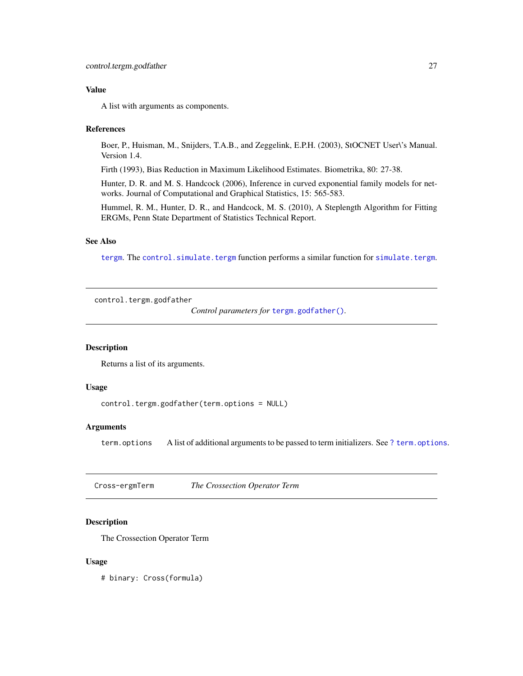### <span id="page-26-0"></span>Value

A list with arguments as components.

### **References**

Boer, P., Huisman, M., Snijders, T.A.B., and Zeggelink, E.P.H. (2003), StOCNET User\'s Manual. Version 1.4.

Firth (1993), Bias Reduction in Maximum Likelihood Estimates. Biometrika, 80: 27-38.

Hunter, D. R. and M. S. Handcock (2006), Inference in curved exponential family models for networks. Journal of Computational and Graphical Statistics, 15: 565-583.

Hummel, R. M., Hunter, D. R., and Handcock, M. S. (2010), A Steplength Algorithm for Fitting ERGMs, Penn State Department of Statistics Technical Report.

#### See Also

[tergm](#page-55-1). The [control.simulate.tergm](#page-9-1) function performs a similar function for [simulate.tergm](#page-43-1).

<span id="page-26-1"></span>control.tergm.godfather

*Control parameters for* [tergm.godfather\(\)](#page-59-1)*.*

### Description

Returns a list of its arguments.

### Usage

```
control.tergm.godfather(term.options = NULL)
```
### Arguments

term.options A list of additional arguments to be passed to term initializers. See [? term.options](#page-0-0).

Cross-ergmTerm *The Crossection Operator Term*

### **Description**

The Crossection Operator Term

#### Usage

# binary: Cross(formula)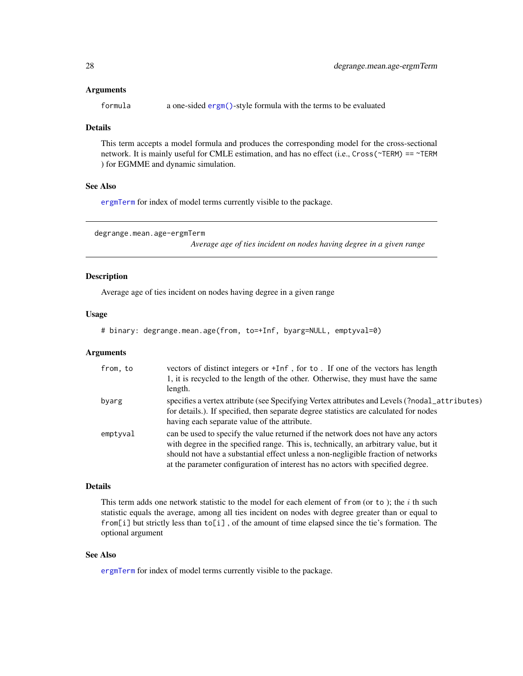#### <span id="page-27-0"></span>**Arguments**

formula a one-sided [ergm\(\)](#page-0-0)-style formula with the terms to be evaluated

### Details

This term accepts a model formula and produces the corresponding model for the cross-sectional network. It is mainly useful for CMLE estimation, and has no effect (i.e., Cross(~TERM) == ~TERM ) for EGMME and dynamic simulation.

### See Also

[ergmTerm](#page-0-0) for index of model terms currently visible to the package.

degrange.mean.age-ergmTerm

*Average age of ties incident on nodes having degree in a given range*

### Description

Average age of ties incident on nodes having degree in a given range

### Usage

```
# binary: degrange.mean.age(from, to=+Inf, byarg=NULL, emptyval=0)
```
### Arguments

| from, to | vectors of distinct integers or +Inf, for to. If one of the vectors has length<br>1, it is recycled to the length of the other. Otherwise, they must have the same<br>length.                                                                                                                                                                     |
|----------|---------------------------------------------------------------------------------------------------------------------------------------------------------------------------------------------------------------------------------------------------------------------------------------------------------------------------------------------------|
| byarg    | specifies a vertex attribute (see Specifying Vertex attributes and Levels (?nodal_attributes)<br>for details.). If specified, then separate degree statistics are calculated for nodes<br>having each separate value of the attribute.                                                                                                            |
| emptyval | can be used to specify the value returned if the network does not have any actors<br>with degree in the specified range. This is, technically, an arbitrary value, but it<br>should not have a substantial effect unless a non-negligible fraction of networks<br>at the parameter configuration of interest has no actors with specified degree. |

#### Details

This term adds one network statistic to the model for each element of from (or to); the  $i$  th such statistic equals the average, among all ties incident on nodes with degree greater than or equal to from[i] but strictly less than  $to$ [i], of the amount of time elapsed since the tie's formation. The optional argument

### See Also

[ergmTerm](#page-0-0) for index of model terms currently visible to the package.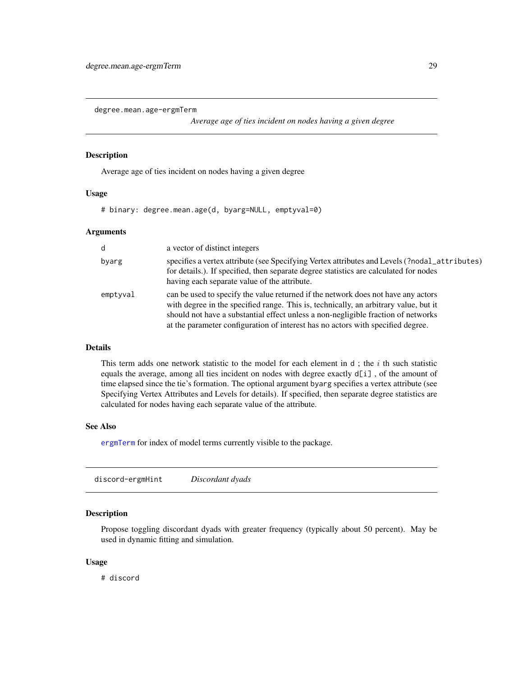<span id="page-28-0"></span>degree.mean.age-ergmTerm

*Average age of ties incident on nodes having a given degree*

### Description

Average age of ties incident on nodes having a given degree

### Usage

# binary: degree.mean.age(d, byarg=NULL, emptyval=0)

#### Arguments

| d        | a vector of distinct integers                                                                                                                                                                                                                                                                                                                     |
|----------|---------------------------------------------------------------------------------------------------------------------------------------------------------------------------------------------------------------------------------------------------------------------------------------------------------------------------------------------------|
| byarg    | specifies a vertex attribute (see Specifying Vertex attributes and Levels (?nodal_attributes)<br>for details.). If specified, then separate degree statistics are calculated for nodes<br>having each separate value of the attribute.                                                                                                            |
| emptyval | can be used to specify the value returned if the network does not have any actors<br>with degree in the specified range. This is, technically, an arbitrary value, but it<br>should not have a substantial effect unless a non-negligible fraction of networks<br>at the parameter configuration of interest has no actors with specified degree. |

### Details

This term adds one network statistic to the model for each element in  $d$ ; the  $i$  th such statistic equals the average, among all ties incident on nodes with degree exactly d[i] , of the amount of time elapsed since the tie's formation. The optional argument byarg specifies a vertex attribute (see Specifying Vertex Attributes and Levels for details). If specified, then separate degree statistics are calculated for nodes having each separate value of the attribute.

### See Also

[ergmTerm](#page-0-0) for index of model terms currently visible to the package.

|--|

### Description

Propose toggling discordant dyads with greater frequency (typically about 50 percent). May be used in dynamic fitting and simulation.

#### Usage

# discord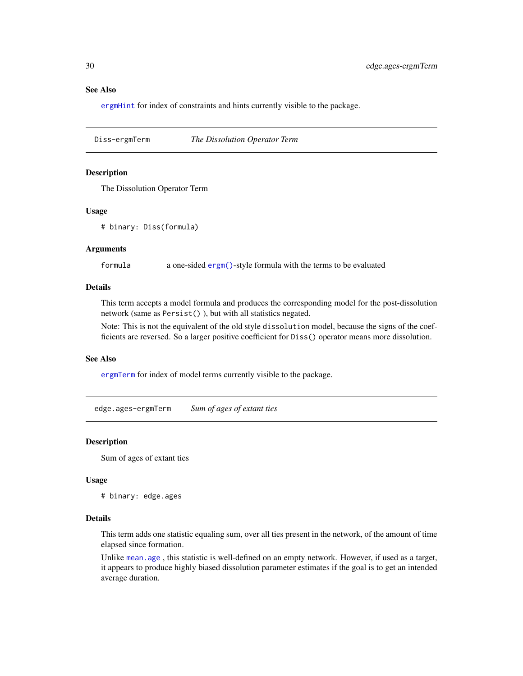### See Also

[ergmHint](#page-0-0) for index of constraints and hints currently visible to the package.

Diss-ergmTerm *The Dissolution Operator Term*

### Description

The Dissolution Operator Term

#### Usage

# binary: Diss(formula)

### Arguments

formula a one-sided [ergm\(\)](#page-0-0)-style formula with the terms to be evaluated

### Details

This term accepts a model formula and produces the corresponding model for the post-dissolution network (same as Persist() ), but with all statistics negated.

Note: This is not the equivalent of the old style dissolution model, because the signs of the coefficients are reversed. So a larger positive coefficient for Diss() operator means more dissolution.

#### See Also

[ergmTerm](#page-0-0) for index of model terms currently visible to the package.

edge.ages-ergmTerm *Sum of ages of extant ties*

### Description

Sum of ages of extant ties

#### Usage

# binary: edge.ages

#### Details

This term adds one statistic equaling sum, over all ties present in the network, of the amount of time elapsed since formation.

Unlike [mean.age](#page-35-1) , this statistic is well-defined on an empty network. However, if used as a target, it appears to produce highly biased dissolution parameter estimates if the goal is to get an intended average duration.

<span id="page-29-0"></span>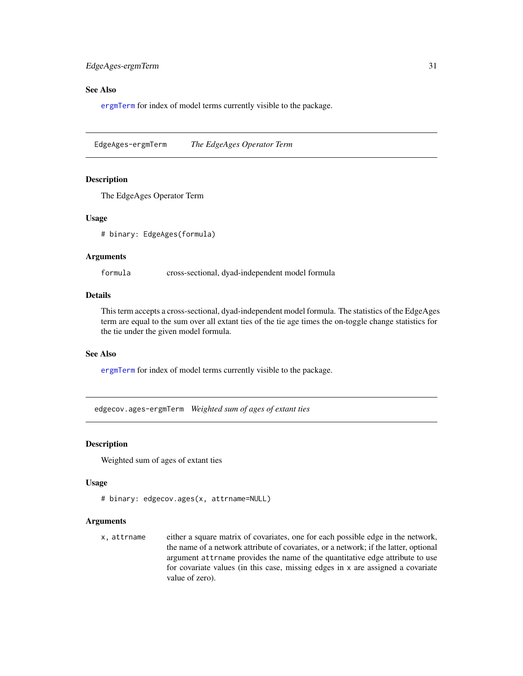### <span id="page-30-0"></span>See Also

[ergmTerm](#page-0-0) for index of model terms currently visible to the package.

EdgeAges-ergmTerm *The EdgeAges Operator Term*

#### **Description**

The EdgeAges Operator Term

#### Usage

# binary: EdgeAges(formula)

#### Arguments

formula cross-sectional, dyad-independent model formula

### Details

This term accepts a cross-sectional, dyad-independent model formula. The statistics of the EdgeAges term are equal to the sum over all extant ties of the tie age times the on-toggle change statistics for the tie under the given model formula.

#### See Also

[ergmTerm](#page-0-0) for index of model terms currently visible to the package.

edgecov.ages-ergmTerm *Weighted sum of ages of extant ties*

#### Description

Weighted sum of ages of extant ties

#### Usage

```
# binary: edgecov.ages(x, attrname=NULL)
```
### Arguments

x, attrname either a square matrix of covariates, one for each possible edge in the network, the name of a network attribute of covariates, or a network; if the latter, optional argument attrname provides the name of the quantitative edge attribute to use for covariate values (in this case, missing edges in x are assigned a covariate value of zero).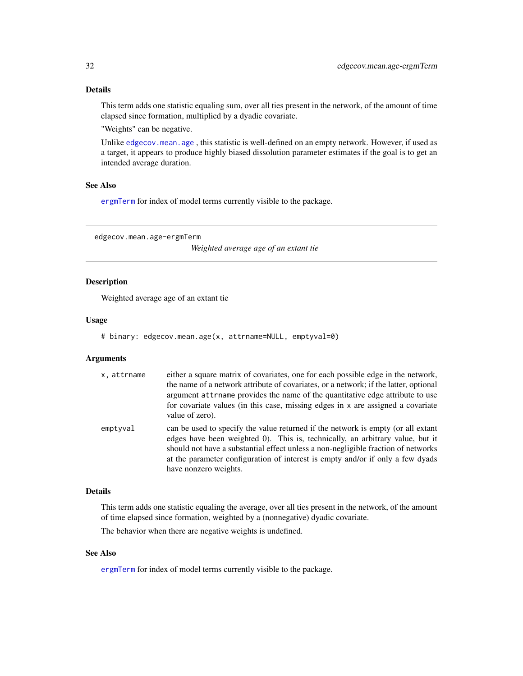### <span id="page-31-0"></span>Details

This term adds one statistic equaling sum, over all ties present in the network, of the amount of time elapsed since formation, multiplied by a dyadic covariate.

"Weights" can be negative.

Unlike [edgecov.mean.age](#page-31-1) , this statistic is well-defined on an empty network. However, if used as a target, it appears to produce highly biased dissolution parameter estimates if the goal is to get an intended average duration.

### See Also

[ergmTerm](#page-0-0) for index of model terms currently visible to the package.

<span id="page-31-1"></span>edgecov.mean.age-ergmTerm

*Weighted average age of an extant tie*

### Description

Weighted average age of an extant tie

#### Usage

```
# binary: edgecov.mean.age(x, attrname=NULL, emptyval=0)
```
#### **Arguments**

| x, attrname | either a square matrix of covariates, one for each possible edge in the network,<br>the name of a network attribute of covariates, or a network; if the latter, optional<br>argument attrname provides the name of the quantitative edge attribute to use<br>for covariate values (in this case, missing edges in x are assigned a covariate<br>value of zero).   |
|-------------|-------------------------------------------------------------------------------------------------------------------------------------------------------------------------------------------------------------------------------------------------------------------------------------------------------------------------------------------------------------------|
| emptyval    | can be used to specify the value returned if the network is empty (or all extant<br>edges have been weighted 0). This is, technically, an arbitrary value, but it<br>should not have a substantial effect unless a non-negligible fraction of networks<br>at the parameter configuration of interest is empty and/or if only a few dyads<br>have nonzero weights. |

#### Details

This term adds one statistic equaling the average, over all ties present in the network, of the amount of time elapsed since formation, weighted by a (nonnegative) dyadic covariate.

The behavior when there are negative weights is undefined.

### See Also

[ergmTerm](#page-0-0) for index of model terms currently visible to the package.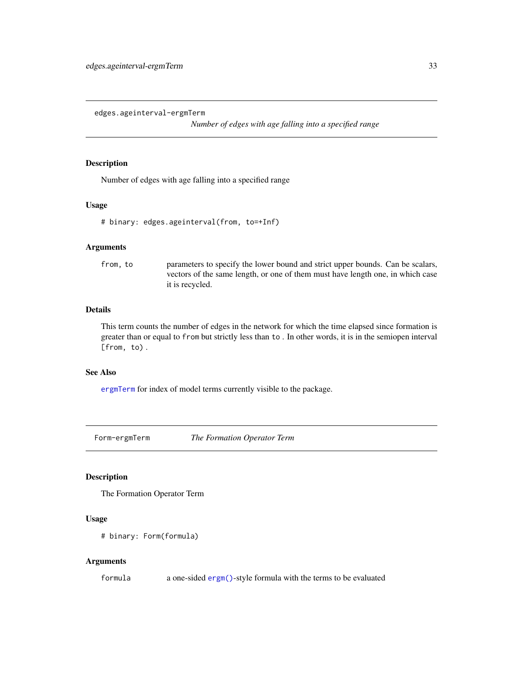<span id="page-32-0"></span>edges.ageinterval-ergmTerm

*Number of edges with age falling into a specified range*

### Description

Number of edges with age falling into a specified range

#### Usage

```
# binary: edges.ageinterval(from, to=+Inf)
```
### Arguments

from, to parameters to specify the lower bound and strict upper bounds. Can be scalars, vectors of the same length, or one of them must have length one, in which case it is recycled.

### Details

This term counts the number of edges in the network for which the time elapsed since formation is greater than or equal to from but strictly less than to . In other words, it is in the semiopen interval [from, to) .

### See Also

[ergmTerm](#page-0-0) for index of model terms currently visible to the package.

Form-ergmTerm *The Formation Operator Term*

#### Description

The Formation Operator Term

### Usage

```
# binary: Form(formula)
```
#### Arguments

formula a one-sided [ergm\(\)](#page-0-0)-style formula with the terms to be evaluated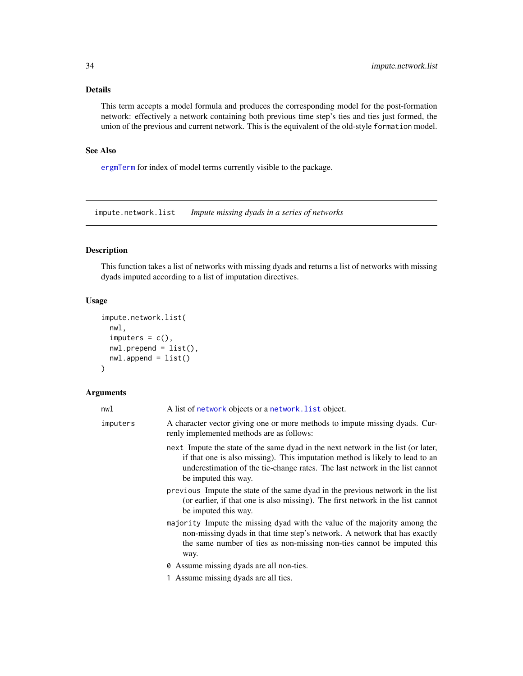### <span id="page-33-0"></span>Details

This term accepts a model formula and produces the corresponding model for the post-formation network: effectively a network containing both previous time step's ties and ties just formed, the union of the previous and current network. This is the equivalent of the old-style formation model.

### See Also

[ergmTerm](#page-0-0) for index of model terms currently visible to the package.

<span id="page-33-1"></span>impute.network.list *Impute missing dyads in a series of networks*

### Description

This function takes a list of networks with missing dyads and returns a list of networks with missing dyads imputed according to a list of imputation directives.

### Usage

```
impute.network.list(
 nwl,
  imputers = c(),
 nwl.prepend = list(),
 nwl.append = list())
```
#### Arguments

| nwl      | A list of network objects or a network. List object.                                                                                                                                                                                                                      |
|----------|---------------------------------------------------------------------------------------------------------------------------------------------------------------------------------------------------------------------------------------------------------------------------|
| imputers | A character vector giving one or more methods to impute missing dyads. Cur-<br>renly implemented methods are as follows:                                                                                                                                                  |
|          | next Impute the state of the same dyad in the next network in the list (or later,<br>if that one is also missing). This imputation method is likely to lead to an<br>underestimation of the tie-change rates. The last network in the list cannot<br>be imputed this way. |
|          | previous Impute the state of the same dyad in the previous network in the list<br>(or earlier, if that one is also missing). The first network in the list cannot<br>be imputed this way.                                                                                 |
|          | majority Impute the missing dyad with the value of the majority among the<br>non-missing dyads in that time step's network. A network that has exactly<br>the same number of ties as non-missing non-ties cannot be imputed this<br>way.                                  |
|          | <b><math>\theta</math></b> Assume missing dyads are all non-ties.                                                                                                                                                                                                         |
|          | 1 Assume missing dyads are all ties.                                                                                                                                                                                                                                      |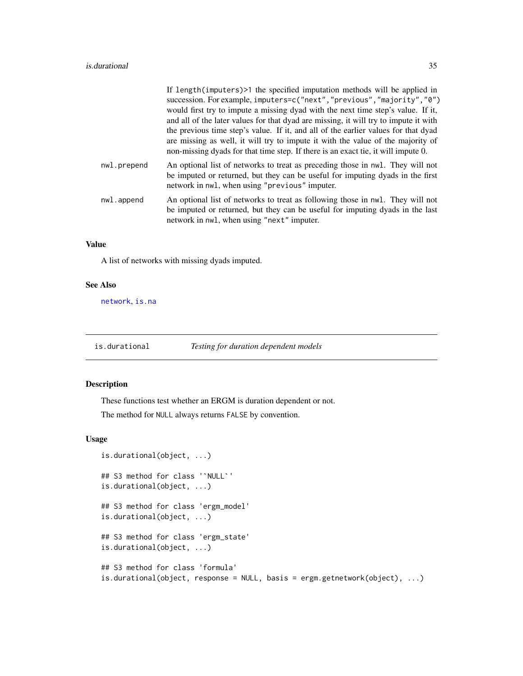<span id="page-34-0"></span>

|             | If length(imputers)>1 the specified imputation methods will be applied in                                                                                                                                          |
|-------------|--------------------------------------------------------------------------------------------------------------------------------------------------------------------------------------------------------------------|
|             | succession. For example, imputers=c("next", "previous", "majority", "0")                                                                                                                                           |
|             | would first try to impute a missing dyad with the next time step's value. If it,                                                                                                                                   |
|             | and all of the later values for that dyad are missing, it will try to impute it with                                                                                                                               |
|             | the previous time step's value. If it, and all of the earlier values for that dyad                                                                                                                                 |
|             | are missing as well, it will try to impute it with the value of the majority of<br>non-missing dyads for that time step. If there is an exact tie, it will impute 0.                                               |
| nwl.prepend | An optional list of networks to treat as preceding those in nwl. They will not<br>be imputed or returned, but they can be useful for imputing dyads in the first<br>network in nwl, when using "previous" imputer. |
| nwl.append  | An optional list of networks to treat as following those in nwl. They will not<br>be imputed or returned, but they can be useful for imputing dyads in the last<br>network in nwl, when using "next" imputer.      |

### Value

A list of networks with missing dyads imputed.

### See Also

[network](#page-0-0), [is.na](#page-0-0)

is.durational *Testing for duration dependent models*

### Description

These functions test whether an ERGM is duration dependent or not.

The method for NULL always returns FALSE by convention.

### Usage

```
is.durational(object, ...)
## S3 method for class '`NULL`'
is.durational(object, ...)
## S3 method for class 'ergm_model'
is.durational(object, ...)
## S3 method for class 'ergm_state'
is.durational(object, ...)
## S3 method for class 'formula'
is.durational(object, response = NULL, basis = ergm.getnetwork(object), ...)
```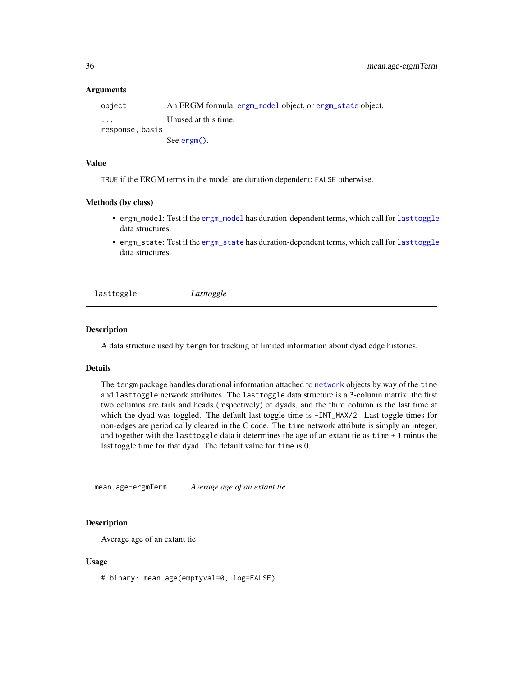#### <span id="page-35-0"></span>Arguments

| object                  | An ERGM formula, ergm_model object, or ergm_state object. |
|-------------------------|-----------------------------------------------------------|
| $\cdot$ $\cdot$ $\cdot$ | Unused at this time.                                      |
| response.basis          |                                                           |
|                         | See $\text{ergm}()$ .                                     |

### Value

TRUE if the ERGM terms in the model are duration dependent; FALSE otherwise.

#### Methods (by class)

- ergm\_model: Test if the [ergm\\_model](#page-0-0) has duration-dependent terms, which call for [lasttoggle](#page-35-2) data structures.
- ergm\_state: Test if the [ergm\\_state](#page-0-0) has duration-dependent terms, which call for [lasttoggle](#page-35-2) data structures.

<span id="page-35-2"></span>lasttoggle *Lasttoggle*

### **Description**

A data structure used by tergm for tracking of limited information about dyad edge histories.

### Details

The tergm package handles durational information attached to [network](#page-0-0) objects by way of the time and lasttoggle network attributes. The lasttoggle data structure is a 3-column matrix; the first two columns are tails and heads (respectively) of dyads, and the third column is the last time at which the dyad was toggled. The default last toggle time is -INT\_MAX/2. Last toggle times for non-edges are periodically cleared in the C code. The time network attribute is simply an integer, and together with the lasttoggle data it determines the age of an extant tie as time + 1 minus the last toggle time for that dyad. The default value for time is 0.

<span id="page-35-1"></span>mean.age-ergmTerm *Average age of an extant tie*

### Description

Average age of an extant tie

#### Usage

# binary: mean.age(emptyval=0, log=FALSE)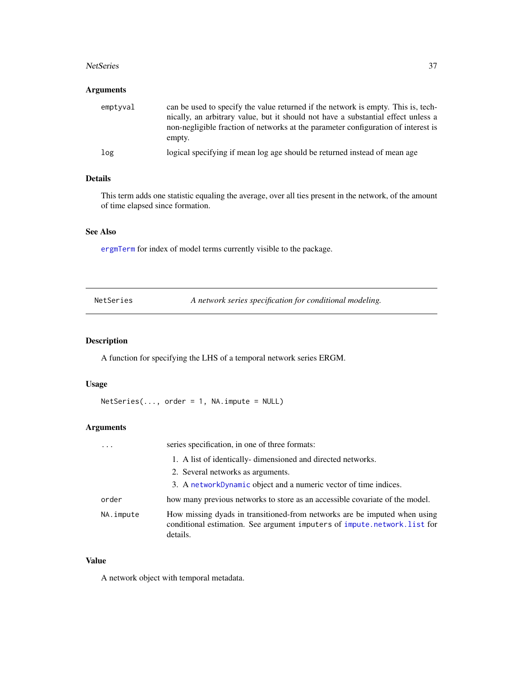#### <span id="page-36-0"></span>NetSeries 37

### Arguments

| emptyval | can be used to specify the value returned if the network is empty. This is, tech-<br>nically, an arbitrary value, but it should not have a substantial effect unless a<br>non-negligible fraction of networks at the parameter configuration of interest is |
|----------|-------------------------------------------------------------------------------------------------------------------------------------------------------------------------------------------------------------------------------------------------------------|
|          | empty.                                                                                                                                                                                                                                                      |
| log      | logical specifying if mean log age should be returned instead of mean age                                                                                                                                                                                   |

### Details

This term adds one statistic equaling the average, over all ties present in the network, of the amount of time elapsed since formation.

### See Also

[ergmTerm](#page-0-0) for index of model terms currently visible to the package.

| NetSeries | A network series specification for conditional modeling. |
|-----------|----------------------------------------------------------|
|-----------|----------------------------------------------------------|

### Description

A function for specifying the LHS of a temporal network series ERGM.

### Usage

 $Netseries(..., order = 1, NA.\nimplies = NULL)$ 

### Arguments

| $\cdots$  | series specification, in one of three formats:                                                                                                                    |
|-----------|-------------------------------------------------------------------------------------------------------------------------------------------------------------------|
|           | 1. A list of identically-dimensioned and directed networks.                                                                                                       |
|           | 2. Several networks as arguments.                                                                                                                                 |
|           | 3. A networkDynamic object and a numeric vector of time indices.                                                                                                  |
| order     | how many previous networks to store as an accessible covariate of the model.                                                                                      |
| NA.impute | How missing dyads in transitioned-from networks are be imputed when using<br>conditional estimation. See argument imputers of impute.network.list for<br>details. |

### Value

A network object with temporal metadata.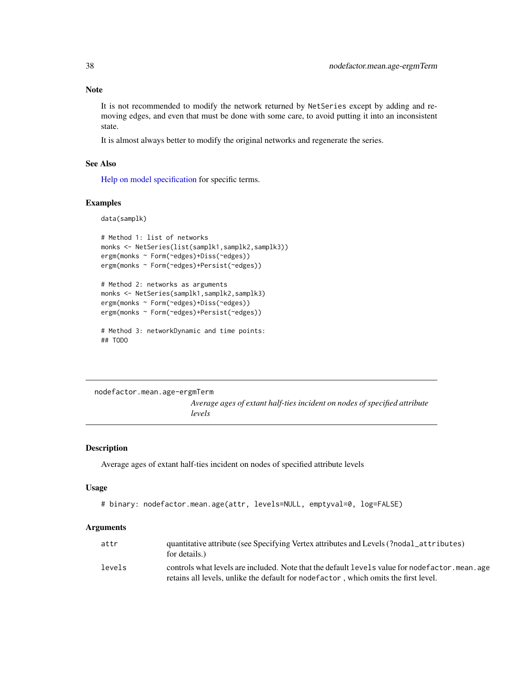### Note

It is not recommended to modify the network returned by NetSeries except by adding and removing edges, and even that must be done with some care, to avoid putting it into an inconsistent state.

It is almost always better to modify the original networks and regenerate the series.

### See Also

[Help on model specification](#page-0-0) for specific terms.

### Examples

data(samplk)

```
# Method 1: list of networks
monks <- NetSeries(list(samplk1,samplk2,samplk3))
ergm(monks ~ Form(~edges)+Diss(~edges))
ergm(monks ~ Form(~edges)+Persist(~edges))
# Method 2: networks as arguments
```

```
monks <- NetSeries(samplk1,samplk2,samplk3)
ergm(monks ~ Form(~edges)+Diss(~edges))
ergm(monks ~ Form(~edges)+Persist(~edges))
```

```
# Method 3: networkDynamic and time points:
## TODO
```
nodefactor.mean.age-ergmTerm *Average ages of extant half-ties incident on nodes of specified attribute levels*

### Description

Average ages of extant half-ties incident on nodes of specified attribute levels

### Usage

```
# binary: nodefactor.mean.age(attr, levels=NULL, emptyval=0, log=FALSE)
```
#### Arguments

| attr   | quantitative attribute (see Specifying Vertex attributes and Levels (?nodal_attributes)<br>for details.)                                                                                |
|--------|-----------------------------------------------------------------------------------------------------------------------------------------------------------------------------------------|
| levels | controls what levels are included. Note that the default levels value for nodefactor, mean, age<br>retains all levels, unlike the default for node factor, which omits the first level. |

<span id="page-37-0"></span>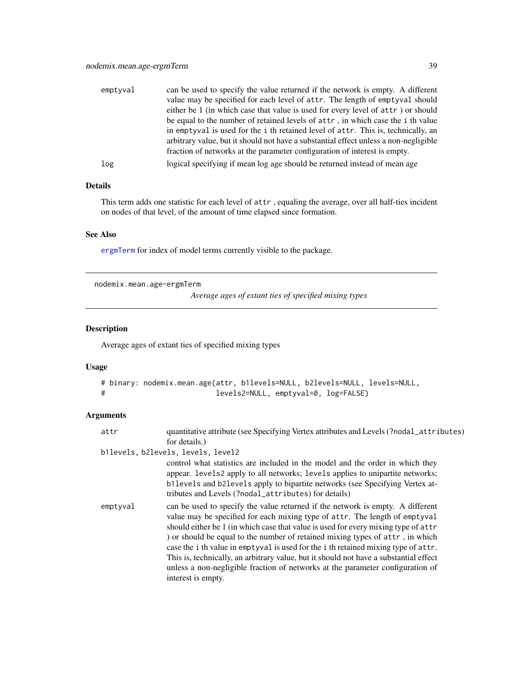<span id="page-38-0"></span>

| emptyval | can be used to specify the value returned if the network is empty. A different       |
|----------|--------------------------------------------------------------------------------------|
|          | value may be specified for each level of attr. The length of emptyval should         |
|          | either be 1 (in which case that value is used for every level of attr) or should     |
|          | be equal to the number of retained levels of attr, in which case the i th value      |
|          | in emptyval is used for the i th retained level of attr. This is, technically, an    |
|          | arbitrary value, but it should not have a substantial effect unless a non-negligible |
|          | fraction of networks at the parameter configuration of interest is empty.            |
| log      | logical specifying if mean log age should be returned instead of mean age            |

### Details

This term adds one statistic for each level of attr , equaling the average, over all half-ties incident on nodes of that level, of the amount of time elapsed since formation.

### See Also

[ergmTerm](#page-0-0) for index of model terms currently visible to the package.

nodemix.mean.age-ergmTerm

*Average ages of extant ties of specified mixing types*

### Description

Average ages of extant ties of specified mixing types

### Usage

```
# binary: nodemix.mean.age(attr, b1levels=NULL, b2levels=NULL, levels=NULL,
# levels2=NULL, emptyval=0, log=FALSE)
```
### Arguments

| attr     | quantitative attribute (see Specifying Vertex attributes and Levels (?nodal_attributes)                                                                                                                                                                                                                                                                                                                                                                                                                                                                                                                                     |
|----------|-----------------------------------------------------------------------------------------------------------------------------------------------------------------------------------------------------------------------------------------------------------------------------------------------------------------------------------------------------------------------------------------------------------------------------------------------------------------------------------------------------------------------------------------------------------------------------------------------------------------------------|
|          | for details.)                                                                                                                                                                                                                                                                                                                                                                                                                                                                                                                                                                                                               |
|          | b1levels, b2levels, levels, level2                                                                                                                                                                                                                                                                                                                                                                                                                                                                                                                                                                                          |
|          | control what statistics are included in the model and the order in which they<br>appear. levels2 apply to all networks; levels applies to unipartite networks;<br>b11evels and b21evels apply to bipartite networks (see Specifying Vertex at-<br>tributes and Levels (?nodal_attributes) for details)                                                                                                                                                                                                                                                                                                                      |
| emptyval | can be used to specify the value returned if the network is empty. A different<br>value may be specified for each mixing type of attr. The length of emptyval<br>should either be 1 (in which case that value is used for every mixing type of attr<br>) or should be equal to the number of retained mixing types of attr, in which<br>case the i th value in emptyval is used for the i th retained mixing type of attr.<br>This is, technically, an arbitrary value, but it should not have a substantial effect<br>unless a non-negligible fraction of networks at the parameter configuration of<br>interest is empty. |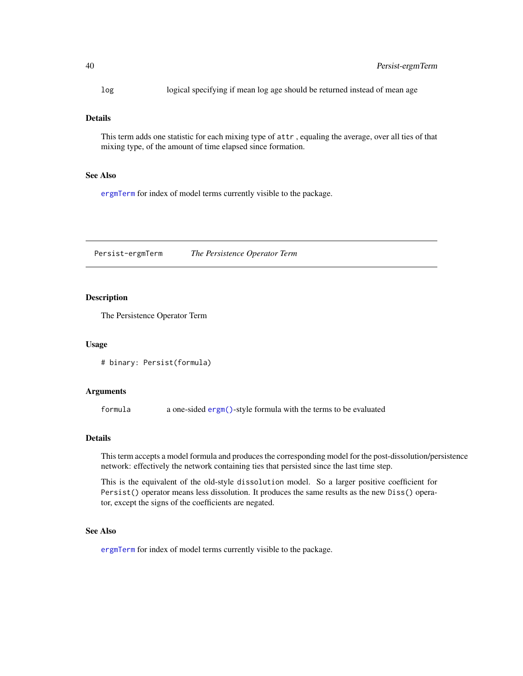<span id="page-39-0"></span>log logical specifying if mean log age should be returned instead of mean age

### Details

This term adds one statistic for each mixing type of attr , equaling the average, over all ties of that mixing type, of the amount of time elapsed since formation.

### See Also

[ergmTerm](#page-0-0) for index of model terms currently visible to the package.

Persist-ergmTerm *The Persistence Operator Term*

#### Description

The Persistence Operator Term

#### Usage

```
# binary: Persist(formula)
```
#### Arguments

formula a one-sided [ergm\(\)](#page-0-0)-style formula with the terms to be evaluated

### Details

This term accepts a model formula and produces the corresponding model for the post-dissolution/persistence network: effectively the network containing ties that persisted since the last time step.

This is the equivalent of the old-style dissolution model. So a larger positive coefficient for Persist() operator means less dissolution. It produces the same results as the new Diss() operator, except the signs of the coefficients are negated.

### See Also

[ergmTerm](#page-0-0) for index of model terms currently visible to the package.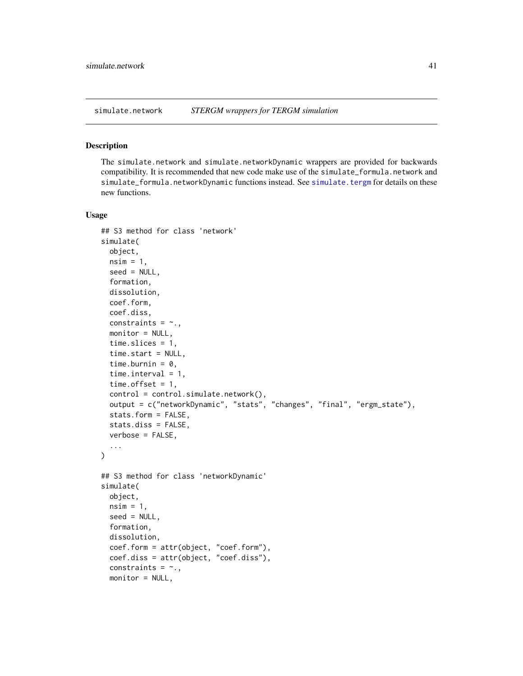<span id="page-40-0"></span>

#### <span id="page-40-1"></span>Description

The simulate.network and simulate.networkDynamic wrappers are provided for backwards compatibility. It is recommended that new code make use of the simulate\_formula.network and simulate\_formula.networkDynamic functions instead. See [simulate.tergm](#page-43-1) for details on these new functions.

### Usage

```
## S3 method for class 'network'
simulate(
 object,
 nsim = 1,
  seed = NULL,
  formation,
  dissolution,
  coef.form,
  coef.diss,
  constraints = \sim.,
  monitor = NULL,
  time.slices = 1,
  time.start = NULL,
  time.burnin = 0,
  time.interval = 1,
  time.offset = 1,
  control = control.simulate.network(),
 output = c("networkDynamic", "stats", "changes", "final", "ergm_state"),
  stats.form = FALSE,
  stats.diss = FALSE,
  verbose = FALSE,
  ...
\mathcal{L}## S3 method for class 'networkDynamic'
simulate(
 object,
  nsim = 1,
  seed = NULL,
  formation,
  dissolution,
  coef.form = attr(object, "coef.form"),
  coef.diss = attr(object, "coef.diss"),
  constraints = \sim.,
 monitor = NULL,
```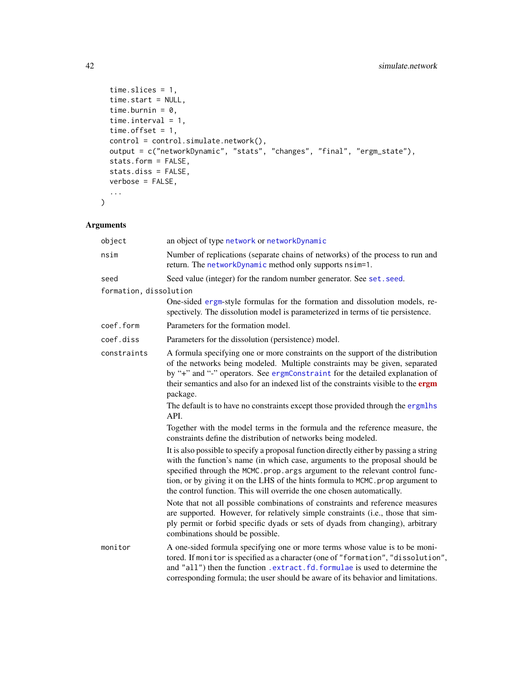```
time.slices = 1,
 time.start = NULL,
 time.burnin = 0,
 time.interval = 1,
  time.offset = 1,
 control = control.simulate.network(),
 output = c("networkDynamic", "stats", "changes", "final", "ergm_state"),
 stats.form = FALSE,
 stats.diss = FALSE,
 verbose = FALSE,
  ...
\mathcal{L}
```
### Arguments

| object                 | an object of type network or networkDynamic                                                                                                                                                                                                                                                                                                                                                                                                                                                                                                                                             |
|------------------------|-----------------------------------------------------------------------------------------------------------------------------------------------------------------------------------------------------------------------------------------------------------------------------------------------------------------------------------------------------------------------------------------------------------------------------------------------------------------------------------------------------------------------------------------------------------------------------------------|
| nsim                   | Number of replications (separate chains of networks) of the process to run and<br>return. The networkDynamic method only supports nsim=1.                                                                                                                                                                                                                                                                                                                                                                                                                                               |
| seed                   | Seed value (integer) for the random number generator. See set. seed.                                                                                                                                                                                                                                                                                                                                                                                                                                                                                                                    |
| formation, dissolution |                                                                                                                                                                                                                                                                                                                                                                                                                                                                                                                                                                                         |
|                        | One-sided ergm-style formulas for the formation and dissolution models, re-<br>spectively. The dissolution model is parameterized in terms of tie persistence.                                                                                                                                                                                                                                                                                                                                                                                                                          |
| coef.form              | Parameters for the formation model.                                                                                                                                                                                                                                                                                                                                                                                                                                                                                                                                                     |
| coef.diss              | Parameters for the dissolution (persistence) model.                                                                                                                                                                                                                                                                                                                                                                                                                                                                                                                                     |
| constraints            | A formula specifying one or more constraints on the support of the distribution<br>of the networks being modeled. Multiple constraints may be given, separated<br>by "+" and "-" operators. See ergmConstraint for the detailed explanation of<br>their semantics and also for an indexed list of the constraints visible to the ergm<br>package.                                                                                                                                                                                                                                       |
|                        | The default is to have no constraints except those provided through the ergmlhs<br>API.                                                                                                                                                                                                                                                                                                                                                                                                                                                                                                 |
|                        | Together with the model terms in the formula and the reference measure, the<br>constraints define the distribution of networks being modeled.                                                                                                                                                                                                                                                                                                                                                                                                                                           |
|                        | It is also possible to specify a proposal function directly either by passing a string<br>with the function's name (in which case, arguments to the proposal should be<br>specified through the MCMC.prop.args argument to the relevant control func-<br>tion, or by giving it on the LHS of the hints formula to MCMC. prop argument to<br>the control function. This will override the one chosen automatically.<br>Note that not all possible combinations of constraints and reference measures<br>are supported. However, for relatively simple constraints (i.e., those that sim- |
|                        | ply permit or forbid specific dyads or sets of dyads from changing), arbitrary<br>combinations should be possible.                                                                                                                                                                                                                                                                                                                                                                                                                                                                      |
| monitor                | A one-sided formula specifying one or more terms whose value is to be moni-<br>tored. If monitor is specified as a character (one of "formation", "dissolution",<br>and "all") then the function .extract.fd.formulae is used to determine the<br>corresponding formula; the user should be aware of its behavior and limitations.                                                                                                                                                                                                                                                      |

<span id="page-41-0"></span>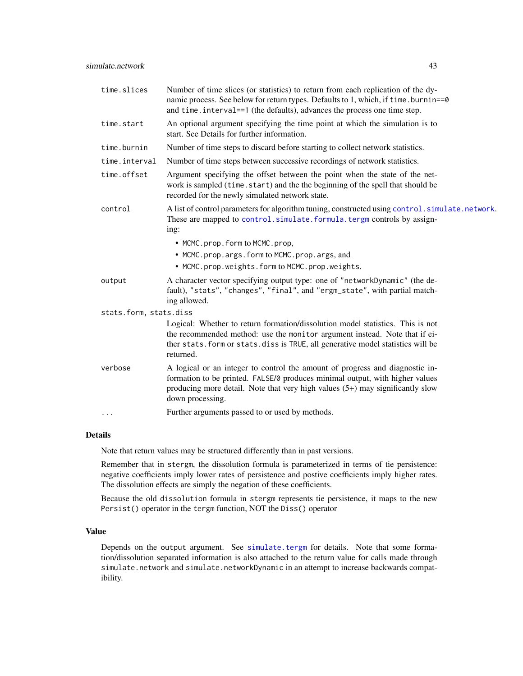<span id="page-42-0"></span>

| time.slices            | Number of time slices (or statistics) to return from each replication of the dy-<br>namic process. See below for return types. Defaults to 1, which, if time.burnin==0<br>and time. interval==1 (the defaults), advances the process one time step. |
|------------------------|-----------------------------------------------------------------------------------------------------------------------------------------------------------------------------------------------------------------------------------------------------|
| time.start             | An optional argument specifying the time point at which the simulation is to<br>start. See Details for further information.                                                                                                                         |
| time.burnin            | Number of time steps to discard before starting to collect network statistics.                                                                                                                                                                      |
| time.interval          | Number of time steps between successive recordings of network statistics.                                                                                                                                                                           |
| time.offset            | Argument specifying the offset between the point when the state of the net-<br>work is sampled (time.start) and the the beginning of the spell that should be<br>recorded for the newly simulated network state.                                    |
| control                | A list of control parameters for algorithm tuning, constructed using control. simulate.network.<br>These are mapped to control.simulate.formula.tergm controls by assign-<br>ing:                                                                   |
|                        | • MCMC.prop.form to MCMC.prop,                                                                                                                                                                                                                      |
|                        | • MCMC.prop.args.form to MCMC.prop.args, and                                                                                                                                                                                                        |
|                        | • MCMC.prop.weights.form to MCMC.prop.weights.                                                                                                                                                                                                      |
| output                 | A character vector specifying output type: one of "networkDynamic" (the de-<br>fault), "stats", "changes", "final", and "ergm_state", with partial match-<br>ing allowed.                                                                           |
| stats.form, stats.diss |                                                                                                                                                                                                                                                     |
|                        | Logical: Whether to return formation/dissolution model statistics. This is not                                                                                                                                                                      |
|                        | the recommended method: use the monitor argument instead. Note that if ei-<br>ther stats. form or stats. diss is TRUE, all generative model statistics will be<br>returned.                                                                         |
| verbose                | A logical or an integer to control the amount of progress and diagnostic in-                                                                                                                                                                        |
|                        | formation to be printed. FALSE/0 produces minimal output, with higher values<br>producing more detail. Note that very high values $(5+)$ may significantly slow<br>down processing.                                                                 |
| $\cdots$               | Further arguments passed to or used by methods.                                                                                                                                                                                                     |

#### Details

Note that return values may be structured differently than in past versions.

Remember that in stergm, the dissolution formula is parameterized in terms of tie persistence: negative coefficients imply lower rates of persistence and postive coefficients imply higher rates. The dissolution effects are simply the negation of these coefficients.

Because the old dissolution formula in stergm represents tie persistence, it maps to the new Persist() operator in the tergm function, NOT the Diss() operator

### Value

Depends on the output argument. See [simulate.tergm](#page-43-1) for details. Note that some formation/dissolution separated information is also attached to the return value for calls made through simulate.network and simulate.networkDynamic in an attempt to increase backwards compatibility.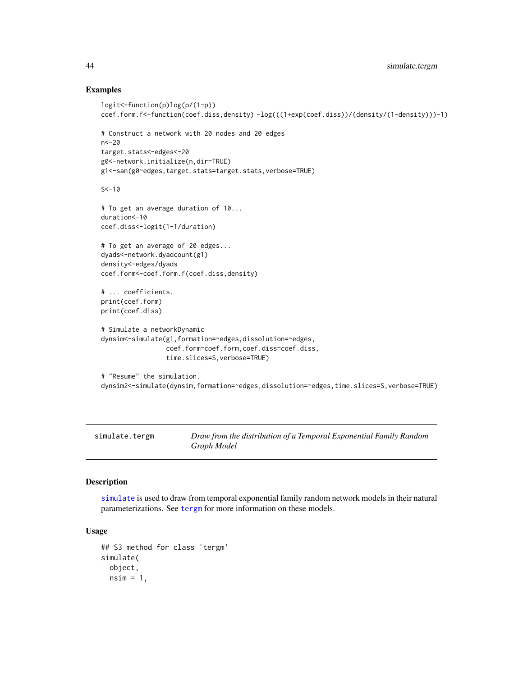### Examples

```
logit<-function(p)log(p/(1-p))
coef.form.f<-function(coef.diss,density) -log(((1+exp(coef.diss))/(density/(1-density)))-1)
# Construct a network with 20 nodes and 20 edges
n<-20
target.stats<-edges<-20
g0<-network.initialize(n,dir=TRUE)
g1<-san(g0~edges,target.stats=target.stats,verbose=TRUE)
S < -10# To get an average duration of 10...
duration<-10
coef.diss<-logit(1-1/duration)
# To get an average of 20 edges...
dyads<-network.dyadcount(g1)
density<-edges/dyads
coef.form<-coef.form.f(coef.diss,density)
# ... coefficients.
print(coef.form)
print(coef.diss)
# Simulate a networkDynamic
dynsim<-simulate(g1,formation=~edges,dissolution=~edges,
                 coef.form=coef.form,coef.diss=coef.diss,
                 time.slices=S,verbose=TRUE)
# "Resume" the simulation.
dynsim2<-simulate(dynsim,formation=~edges,dissolution=~edges,time.slices=S,verbose=TRUE)
```
<span id="page-43-1"></span>simulate.tergm *Draw from the distribution of a Temporal Exponential Family Random Graph Model*

### <span id="page-43-2"></span>**Description**

[simulate](#page-0-0) is used to draw from temporal exponential family random network models in their natural parameterizations. See [tergm](#page-55-1) for more information on these models.

#### Usage

```
## S3 method for class 'tergm'
simulate(
  object,
 nsim = 1,
```
<span id="page-43-0"></span>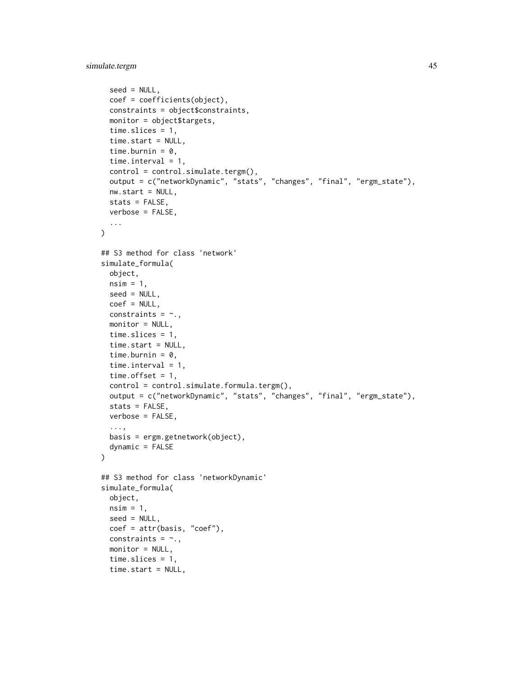```
seed = NULL,
  coef = coefficients(object),
  constraints = object$constraints,
 monitor = object$targets,
  time.slices = 1,
  time.start = NULL,
  time.burnin = 0,
  time.interval = 1,
  control = control.simulate.tergm(),output = c("networkDynamic", "stats", "changes", "final", "ergm_state"),
 nw.start = NULL,
  stats = FALSE,
 verbose = FALSE,
  ...
\lambda## S3 method for class 'network'
simulate_formula(
 object,
 nsim = 1,
  seed = NULL,
  coef = NULL,
  constraints = \sim.,
  monitor = NULL,
  time.slices = 1,
  time.start = NULL,
  time.burnin = 0,
  time.interval = 1,
  time.offset = 1,
  control = control.simulate.formula.tergm(),
  output = c("networkDynamic", "stats", "changes", "final", "ergm_state"),
  stats = FALSE,
  verbose = FALSE,
  ...,
  basis = ergm.getnetwork(object),
  dynamic = FALSE)
## S3 method for class 'networkDynamic'
simulate_formula(
 object,
 nsim = 1,
  seed = NULL,
  coef = attr(basis, "coef"),
  constraints = \sim.,
  monitor = NULL,time.slices = 1,
  time.start = NULL,
```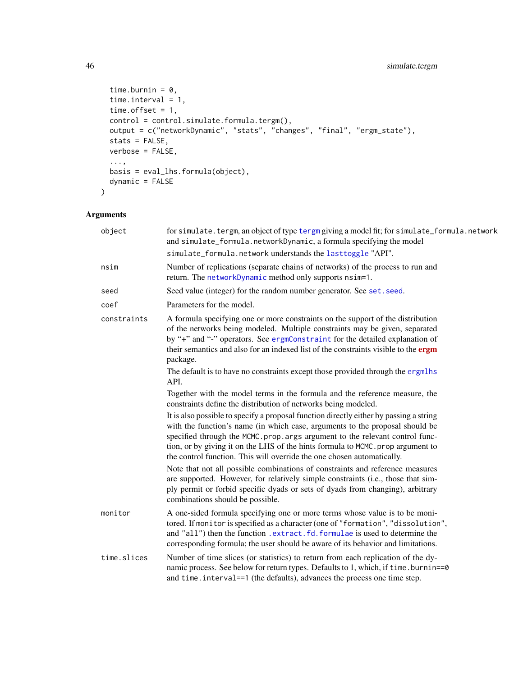```
time.burnin = 0,
 time.interval = 1,
 time.offset = 1,
 control = control.simulate.formula.tergm(),
 output = c("networkDynamic", "stats", "changes", "final", "ergm_state"),
 stats = FALSE,
 verbose = FALSE,
  ...,
 basis = eval_lhs.formula(object),
 dynamic = FALSE
\mathcal{L}
```
### Arguments

| object      | for simulate. tergm, an object of type tergm giving a model fit; for simulate_formula.network<br>and simulate_formula.networkDynamic, a formula specifying the model                                                                                                                                                                                                                                                                                                                                                                                                                                                                                                                                                                                                                                                                                                                                                                      |
|-------------|-------------------------------------------------------------------------------------------------------------------------------------------------------------------------------------------------------------------------------------------------------------------------------------------------------------------------------------------------------------------------------------------------------------------------------------------------------------------------------------------------------------------------------------------------------------------------------------------------------------------------------------------------------------------------------------------------------------------------------------------------------------------------------------------------------------------------------------------------------------------------------------------------------------------------------------------|
|             | simulate_formula.network understands the lasttoggle "API".                                                                                                                                                                                                                                                                                                                                                                                                                                                                                                                                                                                                                                                                                                                                                                                                                                                                                |
| nsim        | Number of replications (separate chains of networks) of the process to run and<br>return. The networkDynamic method only supports nsim=1.                                                                                                                                                                                                                                                                                                                                                                                                                                                                                                                                                                                                                                                                                                                                                                                                 |
| seed        | Seed value (integer) for the random number generator. See set. seed.                                                                                                                                                                                                                                                                                                                                                                                                                                                                                                                                                                                                                                                                                                                                                                                                                                                                      |
| coef        | Parameters for the model.                                                                                                                                                                                                                                                                                                                                                                                                                                                                                                                                                                                                                                                                                                                                                                                                                                                                                                                 |
| constraints | A formula specifying one or more constraints on the support of the distribution<br>of the networks being modeled. Multiple constraints may be given, separated<br>by "+" and "-" operators. See ergmConstraint for the detailed explanation of<br>their semantics and also for an indexed list of the constraints visible to the ergm<br>package.<br>The default is to have no constraints except those provided through the ergmlhs<br>API.<br>Together with the model terms in the formula and the reference measure, the<br>constraints define the distribution of networks being modeled.<br>It is also possible to specify a proposal function directly either by passing a string<br>with the function's name (in which case, arguments to the proposal should be<br>specified through the MCMC.prop.args argument to the relevant control func-<br>tion, or by giving it on the LHS of the hints formula to MCMC. prop argument to |
|             | the control function. This will override the one chosen automatically.<br>Note that not all possible combinations of constraints and reference measures<br>are supported. However, for relatively simple constraints (i.e., those that sim-<br>ply permit or forbid specific dyads or sets of dyads from changing), arbitrary<br>combinations should be possible.                                                                                                                                                                                                                                                                                                                                                                                                                                                                                                                                                                         |
| monitor     | A one-sided formula specifying one or more terms whose value is to be moni-<br>tored. If monitor is specified as a character (one of "formation", "dissolution",<br>and "all") then the function .extract.fd.formulae is used to determine the<br>corresponding formula; the user should be aware of its behavior and limitations.                                                                                                                                                                                                                                                                                                                                                                                                                                                                                                                                                                                                        |
| time.slices | Number of time slices (or statistics) to return from each replication of the dy-<br>namic process. See below for return types. Defaults to 1, which, if time.burnin==0<br>and time. interval==1 (the defaults), advances the process one time step.                                                                                                                                                                                                                                                                                                                                                                                                                                                                                                                                                                                                                                                                                       |

<span id="page-45-0"></span>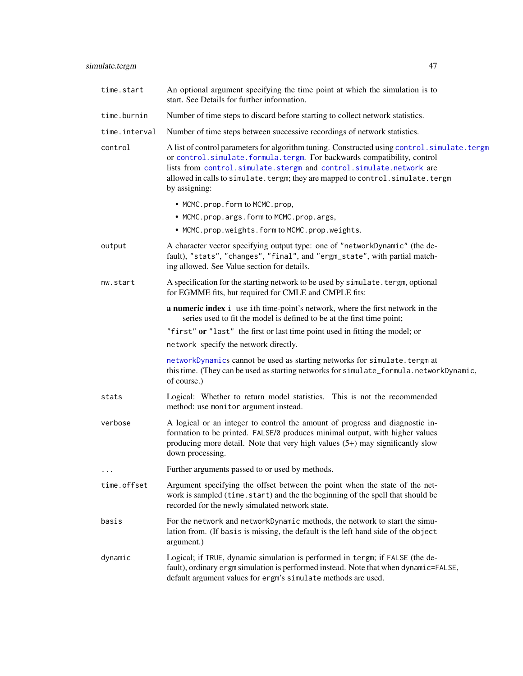<span id="page-46-0"></span>

| time.start    | An optional argument specifying the time point at which the simulation is to<br>start. See Details for further information.                                                                                                                                                                                                                        |
|---------------|----------------------------------------------------------------------------------------------------------------------------------------------------------------------------------------------------------------------------------------------------------------------------------------------------------------------------------------------------|
| time.burnin   | Number of time steps to discard before starting to collect network statistics.                                                                                                                                                                                                                                                                     |
| time.interval | Number of time steps between successive recordings of network statistics.                                                                                                                                                                                                                                                                          |
| control       | A list of control parameters for algorithm tuning. Constructed using control.simulate.tergm<br>or control.simulate.formula.tergm. For backwards compatibility, control<br>lists from control.simulate.stergm and control.simulate.network are<br>allowed in calls to simulate. tergm; they are mapped to control. simulate. tergm<br>by assigning: |
|               | • MCMC.prop.form to MCMC.prop,                                                                                                                                                                                                                                                                                                                     |
|               | • MCMC.prop.args.form to MCMC.prop.args,                                                                                                                                                                                                                                                                                                           |
|               | • MCMC.prop.weights.form to MCMC.prop.weights.                                                                                                                                                                                                                                                                                                     |
| output        | A character vector specifying output type: one of "networkDynamic" (the de-<br>fault), "stats", "changes", "final", and "ergm_state", with partial match-<br>ing allowed. See Value section for details.                                                                                                                                           |
| nw.start      | A specification for the starting network to be used by simulate. tergm, optional<br>for EGMME fits, but required for CMLE and CMPLE fits:                                                                                                                                                                                                          |
|               | a numeric index i use ith time-point's network, where the first network in the<br>series used to fit the model is defined to be at the first time point;                                                                                                                                                                                           |
|               | "first" or "last" the first or last time point used in fitting the model; or                                                                                                                                                                                                                                                                       |
|               | network specify the network directly.                                                                                                                                                                                                                                                                                                              |
|               | networkDynamics cannot be used as starting networks for simulate. tergm at<br>this time. (They can be used as starting networks for simulate_formula.networkDynamic,<br>of course.)                                                                                                                                                                |
| stats         | Logical: Whether to return model statistics. This is not the recommended<br>method: use monitor argument instead.                                                                                                                                                                                                                                  |
| verbose       | A logical or an integer to control the amount of progress and diagnostic in-<br>formation to be printed. FALSE/0 produces minimal output, with higher values<br>producing more detail. Note that very high values $(5+)$ may significantly slow<br>down processing.                                                                                |
|               | Further arguments passed to or used by methods.                                                                                                                                                                                                                                                                                                    |
| time.offset   | Argument specifying the offset between the point when the state of the net-<br>work is sampled (time.start) and the the beginning of the spell that should be<br>recorded for the newly simulated network state.                                                                                                                                   |
| basis         | For the network and networkDynamic methods, the network to start the simu-<br>lation from. (If basis is missing, the default is the left hand side of the object<br>argument.)                                                                                                                                                                     |
| dynamic       | Logical; if TRUE, dynamic simulation is performed in tergm; if FALSE (the de-<br>fault), ordinary ergm simulation is performed instead. Note that when dynamic=FALSE,<br>default argument values for ergm's simulate methods are used.                                                                                                             |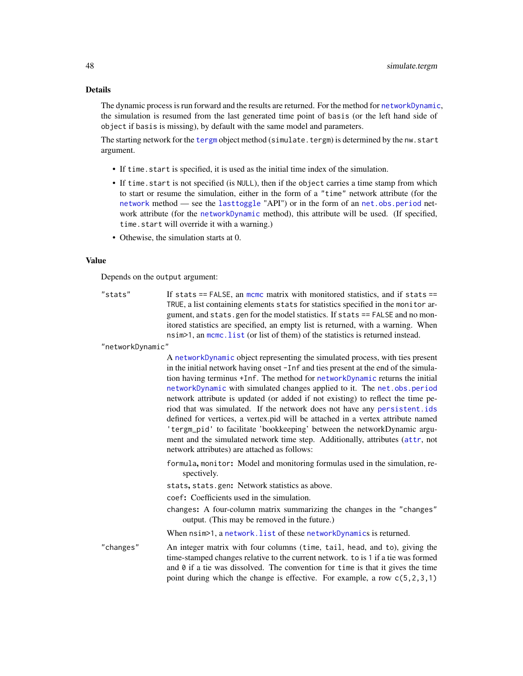#### Details

The dynamic process is run forward and the results are returned. For the method for [networkDynamic](#page-0-0), the simulation is resumed from the last generated time point of basis (or the left hand side of object if basis is missing), by default with the same model and parameters.

The starting network for the [tergm](#page-55-1) object method (simulate.tergm) is determined by the nw.start argument.

- If time.start is specified, it is used as the initial time index of the simulation.
- If time.start is not specified (is NULL), then if the object carries a time stamp from which to start or resume the simulation, either in the form of a "time" network attribute (for the [network](#page-0-0) method — see the [lasttoggle](#page-35-2) "API") or in the form of an [net.obs.period](#page-0-0) network attribute (for the [networkDynamic](#page-0-0) method), this attribute will be used. (If specified, time.start will override it with a warning.)
- Othewise, the simulation starts at 0.

#### Value

Depends on the output argument:

"stats" If stats == FALSE, an [mcmc](#page-0-0) matrix with monitored statistics, and if stats == TRUE, a list containing elements stats for statistics specified in the monitor argument, and stats.gen for the model statistics. If stats == FALSE and no monitored statistics are specified, an empty list is returned, with a warning. When nsim>1, an [mcmc.list](#page-0-0) (or list of them) of the statistics is returned instead.

"networkDynamic"

A [networkDynamic](#page-0-0) object representing the simulated process, with ties present in the initial network having onset -Inf and ties present at the end of the simulation having terminus +Inf. The method for [networkDynamic](#page-0-0) returns the initial [networkDynamic](#page-0-0) with simulated changes applied to it. The [net.obs.period](#page-0-0) network attribute is updated (or added if not existing) to reflect the time period that was simulated. If the network does not have any [persistent.ids](#page-0-0) defined for vertices, a vertex.pid will be attached in a vertex attribute named 'tergm\_pid' to facilitate 'bookkeeping' between the networkDynamic argument and the simulated network time step. Additionally, attributes ([attr](#page-0-0), not network attributes) are attached as follows:

formula, monitor: Model and monitoring formulas used in the simulation, respectively.

stats, stats.gen: Network statistics as above.

coef: Coefficients used in the simulation.

changes: A four-column matrix summarizing the changes in the "changes" output. (This may be removed in the future.)

When nsim>1, a [network.list](#page-0-0) of these [networkDynamic](#page-0-0)s is returned.

"changes" An integer matrix with four columns (time, tail, head, and to), giving the time-stamped changes relative to the current network. to is 1 if a tie was formed and  $\theta$  if a tie was dissolved. The convention for time is that it gives the time point during which the change is effective. For example, a row c(5,2,3,1)

<span id="page-47-0"></span>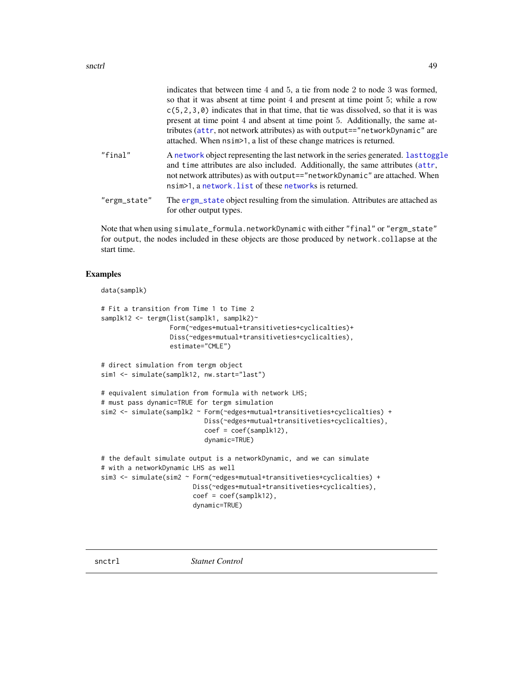<span id="page-48-0"></span>

|              | indicates that between time 4 and 5, a tie from node 2 to node 3 was formed,<br>so that it was absent at time point 4 and present at time point 5; while a row<br>$c(5, 2, 3, 0)$ indicates that in that time, that tie was dissolved, so that it is was<br>present at time point 4 and absent at time point 5. Additionally, the same at-<br>tributes (attr, not network attributes) as with output=="networkDynamic" are<br>attached. When $nsim>1$ , a list of these change matrices is returned. |
|--------------|------------------------------------------------------------------------------------------------------------------------------------------------------------------------------------------------------------------------------------------------------------------------------------------------------------------------------------------------------------------------------------------------------------------------------------------------------------------------------------------------------|
| "final"      | A network object representing the last network in the series generated. Last toggle<br>and time attributes are also included. Additionally, the same attributes (attr,<br>not network attributes) as with output=="networkDynamic" are attached. When<br>nsim <sup>&gt;1</sup> , a network. list of these networks is returned.                                                                                                                                                                      |
| "ergm_state" | The ergm_state object resulting from the simulation. Attributes are attached as<br>for other output types.                                                                                                                                                                                                                                                                                                                                                                                           |

Note that when using simulate\_formula.networkDynamic with either "final" or "ergm\_state" for output, the nodes included in these objects are those produced by network.collapse at the start time.

### Examples

```
data(samplk)
```

```
# Fit a transition from Time 1 to Time 2
samplk12 <- tergm(list(samplk1, samplk2)~
                  Form(~edges+mutual+transitiveties+cyclicalties)+
                  Diss(~edges+mutual+transitiveties+cyclicalties),
                  estimate="CMLE")
# direct simulation from tergm object
sim1 <- simulate(samplk12, nw.start="last")
# equivalent simulation from formula with network LHS;
# must pass dynamic=TRUE for tergm simulation
sim2 <- simulate(samplk2 ~ Form(~edges+mutual+transitiveties+cyclicalties) +
                           Diss(~edges+mutual+transitiveties+cyclicalties),
                           coef = coef(samplk12),
                           dynamic=TRUE)
# the default simulate output is a networkDynamic, and we can simulate
# with a networkDynamic LHS as well
sim3 <- simulate(sim2 ~ Form(~edges+mutual+transitiveties+cyclicalties) +
                        Diss(~edges+mutual+transitiveties+cyclicalties),
                        coef = coef(samplk12),
                        dynamic=TRUE)
```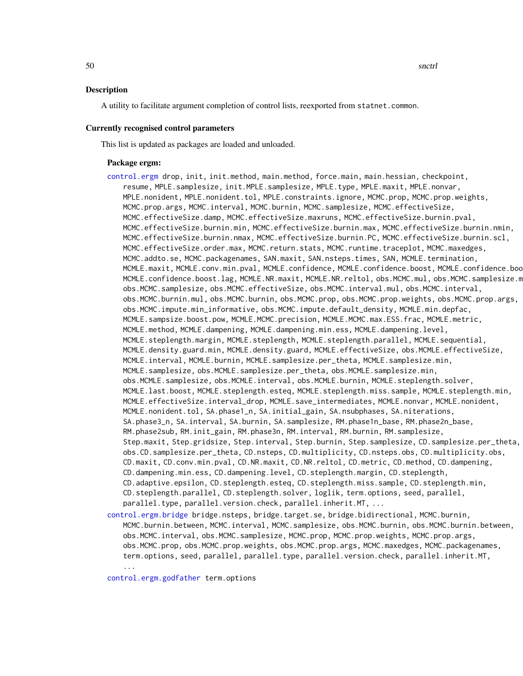#### <span id="page-49-0"></span>Description

A utility to facilitate argument completion of control lists, reexported from statnet.common.

#### Currently recognised control parameters

This list is updated as packages are loaded and unloaded.

#### Package ergm:

- [control.ergm](#page-0-0) drop, init, init.method, main.method, force.main, main.hessian, checkpoint, resume, MPLE.samplesize, init.MPLE.samplesize, MPLE.type, MPLE.maxit, MPLE.nonvar, MPLE.nonident, MPLE.nonident.tol, MPLE.constraints.ignore, MCMC.prop, MCMC.prop.weights, MCMC.prop.args, MCMC.interval, MCMC.burnin, MCMC.samplesize, MCMC.effectiveSize, MCMC.effectiveSize.damp, MCMC.effectiveSize.maxruns, MCMC.effectiveSize.burnin.pval, MCMC.effectiveSize.burnin.min, MCMC.effectiveSize.burnin.max, MCMC.effectiveSize.burnin.nmin, MCMC.effectiveSize.burnin.nmax, MCMC.effectiveSize.burnin.PC, MCMC.effectiveSize.burnin.scl, MCMC.effectiveSize.order.max, MCMC.return.stats, MCMC.runtime.traceplot, MCMC.maxedges, MCMC.addto.se, MCMC.packagenames, SAN.maxit, SAN.nsteps.times, SAN, MCMLE.termination, MCMLE.maxit, MCMLE.conv.min.pval, MCMLE.confidence, MCMLE.confidence.boost, MCMLE.confidence.boo MCMLE.confidence.boost.lag, MCMLE.NR.maxit, MCMLE.NR.reltol, obs.MCMC.mul, obs.MCMC.samplesize.m obs.MCMC.samplesize, obs.MCMC.effectiveSize, obs.MCMC.interval.mul, obs.MCMC.interval, obs.MCMC.burnin.mul, obs.MCMC.burnin, obs.MCMC.prop, obs.MCMC.prop.weights, obs.MCMC.prop.args, obs.MCMC.impute.min\_informative, obs.MCMC.impute.default\_density, MCMLE.min.depfac, MCMLE.sampsize.boost.pow, MCMLE.MCMC.precision, MCMLE.MCMC.max.ESS.frac, MCMLE.metric, MCMLE.method, MCMLE.dampening, MCMLE.dampening.min.ess, MCMLE.dampening.level, MCMLE.steplength.margin, MCMLE.steplength, MCMLE.steplength.parallel, MCMLE.sequential, MCMLE.density.guard.min, MCMLE.density.guard, MCMLE.effectiveSize, obs.MCMLE.effectiveSize, MCMLE.interval, MCMLE.burnin, MCMLE.samplesize.per\_theta, MCMLE.samplesize.min, MCMLE.samplesize, obs.MCMLE.samplesize.per\_theta, obs.MCMLE.samplesize.min, obs.MCMLE.samplesize, obs.MCMLE.interval, obs.MCMLE.burnin, MCMLE.steplength.solver, MCMLE.last.boost, MCMLE.steplength.esteq, MCMLE.steplength.miss.sample, MCMLE.steplength.min, MCMLE.effectiveSize.interval\_drop, MCMLE.save\_intermediates, MCMLE.nonvar, MCMLE.nonident, MCMLE.nonident.tol, SA.phase1\_n, SA.initial\_gain, SA.nsubphases, SA.niterations, SA.phase3\_n, SA.interval, SA.burnin, SA.samplesize, RM.phase1n\_base, RM.phase2n\_base, RM.phase2sub, RM.init\_gain, RM.phase3n, RM.interval, RM.burnin, RM.samplesize, Step.maxit, Step.gridsize, Step.interval, Step.burnin, Step.samplesize, CD.samplesize.per\_theta, obs.CD.samplesize.per\_theta, CD.nsteps, CD.multiplicity, CD.nsteps.obs, CD.multiplicity.obs, CD.maxit, CD.conv.min.pval, CD.NR.maxit, CD.NR.reltol, CD.metric, CD.method, CD.dampening, CD.dampening.min.ess, CD.dampening.level, CD.steplength.margin, CD.steplength, CD.adaptive.epsilon, CD.steplength.esteq, CD.steplength.miss.sample, CD.steplength.min, CD.steplength.parallel, CD.steplength.solver, loglik, term.options, seed, parallel, parallel.type, parallel.version.check, parallel.inherit.MT, ...
- [control.ergm.bridge](#page-0-0) bridge.nsteps, bridge.target.se, bridge.bidirectional, MCMC.burnin, MCMC.burnin.between, MCMC.interval, MCMC.samplesize, obs.MCMC.burnin, obs.MCMC.burnin.between, obs.MCMC.interval, obs.MCMC.samplesize, MCMC.prop, MCMC.prop.weights, MCMC.prop.args, obs.MCMC.prop, obs.MCMC.prop.weights, obs.MCMC.prop.args, MCMC.maxedges, MCMC.packagenames, term.options, seed, parallel, parallel.type, parallel.version.check, parallel.inherit.MT, ...

[control.ergm.godfather](#page-0-0) term.options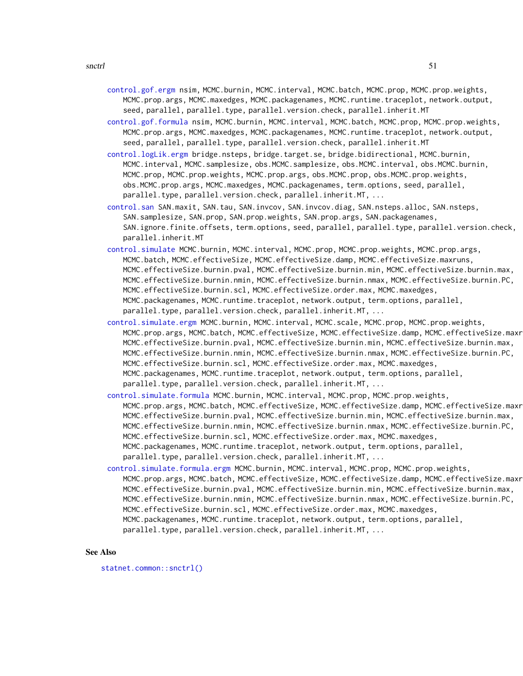- <span id="page-50-0"></span>[control.gof.ergm](#page-0-0) nsim, MCMC.burnin, MCMC.interval, MCMC.batch, MCMC.prop, MCMC.prop.weights, MCMC.prop.args, MCMC.maxedges, MCMC.packagenames, MCMC.runtime.traceplot, network.output, seed, parallel, parallel.type, parallel.version.check, parallel.inherit.MT
- [control.gof.formula](#page-0-0) nsim, MCMC.burnin, MCMC.interval, MCMC.batch, MCMC.prop, MCMC.prop.weights, MCMC.prop.args, MCMC.maxedges, MCMC.packagenames, MCMC.runtime.traceplot, network.output, seed, parallel, parallel.type, parallel.version.check, parallel.inherit.MT
- [control.logLik.ergm](#page-0-0) bridge.nsteps, bridge.target.se, bridge.bidirectional, MCMC.burnin, MCMC.interval, MCMC.samplesize, obs.MCMC.samplesize, obs.MCMC.interval, obs.MCMC.burnin, MCMC.prop, MCMC.prop.weights, MCMC.prop.args, obs.MCMC.prop, obs.MCMC.prop.weights, obs.MCMC.prop.args, MCMC.maxedges, MCMC.packagenames, term.options, seed, parallel, parallel.type, parallel.version.check, parallel.inherit.MT, ...
- [control.san](#page-0-0) SAN.maxit, SAN.tau, SAN.invcov, SAN.invcov.diag, SAN.nsteps.alloc, SAN.nsteps, SAN.samplesize, SAN.prop, SAN.prop.weights, SAN.prop.args, SAN.packagenames, SAN.ignore.finite.offsets, term.options, seed, parallel, parallel.type, parallel.version.check, parallel.inherit.MT
- [control.simulate](#page-0-0) MCMC.burnin, MCMC.interval, MCMC.prop, MCMC.prop.weights, MCMC.prop.args, MCMC.batch, MCMC.effectiveSize, MCMC.effectiveSize.damp, MCMC.effectiveSize.maxruns, MCMC.effectiveSize.burnin.pval, MCMC.effectiveSize.burnin.min, MCMC.effectiveSize.burnin.max, MCMC.effectiveSize.burnin.nmin, MCMC.effectiveSize.burnin.nmax, MCMC.effectiveSize.burnin.PC, MCMC.effectiveSize.burnin.scl, MCMC.effectiveSize.order.max, MCMC.maxedges, MCMC.packagenames, MCMC.runtime.traceplot, network.output, term.options, parallel, parallel.type, parallel.version.check, parallel.inherit.MT, ...
- [control.simulate.ergm](#page-0-0) MCMC.burnin, MCMC.interval, MCMC.scale, MCMC.prop, MCMC.prop.weights, MCMC.prop.args, MCMC.batch, MCMC.effectiveSize, MCMC.effectiveSize.damp, MCMC.effectiveSize.maxr MCMC.effectiveSize.burnin.pval, MCMC.effectiveSize.burnin.min, MCMC.effectiveSize.burnin.max, MCMC.effectiveSize.burnin.nmin, MCMC.effectiveSize.burnin.nmax, MCMC.effectiveSize.burnin.PC, MCMC.effectiveSize.burnin.scl, MCMC.effectiveSize.order.max, MCMC.maxedges, MCMC.packagenames, MCMC.runtime.traceplot, network.output, term.options, parallel, parallel.type, parallel.version.check, parallel.inherit.MT, ...
- [control.simulate.formula](#page-0-0) MCMC.burnin, MCMC.interval, MCMC.prop, MCMC.prop.weights, MCMC.prop.args, MCMC.batch, MCMC.effectiveSize, MCMC.effectiveSize.damp, MCMC.effectiveSize.maxr MCMC.effectiveSize.burnin.pval, MCMC.effectiveSize.burnin.min, MCMC.effectiveSize.burnin.max, MCMC.effectiveSize.burnin.nmin, MCMC.effectiveSize.burnin.nmax, MCMC.effectiveSize.burnin.PC, MCMC.effectiveSize.burnin.scl, MCMC.effectiveSize.order.max, MCMC.maxedges, MCMC.packagenames, MCMC.runtime.traceplot, network.output, term.options, parallel, parallel.type, parallel.version.check, parallel.inherit.MT, ...
- [control.simulate.formula.ergm](#page-0-0) MCMC.burnin, MCMC.interval, MCMC.prop, MCMC.prop.weights, MCMC.prop.args, MCMC.batch, MCMC.effectiveSize, MCMC.effectiveSize.damp, MCMC.effectiveSize.maxr MCMC.effectiveSize.burnin.pval, MCMC.effectiveSize.burnin.min, MCMC.effectiveSize.burnin.max, MCMC.effectiveSize.burnin.nmin, MCMC.effectiveSize.burnin.nmax, MCMC.effectiveSize.burnin.PC, MCMC.effectiveSize.burnin.scl, MCMC.effectiveSize.order.max, MCMC.maxedges, MCMC.packagenames, MCMC.runtime.traceplot, network.output, term.options, parallel, parallel.type, parallel.version.check, parallel.inherit.MT, ...

#### See Also

[statnet.common::snctrl\(\)](#page-0-0)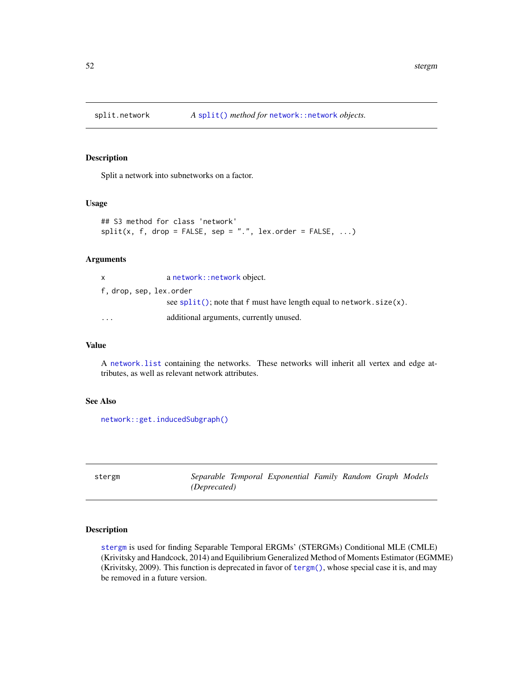<span id="page-51-2"></span><span id="page-51-0"></span>

#### Description

Split a network into subnetworks on a factor.

### Usage

```
## S3 method for class 'network'
split(x, f, drop = FALSE, sep = ".", lex.order = FALSE, ...)
```
### Arguments

| $\mathsf{x}$            | a network:: network object.                                             |
|-------------------------|-------------------------------------------------------------------------|
|                         | f, drop, sep, lex.order                                                 |
|                         | see $split()$ ; note that f must have length equal to network. size(x). |
| $\cdot$ $\cdot$ $\cdot$ | additional arguments, currently unused.                                 |

### Value

A [network.list](#page-0-0) containing the networks. These networks will inherit all vertex and edge attributes, as well as relevant network attributes.

#### See Also

```
network::get.inducedSubgraph()
```
<span id="page-51-1"></span>

stergm *Separable Temporal Exponential Family Random Graph Models (Deprecated)*

### Description

[stergm](#page-51-1) is used for finding Separable Temporal ERGMs' (STERGMs) Conditional MLE (CMLE) (Krivitsky and Handcock, 2014) and Equilibrium Generalized Method of Moments Estimator (EGMME) (Krivitsky, 2009). This function is deprecated in favor of [tergm\(\)](#page-55-1), whose special case it is, and may be removed in a future version.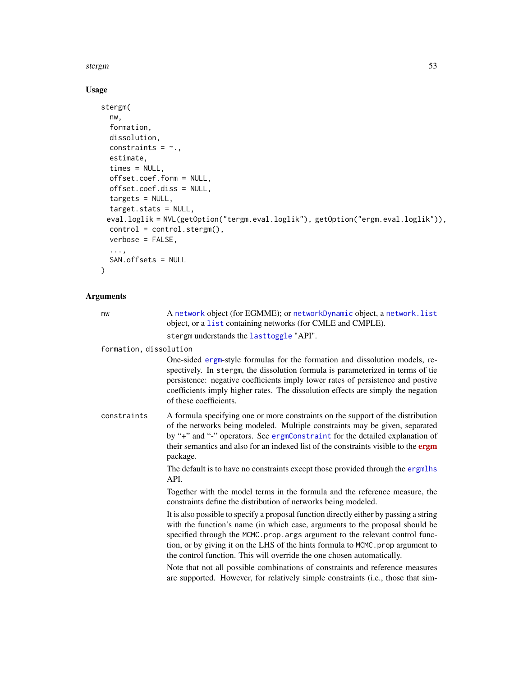#### <span id="page-52-0"></span>stergm 53

### Usage

```
stergm(
 nw,
  formation,
 dissolution,
 constraints = \sim.,
 estimate,
  times = NULL,
 offset.coef.form = NULL,
 offset.coef.diss = NULL,
 targets = NULL,
 target.stats = NULL,
 eval.loglik = NVL(getOption("tergm.eval.loglik"), getOption("ergm.eval.loglik")),
 control = control.stergm(),
 verbose = FALSE,
  ...,
 SAN.offsets = NULL
\mathcal{L}
```
### Arguments

| nw                     | A network object (for EGMME); or networkDynamic object, a network. list<br>object, or a list containing networks (for CMLE and CMPLE).                                                                                                                                                                                                                                                                             |
|------------------------|--------------------------------------------------------------------------------------------------------------------------------------------------------------------------------------------------------------------------------------------------------------------------------------------------------------------------------------------------------------------------------------------------------------------|
|                        | stergm understands the lasttoggle "API".                                                                                                                                                                                                                                                                                                                                                                           |
| formation, dissolution |                                                                                                                                                                                                                                                                                                                                                                                                                    |
|                        | One-sided ergm-style formulas for the formation and dissolution models, re-<br>spectively. In stergm, the dissolution formula is parameterized in terms of tie<br>persistence: negative coefficients imply lower rates of persistence and postive<br>coefficients imply higher rates. The dissolution effects are simply the negation<br>of these coefficients.                                                    |
| constraints            | A formula specifying one or more constraints on the support of the distribution<br>of the networks being modeled. Multiple constraints may be given, separated<br>by "+" and "-" operators. See ergmConstraint for the detailed explanation of<br>their semantics and also for an indexed list of the constraints visible to the ergm<br>package.                                                                  |
|                        | The default is to have no constraints except those provided through the ergmlhs<br>API.                                                                                                                                                                                                                                                                                                                            |
|                        | Together with the model terms in the formula and the reference measure, the<br>constraints define the distribution of networks being modeled.                                                                                                                                                                                                                                                                      |
|                        | It is also possible to specify a proposal function directly either by passing a string<br>with the function's name (in which case, arguments to the proposal should be<br>specified through the MCMC.prop.args argument to the relevant control func-<br>tion, or by giving it on the LHS of the hints formula to MCMC. prop argument to<br>the control function. This will override the one chosen automatically. |
|                        | Note that not all possible combinations of constraints and reference measures<br>are supported. However, for relatively simple constraints (i.e., those that sim-                                                                                                                                                                                                                                                  |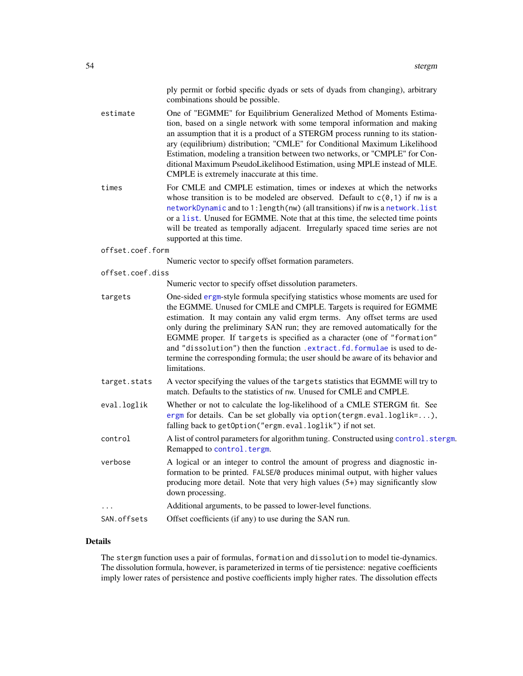ply permit or forbid specific dyads or sets of dyads from changing), arbitrary combinations should be possible.

<span id="page-53-0"></span>estimate One of "EGMME" for Equilibrium Generalized Method of Moments Estimation, based on a single network with some temporal information and making an assumption that it is a product of a STERGM process running to its stationary (equilibrium) distribution; "CMLE" for Conditional Maximum Likelihood Estimation, modeling a transition between two networks, or "CMPLE" for Conditional Maximum PseudoLikelihood Estimation, using MPLE instead of MLE. CMPLE is extremely inaccurate at this time.

times For CMLE and CMPLE estimation, times or indexes at which the networks whose transition is to be modeled are observed. Default to  $c(0,1)$  if nw is a [networkDynamic](#page-0-0) and to 1:length(nw) (all transitions) if nw is a [network.list](#page-0-0) or a [list](#page-0-0). Unused for EGMME. Note that at this time, the selected time points will be treated as temporally adjacent. Irregularly spaced time series are not supported at this time.

#### offset.coef.form

Numeric vector to specify offset formation parameters.

offset.coef.diss

Numeric vector to specify offset dissolution parameters.

- targets One-sided [ergm](#page-0-0)-style formula specifying statistics whose moments are used for the EGMME. Unused for CMLE and CMPLE. Targets is required for EGMME estimation. It may contain any valid ergm terms. Any offset terms are used only during the preliminary SAN run; they are removed automatically for the EGMME proper. If targets is specified as a character (one of "formation" and "dissolution") then the function [.extract.fd.formulae](#page-3-1) is used to determine the corresponding formula; the user should be aware of its behavior and limitations. target.stats A vector specifying the values of the targets statistics that EGMME will try to match. Defaults to the statistics of nw. Unused for CMLE and CMPLE. eval.loglik Whether or not to calculate the log-likelihood of a CMLE STERGM fit. See [ergm](#page-0-0) for details. Can be set globally via option(tergm.eval.loglik=...), falling back to getOption("ergm.eval.loglik") if not set. control A list of control parameters for algorithm tuning. Constructed using control. stergm. Remapped to [control.tergm](#page-19-1). verbose A logical or an integer to control the amount of progress and diagnostic in
	- formation to be printed. FALSE/0 produces minimal output, with higher values producing more detail. Note that very high values (5+) may significantly slow down processing.
- ... Additional arguments, to be passed to lower-level functions.
- SAN. offsets Offset coefficients (if any) to use during the SAN run.

### Details

The stergm function uses a pair of formulas, formation and dissolution to model tie-dynamics. The dissolution formula, however, is parameterized in terms of tie persistence: negative coefficients imply lower rates of persistence and postive coefficients imply higher rates. The dissolution effects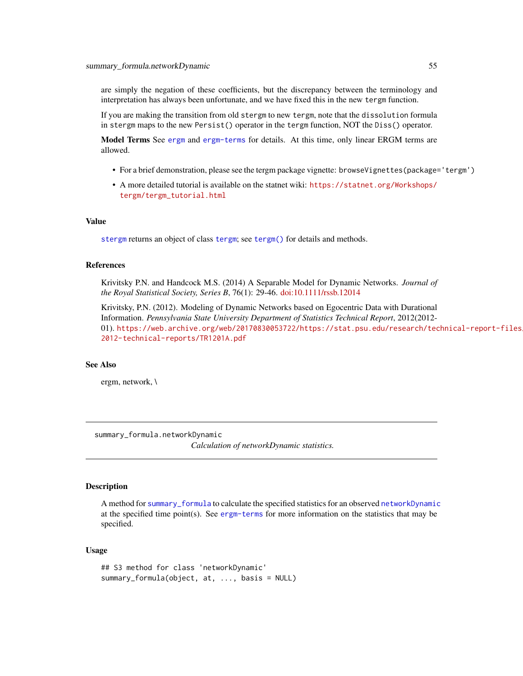<span id="page-54-0"></span>are simply the negation of these coefficients, but the discrepancy between the terminology and interpretation has always been unfortunate, and we have fixed this in the new tergm function.

If you are making the transition from old stergm to new tergm, note that the dissolution formula in stergm maps to the new Persist() operator in the tergm function, NOT the Diss() operator.

Model Terms See [ergm](#page-0-0) and [ergm-terms](#page-0-0) for details. At this time, only linear ERGM terms are allowed.

- For a brief demonstration, please see the tergm package vignette: browseVignettes(package='tergm')
- A more detailed tutorial is available on the statnet wiki: [https://statnet.org/Workshops/](https://statnet.org/Workshops/tergm/tergm_tutorial.html) [tergm/tergm\\_tutorial.html](https://statnet.org/Workshops/tergm/tergm_tutorial.html)

### Value

[stergm](#page-51-1) returns an object of class [tergm](#page-55-1); see [tergm\(\)](#page-55-1) for details and methods.

#### References

Krivitsky P.N. and Handcock M.S. (2014) A Separable Model for Dynamic Networks. *Journal of the Royal Statistical Society, Series B*, 76(1): 29-46. [doi:10.1111/rssb.12014](https://doi.org/10.1111/rssb.12014)

Krivitsky, P.N. (2012). Modeling of Dynamic Networks based on Egocentric Data with Durational Information. *Pennsylvania State University Department of Statistics Technical Report*, 2012(2012- 01). [https://web.archive.org/web/20170830053722/https://stat.psu.edu/research/tec](https://web.archive.org/web/20170830053722/https://stat.psu.edu/research/technical-report-files/2012-technical-reports/TR1201A.pdf)hnical-report-files/ [2012-technical-reports/TR1201A.pdf](https://web.archive.org/web/20170830053722/https://stat.psu.edu/research/technical-report-files/2012-technical-reports/TR1201A.pdf)

#### See Also

ergm, network, \

summary\_formula.networkDynamic

*Calculation of networkDynamic statistics.*

#### <span id="page-54-1"></span>Description

A method for [summary\\_formula](#page-0-0) to calculate the specified statistics for an observed [networkDynamic](#page-0-0) at the specified time point(s). See [ergm-terms](#page-0-0) for more information on the statistics that may be specified.

#### Usage

```
## S3 method for class 'networkDynamic'
summary_formula(object, at, ..., basis = NULL)
```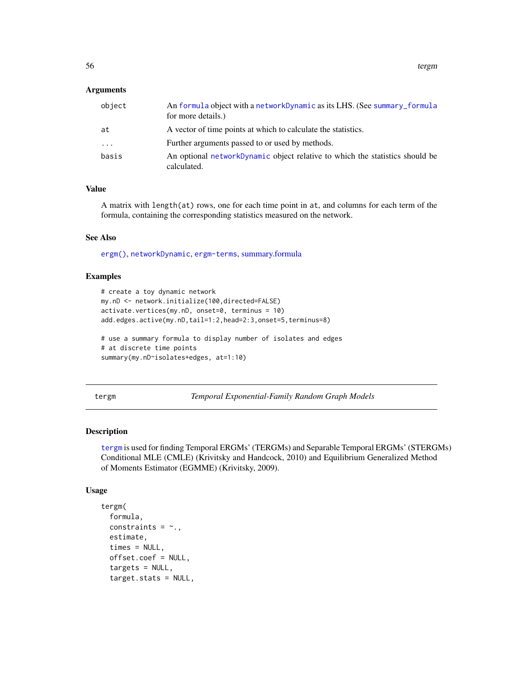### <span id="page-55-0"></span>**Arguments**

| object   | An formula object with a networkDynamic as its LHS. (See summary_formula<br>for more details.) |
|----------|------------------------------------------------------------------------------------------------|
| at       | A vector of time points at which to calculate the statistics.                                  |
| $\cdots$ | Further arguments passed to or used by methods.                                                |
| basis    | An optional networkDynamic object relative to which the statistics should be<br>calculated.    |

### Value

A matrix with length(at) rows, one for each time point in at, and columns for each term of the formula, containing the corresponding statistics measured on the network.

#### See Also

[ergm\(\)](#page-0-0), [networkDynamic](#page-0-0), [ergm-terms](#page-0-0), [summary.formula](#page-54-1)

### Examples

```
# create a toy dynamic network
my.nD <- network.initialize(100,directed=FALSE)
activate.vertices(my.nD, onset=0, terminus = 10)
add.edges.active(my.nD,tail=1:2,head=2:3,onset=5,terminus=8)
# use a summary formula to display number of isolates and edges
```
# at discrete time points summary(my.nD~isolates+edges, at=1:10)

<span id="page-55-1"></span>tergm *Temporal Exponential-Family Random Graph Models*

### Description

[tergm](#page-55-1) is used for finding Temporal ERGMs' (TERGMs) and Separable Temporal ERGMs' (STERGMs) Conditional MLE (CMLE) (Krivitsky and Handcock, 2010) and Equilibrium Generalized Method of Moments Estimator (EGMME) (Krivitsky, 2009).

#### Usage

```
tergm(
  formula,
  constraints = \sim.
  estimate,
  times = NULL,
  offset.coef = NULL,
  targets = NULL,
  target.stats = NULL,
```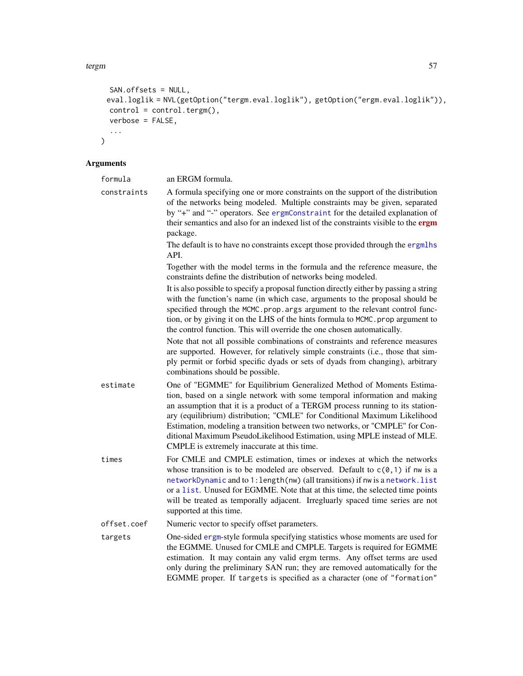```
SAN.offsets = NULL,
 eval.loglik = NVL(getOption("tergm.eval.loglik"), getOption("ergm.eval.loglik")),
 control = control.tergm(),
 verbose = FALSE,
  ...
\mathcal{L}
```
### Arguments

| formula     | an ERGM formula.                                                                                                                                                                                                                                                                                                                                                                                                                                                                                                          |
|-------------|---------------------------------------------------------------------------------------------------------------------------------------------------------------------------------------------------------------------------------------------------------------------------------------------------------------------------------------------------------------------------------------------------------------------------------------------------------------------------------------------------------------------------|
| constraints | A formula specifying one or more constraints on the support of the distribution<br>of the networks being modeled. Multiple constraints may be given, separated<br>by "+" and "-" operators. See ergmConstraint for the detailed explanation of<br>their semantics and also for an indexed list of the constraints visible to the ergm<br>package.                                                                                                                                                                         |
|             | The default is to have no constraints except those provided through the ergmlhs<br>API.                                                                                                                                                                                                                                                                                                                                                                                                                                   |
|             | Together with the model terms in the formula and the reference measure, the<br>constraints define the distribution of networks being modeled.                                                                                                                                                                                                                                                                                                                                                                             |
|             | It is also possible to specify a proposal function directly either by passing a string<br>with the function's name (in which case, arguments to the proposal should be<br>specified through the MCMC.prop.args argument to the relevant control func-<br>tion, or by giving it on the LHS of the hints formula to MCMC. prop argument to<br>the control function. This will override the one chosen automatically.                                                                                                        |
|             | Note that not all possible combinations of constraints and reference measures<br>are supported. However, for relatively simple constraints (i.e., those that sim-<br>ply permit or forbid specific dyads or sets of dyads from changing), arbitrary<br>combinations should be possible.                                                                                                                                                                                                                                   |
| estimate    | One of "EGMME" for Equilibrium Generalized Method of Moments Estima-<br>tion, based on a single network with some temporal information and making<br>an assumption that it is a product of a TERGM process running to its station-<br>ary (equilibrium) distribution; "CMLE" for Conditional Maximum Likelihood<br>Estimation, modeling a transition between two networks, or "CMPLE" for Con-<br>ditional Maximum PseudoLikelihood Estimation, using MPLE instead of MLE.<br>CMPLE is extremely inaccurate at this time. |
| times       | For CMLE and CMPLE estimation, times or indexes at which the networks<br>whose transition is to be modeled are observed. Default to $c(\theta, 1)$ if nw is a<br>networkDynamic and to 1: length(nw) (all transitions) if nw is a network. list<br>or a list. Unused for EGMME. Note that at this time, the selected time points<br>will be treated as temporally adjacent. Irregluarly spaced time series are not<br>supported at this time.                                                                             |
| offset.coef | Numeric vector to specify offset parameters.                                                                                                                                                                                                                                                                                                                                                                                                                                                                              |
| targets     | One-sided ergm-style formula specifying statistics whose moments are used for<br>the EGMME. Unused for CMLE and CMPLE. Targets is required for EGMME<br>estimation. It may contain any valid ergm terms. Any offset terms are used<br>only during the preliminary SAN run; they are removed automatically for the                                                                                                                                                                                                         |

EGMME proper. If targets is specified as a character (one of "formation"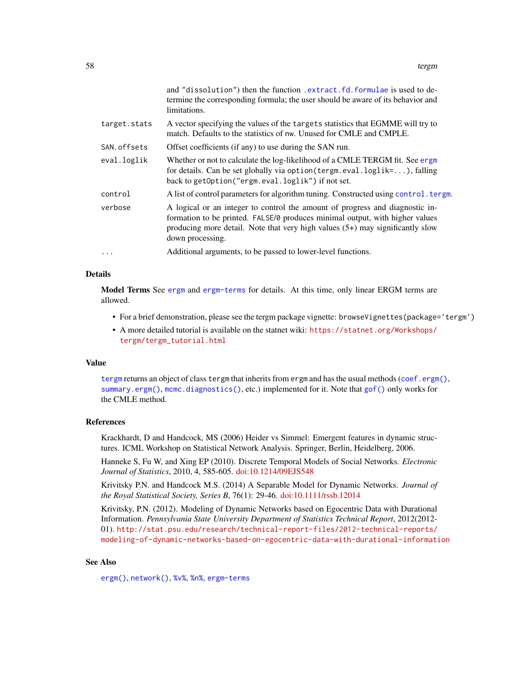<span id="page-57-0"></span>

|              | and "dissolution") then the function . extract. fd. formulae is used to de-<br>termine the corresponding formula; the user should be aware of its behavior and<br>limitations.                                                                                    |
|--------------|-------------------------------------------------------------------------------------------------------------------------------------------------------------------------------------------------------------------------------------------------------------------|
| target.stats | A vector specifying the values of the targets statistics that EGMME will try to<br>match. Defaults to the statistics of nw. Unused for CMLE and CMPLE.                                                                                                            |
| SAN.offsets  | Offset coefficients (if any) to use during the SAN run.                                                                                                                                                                                                           |
| eval.loglik  | Whether or not to calculate the log-likelihood of a CMLE TERGM fit. See ergm<br>for details. Can be set globally via option (tergm.eval.loglik=), falling<br>back to getOption("ergm.eval.loglik") if not set.                                                    |
| control      | A list of control parameters for algorithm tuning. Constructed using control. tergm.                                                                                                                                                                              |
| verbose      | A logical or an integer to control the amount of progress and diagnostic in-<br>formation to be printed. FALSE/0 produces minimal output, with higher values<br>producing more detail. Note that very high values (5+) may significantly slow<br>down processing. |
| $\cdots$     | Additional arguments, to be passed to lower-level functions.                                                                                                                                                                                                      |

### Details

Model Terms See [ergm](#page-0-0) and [ergm-terms](#page-0-0) for details. At this time, only linear ERGM terms are allowed.

- For a brief demonstration, please see the tergm package vignette: browseVignettes(package='tergm')
- A more detailed tutorial is available on the statnet wiki: [https://statnet.org/Workshops/](https://statnet.org/Workshops/tergm/tergm_tutorial.html) [tergm/tergm\\_tutorial.html](https://statnet.org/Workshops/tergm/tergm_tutorial.html)

#### Value

[tergm](#page-55-1) returns an object of class tergm that inherits from ergm and has the usual methods ([coef.ergm\(\)](#page-0-0), [summary.ergm\(\)](#page-0-0), [mcmc.diagnostics\(\)](#page-0-0), etc.) implemented for it. Note that [gof\(\)](#page-0-0) only works for the CMLE method.

### References

Krackhardt, D and Handcock, MS (2006) Heider vs Simmel: Emergent features in dynamic structures. ICML Workshop on Statistical Network Analysis. Springer, Berlin, Heidelberg, 2006.

Hanneke S, Fu W, and Xing EP (2010). Discrete Temporal Models of Social Networks. *Electronic Journal of Statistics*, 2010, 4, 585-605. [doi:10.1214/09EJS548](https://doi.org/10.1214/09-EJS548)

Krivitsky P.N. and Handcock M.S. (2014) A Separable Model for Dynamic Networks. *Journal of the Royal Statistical Society, Series B*, 76(1): 29-46. [doi:10.1111/rssb.12014](https://doi.org/10.1111/rssb.12014)

Krivitsky, P.N. (2012). Modeling of Dynamic Networks based on Egocentric Data with Durational Information. *Pennsylvania State University Department of Statistics Technical Report*, 2012(2012- 01). [http://stat.psu.edu/research/technical-report-files/2012-technical-reports/](http://stat.psu.edu/research/technical-report-files/2012-technical-reports/modeling-of-dynamic-networks-based-on-egocentric-data-with-durational-information) [modeling-of-dynamic-networks-based-on-egocentric-data-with-durational-information](http://stat.psu.edu/research/technical-report-files/2012-technical-reports/modeling-of-dynamic-networks-based-on-egocentric-data-with-durational-information)

#### See Also

[ergm\(\)](#page-0-0), [network\(\)](#page-0-0), [%v%](#page-0-0), [%n%](#page-0-0), [ergm-terms](#page-0-0)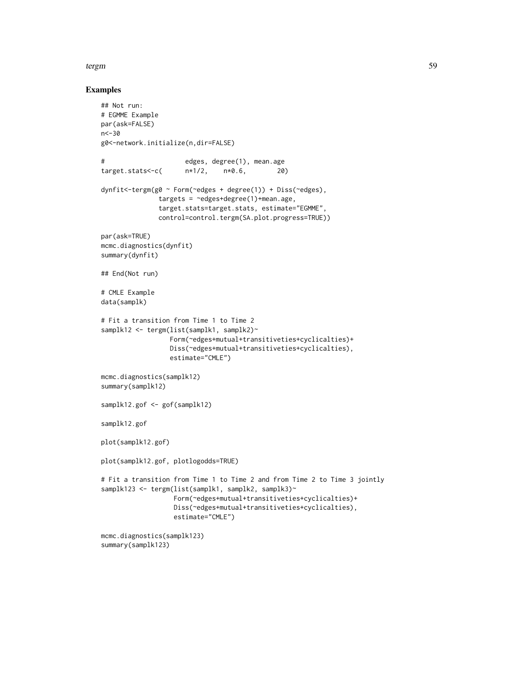#### tergm 59

### Examples

```
## Not run:
# EGMME Example
par(ask=FALSE)
n < -30g0<-network.initialize(n,dir=FALSE)
# edges, degree(1), mean.age
target.stats<-c( n*1/2, n*0.6, 20)
dynfit<-tergm(g0 ~ Form(~edges + degree(1)) + Diss(~edges),
              targets = ~edges+degree(1)+mean.age,
              target.stats=target.stats, estimate="EGMME",
              control=control.tergm(SA.plot.progress=TRUE))
par(ask=TRUE)
mcmc.diagnostics(dynfit)
summary(dynfit)
## End(Not run)
# CMLE Example
data(samplk)
# Fit a transition from Time 1 to Time 2
samplk12 <- tergm(list(samplk1, samplk2)~
                 Form(~edges+mutual+transitiveties+cyclicalties)+
                 Diss(~edges+mutual+transitiveties+cyclicalties),
                 estimate="CMLE")
mcmc.diagnostics(samplk12)
summary(samplk12)
samplk12.gof <- gof(samplk12)
samplk12.gof
plot(samplk12.gof)
plot(samplk12.gof, plotlogodds=TRUE)
# Fit a transition from Time 1 to Time 2 and from Time 2 to Time 3 jointly
samplk123 <- tergm(list(samplk1, samplk2, samplk3)~
                  Form(~edges+mutual+transitiveties+cyclicalties)+
                  Diss(~edges+mutual+transitiveties+cyclicalties),
                  estimate="CMLE")
mcmc.diagnostics(samplk123)
summary(samplk123)
```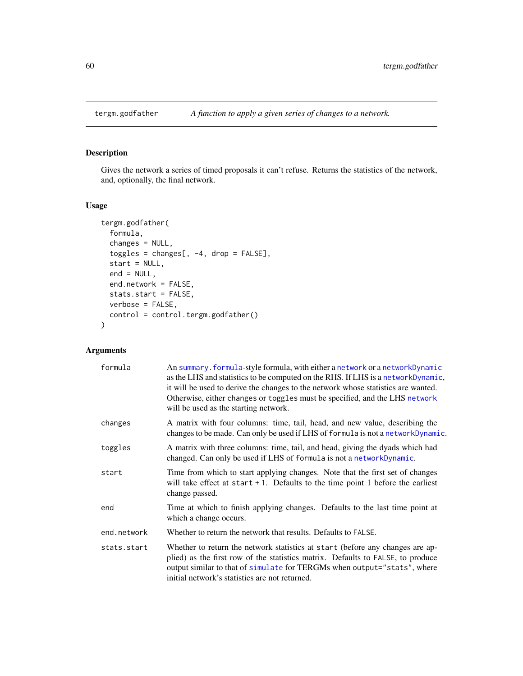<span id="page-59-1"></span><span id="page-59-0"></span>

## Description

Gives the network a series of timed proposals it can't refuse. Returns the statistics of the network, and, optionally, the final network.

### Usage

```
tergm.godfather(
 formula,
  changes = NULL,
  toggles = changes[, -4, drop = FALSE],start = NULL,
 end = NULL,end.network = FALSE,
 stats.start = FALSE,
 verbose = FALSE,
 control = control.tergm.godfather()
)
```
### Arguments

| formula     | An summary.formula-style formula, with either a network or a networkDynamic<br>as the LHS and statistics to be computed on the RHS. If LHS is a networkDynamic,<br>it will be used to derive the changes to the network whose statistics are wanted.<br>Otherwise, either changes or toggles must be specified, and the LHS network<br>will be used as the starting network. |
|-------------|------------------------------------------------------------------------------------------------------------------------------------------------------------------------------------------------------------------------------------------------------------------------------------------------------------------------------------------------------------------------------|
| changes     | A matrix with four columns: time, tail, head, and new value, describing the<br>changes to be made. Can only be used if LHS of formula is not a networkDynamic.                                                                                                                                                                                                               |
| toggles     | A matrix with three columns: time, tail, and head, giving the dyads which had<br>changed. Can only be used if LHS of formula is not a networkDynamic.                                                                                                                                                                                                                        |
| start       | Time from which to start applying changes. Note that the first set of changes<br>will take effect at $start + 1$ . Defaults to the time point 1 before the earliest<br>change passed.                                                                                                                                                                                        |
| end         | Time at which to finish applying changes. Defaults to the last time point at<br>which a change occurs.                                                                                                                                                                                                                                                                       |
| end.network | Whether to return the network that results. Defaults to FALSE.                                                                                                                                                                                                                                                                                                               |
| stats.start | Whether to return the network statistics at start (before any changes are ap-<br>plied) as the first row of the statistics matrix. Defaults to FALSE, to produce<br>output similar to that of simulate for TERGMs when output="stats", where<br>initial network's statistics are not returned.                                                                               |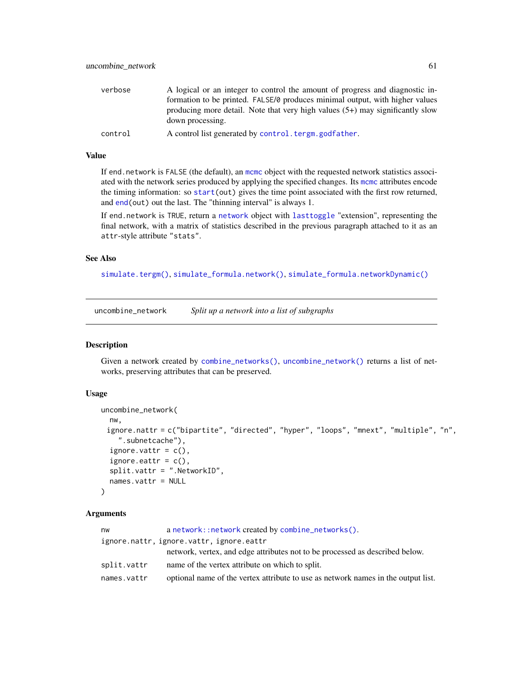<span id="page-60-0"></span>

| verbose | A logical or an integer to control the amount of progress and diagnostic in-                        |
|---------|-----------------------------------------------------------------------------------------------------|
|         | formation to be printed. FALSE/0 produces minimal output, with higher values                        |
|         | producing more detail. Note that very high values $(5+)$ may significantly slow<br>down processing. |
| control | A control list generated by control, tergm, godfather.                                              |

### Value

If end.network is FALSE (the default), an [mcmc](#page-0-0) object with the requested network statistics associated with the network series produced by applying the specified changes. Its [mcmc](#page-0-0) attributes encode the timing information: so [start\(](#page-0-0)out) gives the time point associated with the first row returned, and [end\(](#page-0-0)out) out the last. The "thinning interval" is always 1.

If end.network is TRUE, return a [network](#page-0-0) object with [lasttoggle](#page-35-2) "extension", representing the final network, with a matrix of statistics described in the previous paragraph attached to it as an attr-style attribute "stats".

### See Also

[simulate.tergm\(\)](#page-43-1), [simulate\\_formula.network\(\)](#page-43-2), [simulate\\_formula.networkDynamic\(\)](#page-43-2)

<span id="page-60-1"></span>uncombine\_network *Split up a network into a list of subgraphs*

### Description

Given a network created by [combine\\_networks\(\)](#page-5-1), [uncombine\\_network\(\)](#page-60-1) returns a list of networks, preserving attributes that can be preserved.

#### Usage

```
uncombine_network(
 nw,
 ignore.nattr = c("bipartite", "directed", "hyper", "loops", "mnext", "multiple", "n",
    ".subnetcache"),
  ignore.vattr = c(),
  ignore.eattr = c(),
  split.vattr = ".NetworkID",
  names.vattr = NULL
)
```
### Arguments

| nw          | a network::network created by combine_networks().                                 |
|-------------|-----------------------------------------------------------------------------------|
|             | ignore.nattr, ignore.vattr, ignore.eattr                                          |
|             | network, vertex, and edge attributes not to be processed as described below.      |
| split.vattr | name of the vertex attribute on which to split.                                   |
| names.vattr | optional name of the vertex attribute to use as network names in the output list. |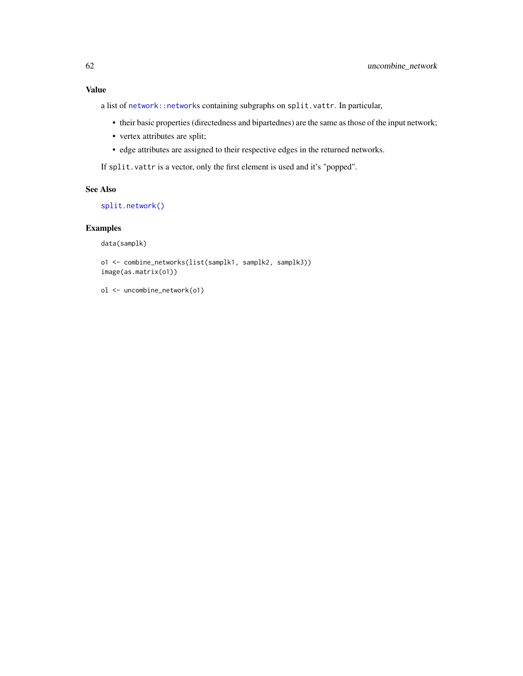### <span id="page-61-0"></span>Value

a list of [network::network](#page-0-0)s containing subgraphs on split.vattr. In particular,

- their basic properties (directedness and bipartednes) are the same as those of the input network;
- vertex attributes are split;
- edge attributes are assigned to their respective edges in the returned networks.

If split.vattr is a vector, only the first element is used and it's "popped".

### See Also

[split.network\(\)](#page-51-2)

### Examples

data(samplk)

```
o1 <- combine_networks(list(samplk1, samplk2, samplk3))
image(as.matrix(o1))
```
ol <- uncombine\_network(o1)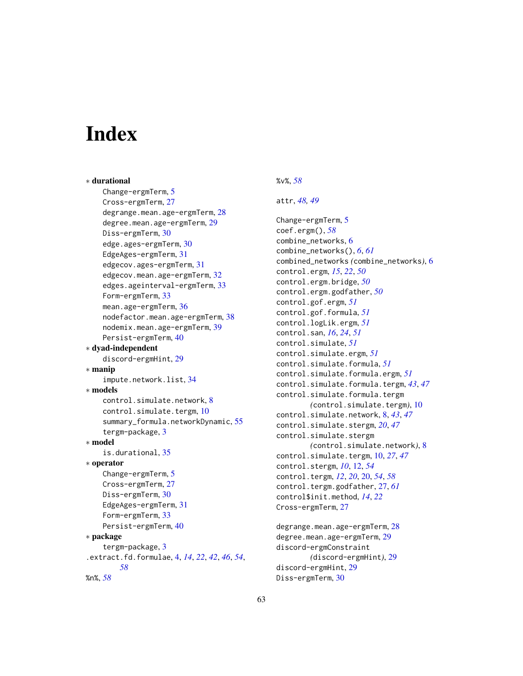# <span id="page-62-0"></span>**Index**

∗ durational Change-ergmTerm, [5](#page-4-0) Cross-ergmTerm, [27](#page-26-0) degrange.mean.age-ergmTerm, [28](#page-27-0) degree.mean.age-ergmTerm, [29](#page-28-0) Diss-ergmTerm, [30](#page-29-0) edge.ages-ergmTerm, [30](#page-29-0) EdgeAges-ergmTerm, [31](#page-30-0) edgecov.ages-ergmTerm, [31](#page-30-0) edgecov.mean.age-ergmTerm, [32](#page-31-0) edges.ageinterval-ergmTerm, [33](#page-32-0) Form-ergmTerm, [33](#page-32-0) mean.age-ergmTerm, [36](#page-35-0) nodefactor.mean.age-ergmTerm, [38](#page-37-0) nodemix.mean.age-ergmTerm, [39](#page-38-0) Persist-ergmTerm, [40](#page-39-0) ∗ dyad-independent discord-ergmHint, [29](#page-28-0) ∗ manip impute.network.list, [34](#page-33-0) ∗ models control.simulate.network, [8](#page-7-0) control.simulate.tergm, [10](#page-9-0) summary\_formula.networkDynamic, [55](#page-54-0) tergm-package, [3](#page-2-0) ∗ model is.durational, [35](#page-34-0) ∗ operator Change-ergmTerm, [5](#page-4-0) Cross-ergmTerm, [27](#page-26-0) Diss-ergmTerm, [30](#page-29-0) EdgeAges-ergmTerm, [31](#page-30-0) Form-ergmTerm, [33](#page-32-0) Persist-ergmTerm, [40](#page-39-0) ∗ package tergm-package, [3](#page-2-0) .extract.fd.formulae, [4,](#page-3-0) *[14](#page-13-0)*, *[22](#page-21-0)*, *[42](#page-41-0)*, *[46](#page-45-0)*, *[54](#page-53-0)*, *[58](#page-57-0)* %n%, *[58](#page-57-0)*

### %v%, *[58](#page-57-0)*

### attr, *[48,](#page-47-0) [49](#page-48-0)*

Change-ergmTerm, [5](#page-4-0) coef.ergm(), *[58](#page-57-0)* combine\_networks, [6](#page-5-0) combine\_networks(), *[6](#page-5-0)*, *[61](#page-60-0)* combined\_networks *(*combine\_networks*)*, [6](#page-5-0) control.ergm, *[15](#page-14-0)*, *[22](#page-21-0)*, *[50](#page-49-0)* control.ergm.bridge, *[50](#page-49-0)* control.ergm.godfather, *[50](#page-49-0)* control.gof.ergm, *[51](#page-50-0)* control.gof.formula, *[51](#page-50-0)* control.logLik.ergm, *[51](#page-50-0)* control.san, *[16](#page-15-0)*, *[24](#page-23-0)*, *[51](#page-50-0)* control.simulate, *[51](#page-50-0)* control.simulate.ergm, *[51](#page-50-0)* control.simulate.formula, *[51](#page-50-0)* control.simulate.formula.ergm, *[51](#page-50-0)* control.simulate.formula.tergm, *[43](#page-42-0)*, *[47](#page-46-0)* control.simulate.formula.tergm *(*control.simulate.tergm*)*, [10](#page-9-0) control.simulate.network, [8,](#page-7-0) *[43](#page-42-0)*, *[47](#page-46-0)* control.simulate.stergm, *[20](#page-19-0)*, *[47](#page-46-0)* control.simulate.stergm *(*control.simulate.network*)*, [8](#page-7-0) control.simulate.tergm, [10,](#page-9-0) *[27](#page-26-0)*, *[47](#page-46-0)* control.stergm, *[10](#page-9-0)*, [12,](#page-11-0) *[54](#page-53-0)* control.tergm, *[12](#page-11-0)*, *[20](#page-19-0)*, [20,](#page-19-0) *[54](#page-53-0)*, *[58](#page-57-0)* control.tergm.godfather, [27,](#page-26-0) *[61](#page-60-0)* control\$init.method, *[14](#page-13-0)*, *[22](#page-21-0)* Cross-ergmTerm, [27](#page-26-0)

degrange.mean.age-ergmTerm, [28](#page-27-0) degree.mean.age-ergmTerm, [29](#page-28-0) discord-ergmConstraint *(*discord-ergmHint*)*, [29](#page-28-0) discord-ergmHint, [29](#page-28-0) Diss-ergmTerm, [30](#page-29-0)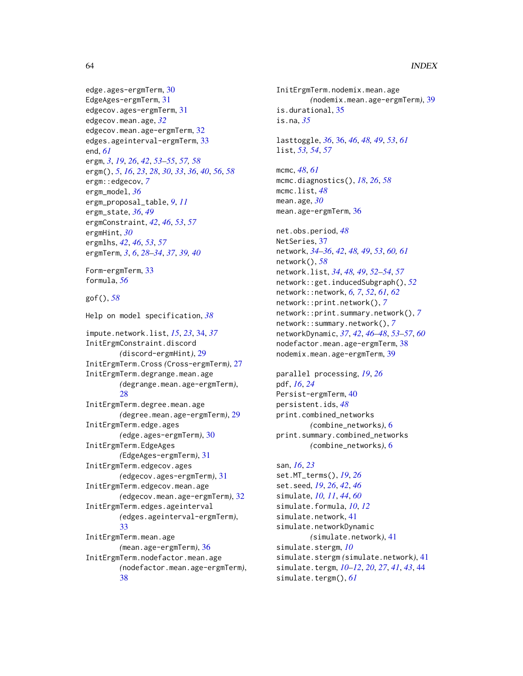```
edge.ages-ergmTerm, 30
EdgeAges-ergmTerm, 31
edgecov.ages-ergmTerm, 31
edgecov.mean.age, 32
edgecov.mean.age-ergmTerm, 32
edges.ageinterval-ergmTerm, 33
end, 61
ergm, 3, 19, 26, 42, 53–55, 57, 58
ergm(), 5, 16, 23, 28, 30, 33, 36, 40, 56, 58
ergm::edgecov, 7
ergm_model, 36
ergm_proposal_table, 9, 11
ergm_state, 36, 49
ergmConstraint, 42, 46, 53, 57
ergmHint, 30
ergmlhs, 42, 46, 53, 57
ergmTerm, 3, 6, 28–34, 37, 39, 40
```

```
Form-ergmTerm, 33
formula, 56
```
gof(), *[58](#page-57-0)*

Help on model specification, *[38](#page-37-0)* impute.network.list, *[15](#page-14-0)*, *[23](#page-22-0)*, [34,](#page-33-0) *[37](#page-36-0)* InitErgmConstraint.discord *(*discord-ergmHint*)*, [29](#page-28-0) InitErgmTerm.Cross *(*Cross-ergmTerm*)*, [27](#page-26-0) InitErgmTerm.degrange.mean.age *(*degrange.mean.age-ergmTerm*)*, [28](#page-27-0) InitErgmTerm.degree.mean.age *(*degree.mean.age-ergmTerm*)*, [29](#page-28-0) InitErgmTerm.edge.ages *(*edge.ages-ergmTerm*)*, [30](#page-29-0) InitErgmTerm.EdgeAges *(*EdgeAges-ergmTerm*)*, [31](#page-30-0) InitErgmTerm.edgecov.ages *(*edgecov.ages-ergmTerm*)*, [31](#page-30-0) InitErgmTerm.edgecov.mean.age *(*edgecov.mean.age-ergmTerm*)*, [32](#page-31-0) InitErgmTerm.edges.ageinterval *(*edges.ageinterval-ergmTerm*)*, [33](#page-32-0) InitErgmTerm.mean.age *(*mean.age-ergmTerm*)*, [36](#page-35-0) InitErgmTerm.nodefactor.mean.age *(*nodefactor.mean.age-ergmTerm*)*, [38](#page-37-0)

InitErgmTerm.nodemix.mean.age *(*nodemix.mean.age-ergmTerm*)*, [39](#page-38-0) is.durational, [35](#page-34-0) is.na, *[35](#page-34-0)*

lasttoggle, *[36](#page-35-0)*, [36,](#page-35-0) *[46](#page-45-0)*, *[48,](#page-47-0) [49](#page-48-0)*, *[53](#page-52-0)*, *[61](#page-60-0)* list, *[53,](#page-52-0) [54](#page-53-0)*, *[57](#page-56-0)*

mcmc, *[48](#page-47-0)*, *[61](#page-60-0)* mcmc.diagnostics(), *[18](#page-17-0)*, *[26](#page-25-0)*, *[58](#page-57-0)* mcmc.list, *[48](#page-47-0)* mean.age, *[30](#page-29-0)* mean.age-ergmTerm, [36](#page-35-0)

net.obs.period, *[48](#page-47-0)* NetSeries, [37](#page-36-0) network, *[34](#page-33-0)[–36](#page-35-0)*, *[42](#page-41-0)*, *[48,](#page-47-0) [49](#page-48-0)*, *[53](#page-52-0)*, *[60,](#page-59-0) [61](#page-60-0)* network(), *[58](#page-57-0)* network.list, *[34](#page-33-0)*, *[48,](#page-47-0) [49](#page-48-0)*, *[52](#page-51-0)[–54](#page-53-0)*, *[57](#page-56-0)* network::get.inducedSubgraph(), *[52](#page-51-0)* network::network, *[6,](#page-5-0) [7](#page-6-0)*, *[52](#page-51-0)*, *[61,](#page-60-0) [62](#page-61-0)* network::print.network(), *[7](#page-6-0)* network::print.summary.network(), *[7](#page-6-0)* network::summary.network(), *[7](#page-6-0)* networkDynamic, *[37](#page-36-0)*, *[42](#page-41-0)*, *[46](#page-45-0)[–48](#page-47-0)*, *[53](#page-52-0)[–57](#page-56-0)*, *[60](#page-59-0)* nodefactor.mean.age-ergmTerm, [38](#page-37-0) nodemix.mean.age-ergmTerm, [39](#page-38-0)

parallel processing, *[19](#page-18-0)*, *[26](#page-25-0)* pdf, *[16](#page-15-0)*, *[24](#page-23-0)* Persist-ergmTerm, [40](#page-39-0) persistent.ids, *[48](#page-47-0)* print.combined\_networks *(*combine\_networks*)*, [6](#page-5-0) print.summary.combined\_networks *(*combine\_networks*)*, [6](#page-5-0)

san, *[16](#page-15-0)*, *[23](#page-22-0)* set.MT\_terms(), *[19](#page-18-0)*, *[26](#page-25-0)* set.seed, *[19](#page-18-0)*, *[26](#page-25-0)*, *[42](#page-41-0)*, *[46](#page-45-0)* simulate, *[10,](#page-9-0) [11](#page-10-0)*, *[44](#page-43-0)*, *[60](#page-59-0)* simulate.formula, *[10](#page-9-0)*, *[12](#page-11-0)* simulate.network, [41](#page-40-0) simulate.networkDynamic *(*simulate.network*)*, [41](#page-40-0) simulate.stergm, *[10](#page-9-0)* simulate.stergm *(*simulate.network*)*, [41](#page-40-0) simulate.tergm, *[10](#page-9-0)[–12](#page-11-0)*, *[20](#page-19-0)*, *[27](#page-26-0)*, *[41](#page-40-0)*, *[43](#page-42-0)*, [44](#page-43-0) simulate.tergm(), *[61](#page-60-0)*